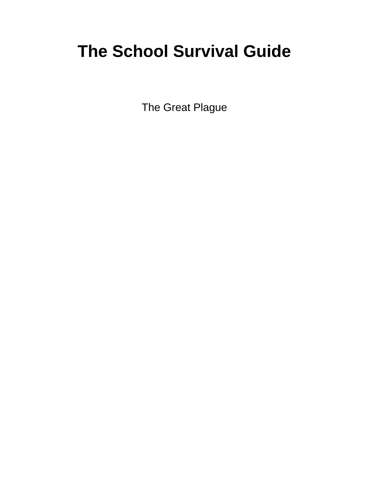# **The School Survival Guide**

The Great Plague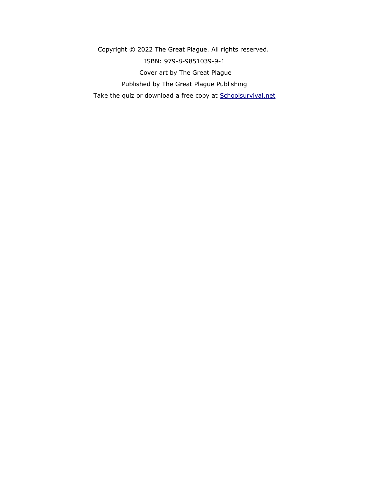Copyright © 2022 The Great Plague. All rights reserved. ISBN: 979-8-9851039-9-1 Cover art by The Great Plague Published by The Great Plague Publishing Take the quiz or download a free copy at [Schoolsurvival.net](http://schoolsurvival.net/)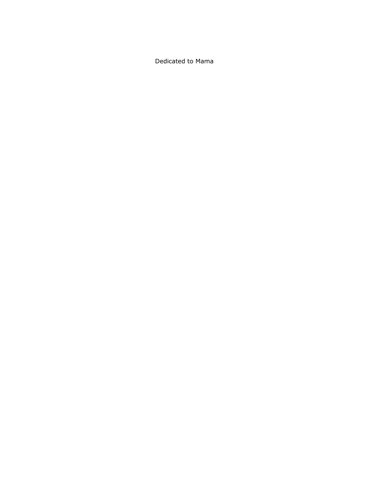Dedicated to Mama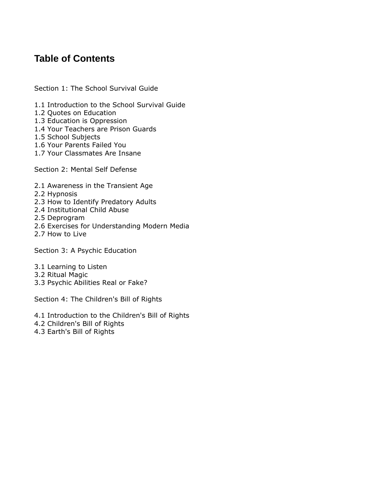## **Table of Contents**

[Section 1: The School Survival Guide](#page-4-0)

- [1.1 Introduction to the School Survival Guide](#page-5-0)
- [1.2 Quotes on Education](#page-6-0)
- [1.3 Education is Oppression](#page-10-0)
- [1.4 Your Teachers are Prison Guards](#page-15-0)
- [1.5 School Subjects](#page-18-0)
- [1.6 Your Parents Failed You](#page-20-0)
- [1.7 Your Classmates Are Insane](#page-29-0)

[Section 2: Mental Self Defense](#page-38-0)

- [2.1 Awareness in the Transient Age](#page-39-0)
- [2.2 Hypnosis](#page-43-0)
- [2.3 How to Identify Predatory Adults](#page-46-0)
- [2.4 Institutional Child Abuse](#page-51-0)
- [2.5 Deprogram](#page-58-0)
- [2.6 Exercises for Understanding Modern Media](#page-67-0)
- [2.7 How to Live](#page-69-0)

[Section 3: A Psychic Education](#page-79-0)

- [3.1 Learning to Listen](#page-80-0)
- [3.2 Ritual Magic](#page-87-0)
- [3.3 Psychic Abilities Real or Fake?](#page-90-0)

[Section 4: The Children's Bill of Rights](#page-93-0)

- [4.1 Introduction to the Children's Bill of Rights](#page-94-0)
- [4.2 Children's Bill of Rights](#page-99-0)
- [4.3 Earth's Bill of Rights](#page-100-0)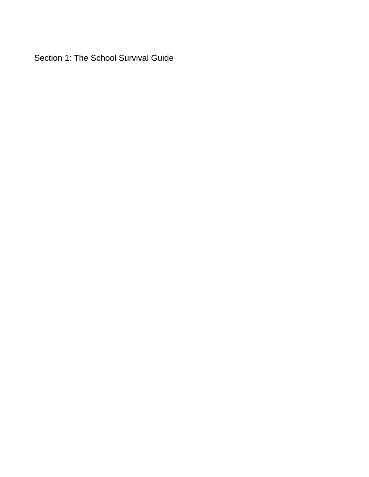<span id="page-4-0"></span>Section 1: The School Survival Guide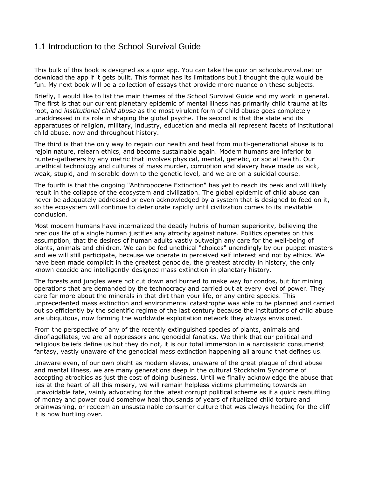#### <span id="page-5-0"></span>1.1 Introduction to the School Survival Guide

This bulk of this book is designed as a quiz app. You can take the quiz on schoolsurvival.net or download the app if it gets built. This format has its limitations but I thought the quiz would be fun. My next book will be a collection of essays that provide more nuance on these subjects.

Briefly, I would like to list the main themes of the School Survival Guide and my work in general. The first is that our current planetary epidemic of mental illness has primarily child trauma at its root, and *institutional child abuse* as the most virulent form of child abuse goes completely unaddressed in its role in shaping the global psyche. The second is that the state and its apparatuses of religion, military, industry, education and media all represent facets of institutional child abuse, now and throughout history.

The third is that the only way to regain our health and heal from multi-generational abuse is to rejoin nature, relearn ethics, and become sustainable again. Modern humans are inferior to hunter-gatherers by any metric that involves physical, mental, genetic, or social health. Our unethical technology and cultures of mass murder, corruption and slavery have made us sick, weak, stupid, and miserable down to the genetic level, and we are on a suicidal course.

The fourth is that the ongoing "Anthropocene Extinction" has yet to reach its peak and will likely result in the collapse of the ecosystem and civilization. The global epidemic of child abuse can never be adequately addressed or even acknowledged by a system that is designed to feed on it, so the ecosystem will continue to deteriorate rapidly until civilization comes to its inevitable conclusion.

Most modern humans have internalized the deadly hubris of human superiority, believing the precious life of a single human justifies any atrocity against nature. Politics operates on this assumption, that the desires of human adults vastly outweigh any care for the well-being of plants, animals and children. We can be fed unethical "choices" unendingly by our puppet masters and we will still participate, because we operate in perceived self interest and not by ethics. We have been made complicit in the greatest genocide, the greatest atrocity in history, the only known ecocide and intelligently-designed mass extinction in planetary history.

The forests and jungles were not cut down and burned to make way for condos, but for mining operations that are demanded by the technocracy and carried out at every level of power. They care far more about the minerals in that dirt than your life, or any entire species. This unprecedented mass extinction and environmental catastrophe was able to be planned and carried out so efficiently by the scientific regime of the last century because the institutions of child abuse are ubiquitous, now forming the worldwide exploitation network they always envisioned.

From the perspective of any of the recently extinguished species of plants, animals and dinoflagellates, we are all oppressors and genocidal fanatics. We think that our political and religious beliefs define us but they do not, it is our total immersion in a narcissistic consumerist fantasy, vastly unaware of the genocidal mass extinction happening all around that defines us.

Unaware even, of our own plight as modern slaves, unaware of the great plague of child abuse and mental illness, we are many generations deep in the cultural Stockholm Syndrome of accepting atrocities as just the cost of doing business. Until we finally acknowledge the abuse that lies at the heart of all this misery, we will remain helpless victims plummeting towards an unavoidable fate, vainly advocating for the latest corrupt political scheme as if a quick reshuffling of money and power could somehow heal thousands of years of ritualized child torture and brainwashing, or redeem an unsustainable consumer culture that was always heading for the cliff it is now hurtling over.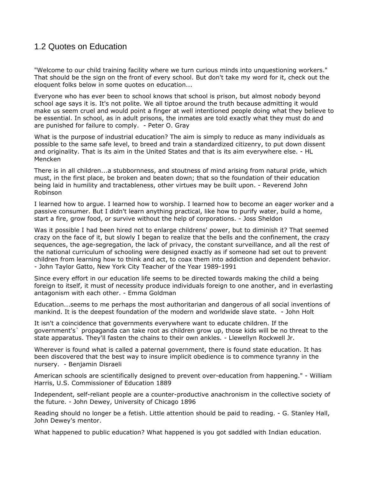#### <span id="page-6-0"></span>1.2 Quotes on Education

"Welcome to our child training facility where we turn curious minds into unquestioning workers." That should be the sign on the front of every school. But don't take my word for it, check out the eloquent folks below in some quotes on education...

Everyone who has ever been to school knows that school is prison, but almost nobody beyond school age says it is. It's not polite. We all tiptoe around the truth because admitting it would make us seem cruel and would point a finger at well intentioned people doing what they believe to be essential. In school, as in adult prisons, the inmates are told exactly what they must do and are punished for failure to comply. - Peter O. Gray

What is the purpose of industrial education? The aim is simply to reduce as many individuals as possible to the same safe level, to breed and train a standardized citizenry, to put down dissent and originality. That is its aim in the United States and that is its aim everywhere else. - HL Mencken

There is in all children...a stubbornness, and stoutness of mind arising from natural pride, which must, in the first place, be broken and beaten down; that so the foundation of their education being laid in humility and tractableness, other virtues may be built upon. - Reverend John Robinson

I learned how to argue. I learned how to worship. I learned how to become an eager worker and a passive consumer. But I didn't learn anything practical, like how to purify water, build a home, start a fire, grow food, or survive without the help of corporations. - Joss Sheldon

Was it possible I had been hired not to enlarge childrens' power, but to diminish it? That seemed crazy on the face of it, but slowly I began to realize that the bells and the confinement, the crazy sequences, the age-segregation, the lack of privacy, the constant surveillance, and all the rest of the national curriculum of schooling were designed exactly as if someone had set out to prevent children from learning how to think and act, to coax them into addiction and dependent behavior. - John Taylor Gatto, New York City Teacher of the Year 1989-1991

Since every effort in our education life seems to be directed towards making the child a being foreign to itself, it must of necessity produce individuals foreign to one another, and in everlasting antagonism with each other. - Emma Goldman

Education...seems to me perhaps the most authoritarian and dangerous of all social inventions of mankind. It is the deepest foundation of the modern and worldwide slave state. - John Holt

It isn't a coincidence that governments everywhere want to educate children. If the government's` propaganda can take root as children grow up, those kids will be no threat to the state apparatus. They'll fasten the chains to their own ankles. - Llewellyn Rockwell Jr.

Wherever is found what is called a paternal government, there is found state education. It has been discovered that the best way to insure implicit obedience is to commence tyranny in the nursery. - Benjamin Disraeli

American schools are scientifically designed to prevent over-education from happening." - William Harris, U.S. Commissioner of Education 1889

Independent, self-reliant people are a counter-productive anachronism in the collective society of the future. - John Dewey, University of Chicago 1896

Reading should no longer be a fetish. Little attention should be paid to reading. - G. Stanley Hall, John Dewey's mentor.

What happened to public education? What happened is you got saddled with Indian education.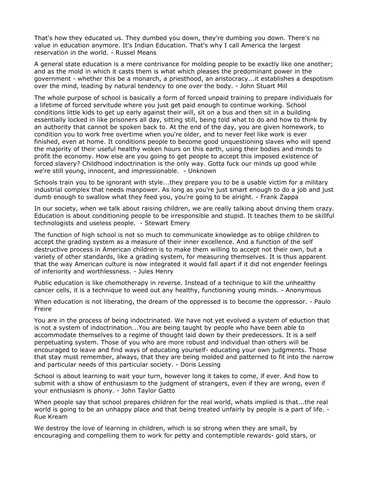That's how they educated us. They dumbed you down, they're dumbing you down. There's no value in education anymore. It's Indian Education. That's why I call America the largest reservation in the world. - Russel Means

A general state education is a mere contrivance for molding people to be exactly like one another; and as the mold in which it casts them is what which pleases the predominant power in the government - whether this be a monarch, a priesthood, an aristocracy...it establishes a despotism over the mind, leading by natural tendency to one over the body. - John Stuart Mill

The whole purpose of school is basically a form of forced unpaid training to prepare individuals for a lifetime of forced servitude where you just get paid enough to continue working. School conditions little kids to get up early against their will, sit on a bus and then sit in a building essentially locked in like prisoners all day, sitting still, being told what to do and how to think by an authority that cannot be spoken back to. At the end of the day, you are given homework, to condition you to work free overtime when you're older, and to never feel like work is ever finished, even at home. It conditions people to become good unquestioning slaves who will spend the majority of their useful healthy woken hours on this earth, using their bodies and minds to profit the economy. How else are you going to get people to accept this imposed existence of forced slavery? Childhood indoctrination is the only way. Gotta fuck our minds up good while we're still young, innocent, and impressionable. - Unknown

Schools train you to be ignorant with style...they prepare you to be a usable victim for a military industrial complex that needs manpower. As long as you're just smart enough to do a job and just dumb enough to swallow what they feed you, you're going to be alright. - Frank Zappa

In our society, when we talk about raising children, we are really talking about driving them crazy. Education is about conditioning people to be irresponsible and stupid. It teaches them to be skillful technologists and useless people. - Stewart Emery

The function of high school is not so much to communicate knowledge as to oblige children to accept the grading system as a measure of their inner excellence. And a function of the self destructive process in American children is to make them willing to accept not their own, but a variety of other standards, like a grading system, for measuring themselves. It is thus apparent that the way American culture is now integrated it would fall apart if it did not engender feelings of inferiority and worthlessness. - Jules Henry

Public education is like chemotherapy in reverse. Instead of a technique to kill the unhealthy cancer cells, it is a technique to weed out any healthy, functioning young minds. - Anonymous

When education is not liberating, the dream of the oppressed is to become the oppressor. - Paulo Freire

You are in the process of being indoctrinated. We have not yet evolved a system of eduction that is not a system of indoctrination...You are being taught by people who have been able to accommodate themselves to a regime of thought laid down by their predecessors. It is a self perpetuating system. Those of you who are more robust and individual than others will be encouraged to leave and find ways of educating yourself- educating your own judgments. Those that stay must remember, always, that they are being molded and patterned to fit into the narrow and particular needs of this particular society. - Doris Lessing

School is about learning to wait your turn, however long it takes to come, if ever. And how to submit with a show of enthusiasm to the judgment of strangers, even if they are wrong, even if your enthusiasm is phony. - John Taylor Gatto

When people say that school prepares children for the real world, whats implied is that...the real world is going to be an unhappy place and that being treated unfairly by people is a part of life. - Rue Kream

We destroy the love of learning in children, which is so strong when they are small, by encouraging and compelling them to work for petty and contemptible rewards- gold stars, or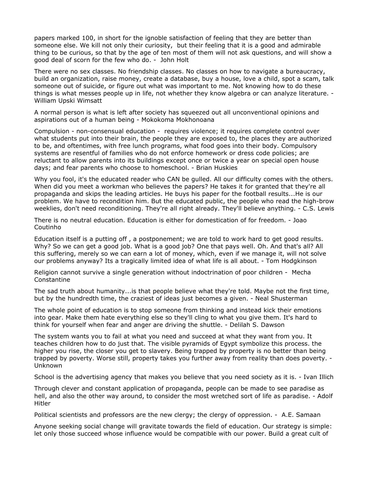papers marked 100, in short for the ignoble satisfaction of feeling that they are better than someone else. We kill not only their curiosity, but their feeling that it is a good and admirable thing to be curious, so that by the age of ten most of them will not ask questions, and will show a good deal of scorn for the few who do. - John Holt

There were no sex classes. No friendship classes. No classes on how to navigate a bureaucracy, build an organization, raise money, create a database, buy a house, love a child, spot a scam, talk someone out of suicide, or figure out what was important to me. Not knowing how to do these things is what messes people up in life, not whether they know algebra or can analyze literature. - William Upski Wimsatt

A normal person is what is left after society has squeezed out all unconventional opinions and aspirations out of a human being - Mokokoma Mokhonoana

Compulsion - non-consensual education - requires violence; it requires complete control over what students put into their brain, the people they are exposed to, the places they are authorized to be, and oftentimes, with free lunch programs, what food goes into their body. Compulsory systems are resentful of families who do not enforce homework or dress code policies; are reluctant to allow parents into its buildings except once or twice a year on special open house days; and fear parents who choose to homeschool. - Brian Huskies

Why you fool, it's the educated reader who CAN be gulled. All our difficulty comes with the others. When did you meet a workman who believes the papers? He takes it for granted that they're all propaganda and skips the leading articles. He buys his paper for the football results...He is our problem. We have to recondition him. But the educated public, the people who read the high-brow weeklies, don't need reconditioning. They're all right already. They'll believe anything. - C.S. Lewis

There is no neutral education. Education is either for domestication of for freedom. - Joao Coutinho

Education itself is a putting off , a postponement; we are told to work hard to get good results. Why? So we can get a good job. What is a good job? One that pays well. Oh. And that's all? All this suffering, merely so we can earn a lot of money, which, even if we manage it, will not solve our problems anyway? Its a tragically limited idea of what life is all about. - Tom Hodgkinson

Religion cannot survive a single generation without indoctrination of poor children - Mecha Constantine

The sad truth about humanity...is that people believe what they're told. Maybe not the first time, but by the hundredth time, the craziest of ideas just becomes a given. - Neal Shusterman

The whole point of education is to stop someone from thinking and instead kick their emotions into gear. Make them hate everything else so they'll cling to what you give them. It's hard to think for yourself when fear and anger are driving the shuttle. - Delilah S. Dawson

The system wants you to fail at what you need and succeed at what they want from you. It teaches children how to do just that. The visible pyramids of Egypt symbolize this process. the higher you rise, the closer you get to slavery. Being trapped by property is no better than being trapped by poverty. Worse still, property takes you further away from reality than does poverty. - Unknown

School is the advertising agency that makes you believe that you need society as it is. - Ivan Illich

Through clever and constant application of propaganda, people can be made to see paradise as hell, and also the other way around, to consider the most wretched sort of life as paradise. - Adolf Hitler

Political scientists and professors are the new clergy; the clergy of oppression. - A.E. Samaan

Anyone seeking social change will gravitate towards the field of education. Our strategy is simple: let only those succeed whose influence would be compatible with our power. Build a great cult of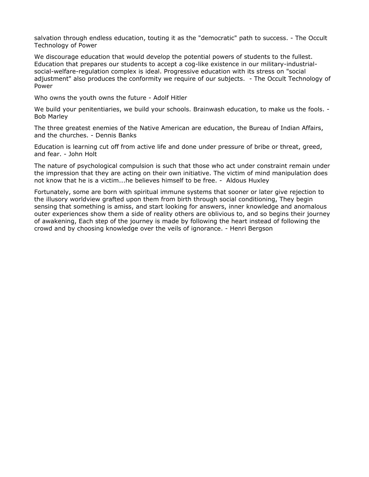salvation through endless education, touting it as the "democratic" path to success. - The Occult Technology of Power

We discourage education that would develop the potential powers of students to the fullest. Education that prepares our students to accept a cog-like existence in our military-industrialsocial-welfare-regulation complex is ideal. Progressive education with its stress on "social adjustment" also produces the conformity we require of our subjects. - The Occult Technology of Power

Who owns the youth owns the future - Adolf Hitler

We build your penitentiaries, we build your schools. Brainwash education, to make us the fools. -Bob Marley

The three greatest enemies of the Native American are education, the Bureau of Indian Affairs, and the churches. - Dennis Banks

Education is learning cut off from active life and done under pressure of bribe or threat, greed, and fear. - John Holt

The nature of psychological compulsion is such that those who act under constraint remain under the impression that they are acting on their own initiative. The victim of mind manipulation does not know that he is a victim...he believes himself to be free. - Aldous Huxley

Fortunately, some are born with spiritual immune systems that sooner or later give rejection to the illusory worldview grafted upon them from birth through social conditioning, They begin sensing that something is amiss, and start looking for answers, inner knowledge and anomalous outer experiences show them a side of reality others are oblivious to, and so begins their journey of awakening, Each step of the journey is made by following the heart instead of following the crowd and by choosing knowledge over the veils of ignorance. - Henri Bergson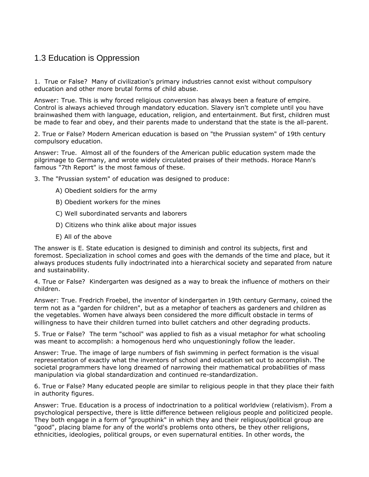#### <span id="page-10-0"></span>1.3 Education is Oppression

1. True or False? Many of civilization's primary industries cannot exist without compulsory education and other more brutal forms of child abuse.

Answer: True. This is why forced religious conversion has always been a feature of empire. Control is always achieved through mandatory education. Slavery isn't complete until you have brainwashed them with language, education, religion, and entertainment. But first, children must be made to fear and obey, and their parents made to understand that the state is the all-parent.

2. True or False? Modern American education is based on "the Prussian system" of 19th century compulsory education.

Answer: True. Almost all of the founders of the American public education system made the pilgrimage to Germany, and wrote widely circulated praises of their methods. Horace Mann's famous "7th Report" is the most famous of these.

- 3. The "Prussian system" of education was designed to produce:
	- A) Obedient soldiers for the army
	- B) Obedient workers for the mines
	- C) Well subordinated servants and laborers
	- D) Citizens who think alike about major issues
	- E) All of the above

The answer is E. State education is designed to diminish and control its subjects, first and foremost. Specialization in school comes and goes with the demands of the time and place, but it always produces students fully indoctrinated into a hierarchical society and separated from nature and sustainability.

4. True or False? Kindergarten was designed as a way to break the influence of mothers on their children.

Answer: True. Fredrich Froebel, the inventor of kindergarten in 19th century Germany, coined the term not as a "garden for children", but as a metaphor of teachers as gardeners and children as the vegetables. Women have always been considered the more difficult obstacle in terms of willingness to have their children turned into bullet catchers and other degrading products.

5. True or False? The term "school" was applied to fish as a visual metaphor for what schooling was meant to accomplish: a homogenous herd who unquestioningly follow the leader.

Answer: True. The image of large numbers of fish swimming in perfect formation is the visual representation of exactly what the inventors of school and education set out to accomplish. The societal programmers have long dreamed of narrowing their mathematical probabilities of mass manipulation via global standardization and continued re-standardization.

6. True or False? Many educated people are similar to religious people in that they place their faith in authority figures.

Answer: True. Education is a process of indoctrination to a political worldview (relativism). From a psychological perspective, there is little difference between religious people and politicized people. They both engage in a form of "groupthink" in which they and their religious/political group are "good", placing blame for any of the world's problems onto others, be they other religions, ethnicities, ideologies, political groups, or even supernatural entities. In other words, the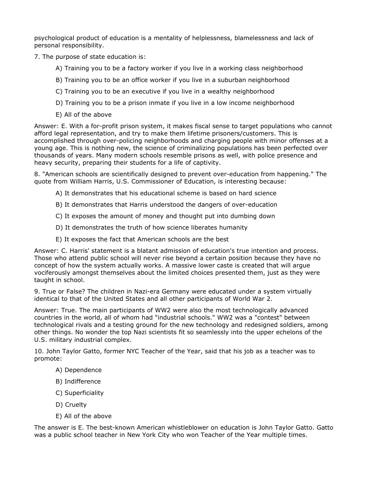psychological product of education is a mentality of helplessness, blamelessness and lack of personal responsibility.

- 7. The purpose of state education is:
	- A) Training you to be a factory worker if you live in a working class neighborhood
	- B) Training you to be an office worker if you live in a suburban neighborhood
	- C) Training you to be an executive if you live in a wealthy neighborhood
	- D) Training you to be a prison inmate if you live in a low income neighborhood
	- E) All of the above

Answer: E. With a for-profit prison system, it makes fiscal sense to target populations who cannot afford legal representation, and try to make them lifetime prisoners/customers. This is accomplished through over-policing neighborhoods and charging people with minor offenses at a young age. This is nothing new, the science of criminalizing populations has been perfected over thousands of years. Many modern schools resemble prisons as well, with police presence and heavy security, preparing their students for a life of captivity.

8. "American schools are scientifically designed to prevent over-education from happening." The quote from William Harris, U.S. Commissioner of Education, is interesting because:

- A) It demonstrates that his educational scheme is based on hard science
- B) It demonstrates that Harris understood the dangers of over-education
- C) It exposes the amount of money and thought put into dumbing down
- D) It demonstrates the truth of how science liberates humanity
- E) It exposes the fact that American schools are the best

Answer: C. Harris' statement is a blatant admission of education's true intention and process. Those who attend public school will never rise beyond a certain position because they have no concept of how the system actually works. A massive lower caste is created that will argue vociferously amongst themselves about the limited choices presented them, just as they were taught in school.

9. True or False? The children in Nazi-era Germany were educated under a system virtually identical to that of the United States and all other participants of World War 2.

Answer: True. The main participants of WW2 were also the most technologically advanced countries in the world, all of whom had "industrial schools." WW2 was a "contest" between technological rivals and a testing ground for the new technology and redesigned soldiers, among other things. No wonder the top Nazi scientists fit so seamlessly into the upper echelons of the U.S. military industrial complex.

10. John Taylor Gatto, former NYC Teacher of the Year, said that his job as a teacher was to promote:

- A) Dependence
- B) Indifference
- C) Superficiality
- D) Cruelty
- E) All of the above

The answer is E. The best-known American whistleblower on education is John Taylor Gatto. Gatto was a public school teacher in New York City who won Teacher of the Year multiple times.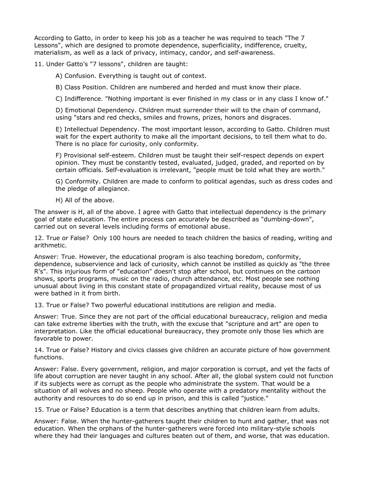According to Gatto, in order to keep his job as a teacher he was required to teach "The 7 Lessons", which are designed to promote dependence, superficiality, indifference, cruelty, materialism, as well as a lack of privacy, intimacy, candor, and self-awareness.

11. Under Gatto's "7 lessons", children are taught:

A) Confusion. Everything is taught out of context.

B) Class Position. Children are numbered and herded and must know their place.

C) Indifference. "Nothing important is ever finished in my class or in any class I know of."

D) Emotional Dependency. Children must surrender their will to the chain of command, using "stars and red checks, smiles and frowns, prizes, honors and disgraces.

E) Intellectual Dependency. The most important lesson, according to Gatto. Children must wait for the expert authority to make all the important decisions, to tell them what to do. There is no place for curiosity, only conformity.

F) Provisional self-esteem. Children must be taught their self-respect depends on expert opinion. They must be constantly tested, evaluated, judged, graded, and reported on by certain officials. Self-evaluation is irrelevant, "people must be told what they are worth."

G) Conformity. Children are made to conform to political agendas, such as dress codes and the pledge of allegiance.

H) All of the above.

The answer is H, all of the above. I agree with Gatto that intellectual dependency is the primary goal of state education. The entire process can accurately be described as "dumbing-down", carried out on several levels including forms of emotional abuse.

12. True or False? Only 100 hours are needed to teach children the basics of reading, writing and arithmetic.

Answer: True. However, the educational program is also teaching boredom, conformity, dependence, subservience and lack of curiosity, which cannot be instilled as quickly as "the three R's". This injurious form of "education" doesn't stop after school, but continues on the cartoon shows, sports programs, music on the radio, church attendance, etc. Most people see nothing unusual about living in this constant state of propagandized virtual reality, because most of us were bathed in it from birth.

13. True or False? Two powerful educational institutions are religion and media.

Answer: True. Since they are not part of the official educational bureaucracy, religion and media can take extreme liberties with the truth, with the excuse that "scripture and art" are open to interpretation. Like the official educational bureaucracy, they promote only those lies which are favorable to power.

14. True or False? History and civics classes give children an accurate picture of how government functions.

Answer: False. Every government, religion, and major corporation is corrupt, and yet the facts of life about corruption are never taught in any school. After all, the global system could not function if its subjects were as corrupt as the people who administrate the system. That would be a situation of all wolves and no sheep. People who operate with a predatory mentality without the authority and resources to do so end up in prison, and this is called "justice."

15. True or False? Education is a term that describes anything that children learn from adults.

Answer: False. When the hunter-gatherers taught their children to hunt and gather, that was not education. When the orphans of the hunter-gatherers were forced into military-style schools where they had their languages and cultures beaten out of them, and worse, that was education.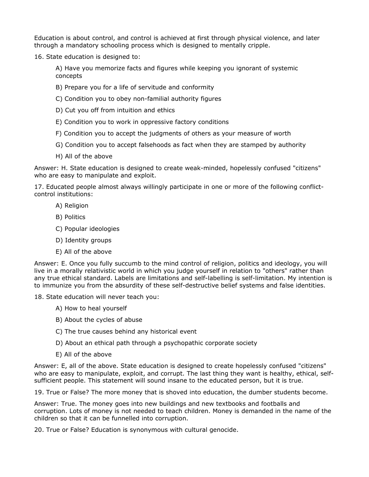Education is about control, and control is achieved at first through physical violence, and later through a mandatory schooling process which is designed to mentally cripple.

16. State education is designed to:

A) Have you memorize facts and figures while keeping you ignorant of systemic concepts

- B) Prepare you for a life of servitude and conformity
- C) Condition you to obey non-familial authority figures
- D) Cut you off from intuition and ethics
- E) Condition you to work in oppressive factory conditions
- F) Condition you to accept the judgments of others as your measure of worth
- G) Condition you to accept falsehoods as fact when they are stamped by authority
- H) All of the above

Answer: H. State education is designed to create weak-minded, hopelessly confused "citizens" who are easy to manipulate and exploit.

17. Educated people almost always willingly participate in one or more of the following conflictcontrol institutions:

- A) Religion
- B) Politics
- C) Popular ideologies
- D) Identity groups
- E) All of the above

Answer: E. Once you fully succumb to the mind control of religion, politics and ideology, you will live in a morally relativistic world in which you judge yourself in relation to "others" rather than any true ethical standard. Labels are limitations and self-labelling is self-limitation. My intention is to immunize you from the absurdity of these self-destructive belief systems and false identities.

18. State education will never teach you:

- A) How to heal yourself
- B) About the cycles of abuse
- C) The true causes behind any historical event
- D) About an ethical path through a psychopathic corporate society
- E) All of the above

Answer: E, all of the above. State education is designed to create hopelessly confused "citizens" who are easy to manipulate, exploit, and corrupt. The last thing they want is healthy, ethical, selfsufficient people. This statement will sound insane to the educated person, but it is true.

19. True or False? The more money that is shoved into education, the dumber students become.

Answer: True. The money goes into new buildings and new textbooks and footballs and corruption. Lots of money is not needed to teach children. Money is demanded in the name of the children so that it can be funnelled into corruption.

20. True or False? Education is synonymous with cultural genocide.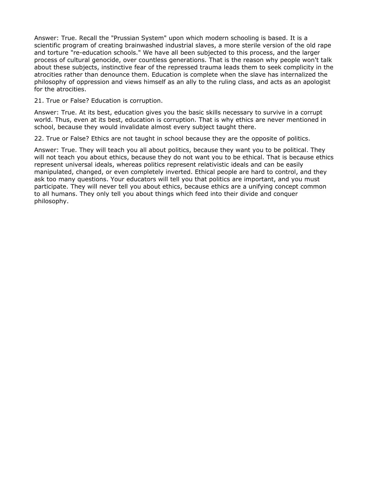Answer: True. Recall the "Prussian System" upon which modern schooling is based. It is a scientific program of creating brainwashed industrial slaves, a more sterile version of the old rape and torture "re-education schools." We have all been subjected to this process, and the larger process of cultural genocide, over countless generations. That is the reason why people won't talk about these subjects, instinctive fear of the repressed trauma leads them to seek complicity in the atrocities rather than denounce them. Education is complete when the slave has internalized the philosophy of oppression and views himself as an ally to the ruling class, and acts as an apologist for the atrocities.

21. True or False? Education is corruption.

Answer: True. At its best, education gives you the basic skills necessary to survive in a corrupt world. Thus, even at its best, education is corruption. That is why ethics are never mentioned in school, because they would invalidate almost every subject taught there.

22. True or False? Ethics are not taught in school because they are the opposite of politics.

Answer: True. They will teach you all about politics, because they want you to be political. They will not teach you about ethics, because they do not want you to be ethical. That is because ethics represent universal ideals, whereas politics represent relativistic ideals and can be easily manipulated, changed, or even completely inverted. Ethical people are hard to control, and they ask too many questions. Your educators will tell you that politics are important, and you must participate. They will never tell you about ethics, because ethics are a unifying concept common to all humans. They only tell you about things which feed into their divide and conquer philosophy.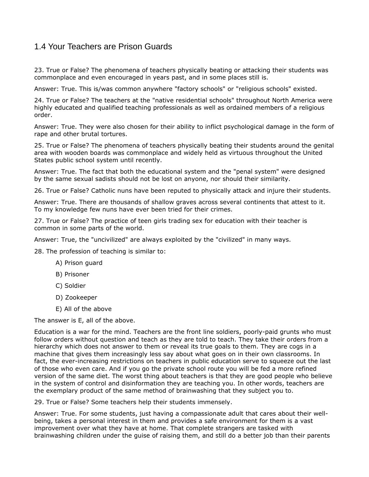## <span id="page-15-0"></span>1.4 Your Teachers are Prison Guards

23. True or False? The phenomena of teachers physically beating or attacking their students was commonplace and even encouraged in years past, and in some places still is.

Answer: True. This is/was common anywhere "factory schools" or "religious schools" existed.

24. True or False? The teachers at the "native residential schools" throughout North America were highly educated and qualified teaching professionals as well as ordained members of a religious order.

Answer: True. They were also chosen for their ability to inflict psychological damage in the form of rape and other brutal tortures.

25. True or False? The phenomena of teachers physically beating their students around the genital area with wooden boards was commonplace and widely held as virtuous throughout the United States public school system until recently.

Answer: True. The fact that both the educational system and the "penal system" were designed by the same sexual sadists should not be lost on anyone, nor should their similarity.

26. True or False? Catholic nuns have been reputed to physically attack and injure their students.

Answer: True. There are thousands of shallow graves across several continents that attest to it. To my knowledge few nuns have ever been tried for their crimes.

27. True or False? The practice of teen girls trading sex for education with their teacher is common in some parts of the world.

Answer: True, the "uncivilized" are always exploited by the "civilized" in many ways.

28. The profession of teaching is similar to:

- A) Prison guard
- B) Prisoner
- C) Soldier
- D) Zookeeper
- E) All of the above

The answer is E, all of the above.

Education is a war for the mind. Teachers are the front line soldiers, poorly-paid grunts who must follow orders without question and teach as they are told to teach. They take their orders from a hierarchy which does not answer to them or reveal its true goals to them. They are cogs in a machine that gives them increasingly less say about what goes on in their own classrooms. In fact, the ever-increasing restrictions on teachers in public education serve to squeeze out the last of those who even care. And if you go the private school route you will be fed a more refined version of the same diet. The worst thing about teachers is that they are good people who believe in the system of control and disinformation they are teaching you. In other words, teachers are the exemplary product of the same method of brainwashing that they subject you to.

29. True or False? Some teachers help their students immensely.

Answer: True. For some students, just having a compassionate adult that cares about their wellbeing, takes a personal interest in them and provides a safe environment for them is a vast improvement over what they have at home. That complete strangers are tasked with brainwashing children under the guise of raising them, and still do a better job than their parents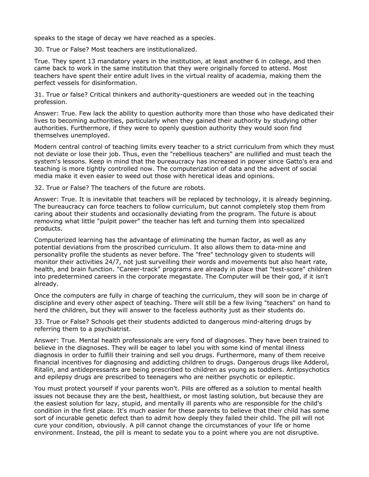speaks to the stage of decay we have reached as a species.

30. True or False? Most teachers are institutionalized.

True. They spent 13 mandatory years in the institution, at least another 6 in college, and then came back to work in the same institution that they were originally forced to attend. Most teachers have spent their entire adult lives in the virtual reality of academia, making them the perfect vessels for disinformation.

31. True or false? Critical thinkers and authority-questioners are weeded out in the teaching profession.

Answer: True. Few lack the ability to question authority more than those who have dedicated their lives to becoming authorities, particularly when they gained their authority by studying other authorities. Furthermore, if they were to openly question authority they would soon find themselves unemployed.

Modern central control of teaching limits every teacher to a strict curriculum from which they must not deviate or lose their job. Thus, even the "rebellious teachers" are nullified and must teach the system's lessons. Keep in mind that the bureaucracy has increased in power since Gatto's era and teaching is more tightly controlled now. The computerization of data and the advent of social media make it even easier to weed out those with heretical ideas and opinions.

32. True or False? The teachers of the future are robots.

Answer: True. It is inevitable that teachers will be replaced by technology, it is already beginning. The bureaucracy can force teachers to follow curriculum, but cannot completely stop them from caring about their students and occasionally deviating from the program. The future is about removing what little "pulpit power" the teacher has left and turning them into specialized products.

Computerized learning has the advantage of eliminating the human factor, as well as any potential deviations from the proscribed curriculum. It also allows them to data-mine and personality profile the students as never before. The "free" technology given to students will monitor their activities 24/7, not just surveilling their words and movements but also heart rate, health, and brain function. "Career-track" programs are already in place that "test-score" children into predetermined careers in the corporate megastate. The Computer will be their god, if it isn't already.

Once the computers are fully in charge of teaching the curriculum, they will soon be in charge of discipline and every other aspect of teaching. There will still be a few living "teachers" on hand to herd the children, but they will answer to the faceless authority just as their students do.

33. True or False? Schools get their students addicted to dangerous mind-altering drugs by referring them to a psychiatrist.

Answer: True. Mental health professionals are very fond of diagnoses. They have been trained to believe in the diagnoses. They will be eager to label you with some kind of mental illness diagnosis in order to fulfill their training and sell you drugs. Furthermore, many of them receive financial incentives for diagnosing and addicting children to drugs. Dangerous drugs like Adderol, Ritalin, and antidepressants are being prescribed to children as young as toddlers. Antipsychotics and epilepsy drugs are prescribed to teenagers who are neither psychotic or epileptic.

You must protect yourself if your parents won't. Pills are offered as a solution to mental health issues not because they are the best, healthiest, or most lasting solution, but because they are the easiest solution for lazy, stupid, and mentally ill parents who are responsible for the child's condition in the first place. It's much easier for these parents to believe that their child has some sort of incurable genetic defect than to admit how deeply they failed their child. The pill will not cure your condition, obviously. A pill cannot change the circumstances of your life or home environment. Instead, the pill is meant to sedate you to a point where you are not disruptive.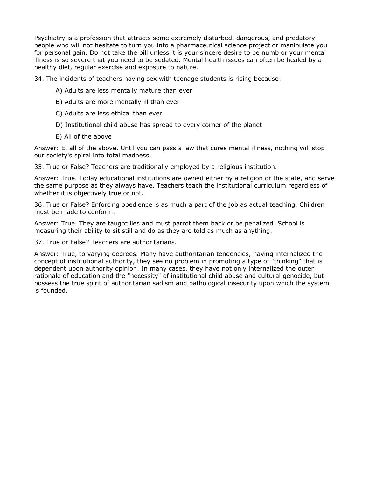Psychiatry is a profession that attracts some extremely disturbed, dangerous, and predatory people who will not hesitate to turn you into a pharmaceutical science project or manipulate you for personal gain. Do not take the pill unless it is your sincere desire to be numb or your mental illness is so severe that you need to be sedated. Mental health issues can often be healed by a healthy diet, regular exercise and exposure to nature.

34. The incidents of teachers having sex with teenage students is rising because:

- A) Adults are less mentally mature than ever
- B) Adults are more mentally ill than ever
- C) Adults are less ethical than ever
- D) Institutional child abuse has spread to every corner of the planet
- E) All of the above

Answer: E, all of the above. Until you can pass a law that cures mental illness, nothing will stop our society's spiral into total madness.

35. True or False? Teachers are traditionally employed by a religious institution.

Answer: True. Today educational institutions are owned either by a religion or the state, and serve the same purpose as they always have. Teachers teach the institutional curriculum regardless of whether it is objectively true or not.

36. True or False? Enforcing obedience is as much a part of the job as actual teaching. Children must be made to conform.

Answer: True. They are taught lies and must parrot them back or be penalized. School is measuring their ability to sit still and do as they are told as much as anything.

37. True or False? Teachers are authoritarians.

Answer: True, to varying degrees. Many have authoritarian tendencies, having internalized the concept of institutional authority, they see no problem in promoting a type of "thinking" that is dependent upon authority opinion. In many cases, they have not only internalized the outer rationale of education and the "necessity" of institutional child abuse and cultural genocide, but possess the true spirit of authoritarian sadism and pathological insecurity upon which the system is founded.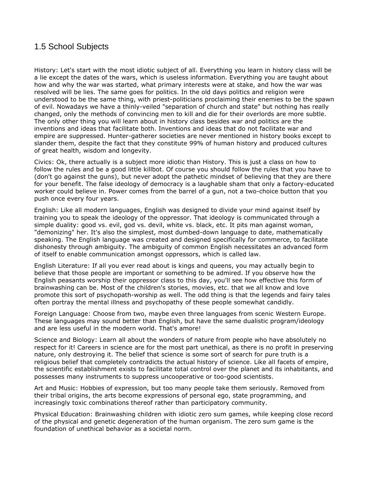#### <span id="page-18-0"></span>1.5 School Subjects

History: Let's start with the most idiotic subject of all. Everything you learn in history class will be a lie except the dates of the wars, which is useless information. Everything you are taught about how and why the war was started, what primary interests were at stake, and how the war was resolved will be lies. The same goes for politics. In the old days politics and religion were understood to be the same thing, with priest-politicians proclaiming their enemies to be the spawn of evil. Nowadays we have a thinly-veiled "separation of church and state" but nothing has really changed, only the methods of convincing men to kill and die for their overlords are more subtle. The only other thing you will learn about in history class besides war and politics are the inventions and ideas that facilitate both. Inventions and ideas that do not facilitate war and empire are suppressed. Hunter-gatherer societies are never mentioned in history books except to slander them, despite the fact that they constitute 99% of human history and produced cultures of great health, wisdom and longevity.

Civics: Ok, there actually is a subject more idiotic than History. This is just a class on how to follow the rules and be a good little killbot. Of course you should follow the rules that you have to (don't go against the guns), but never adopt the pathetic mindset of believing that they are there for your benefit. The false ideology of democracy is a laughable sham that only a factory-educated worker could believe in. Power comes from the barrel of a gun, not a two-choice button that you push once every four years.

English: Like all modern languages, English was designed to divide your mind against itself by training you to speak the ideology of the oppressor. That ideology is communicated through a simple duality: good vs. evil, god vs. devil, white vs. black, etc. It pits man against woman, "demonizing" her. It's also the simplest, most dumbed-down language to date, mathematically speaking. The English language was created and designed specifically for commerce, to facilitate dishonesty through ambiguity. The ambiguity of common English necessitates an advanced form of itself to enable communication amongst oppressors, which is called law.

English Literature: If all you ever read about is kings and queens, you may actually begin to believe that those people are important or something to be admired. If you observe how the English peasants worship their oppressor class to this day, you'll see how effective this form of brainwashing can be. Most of the children's stories, movies, etc. that we all know and love promote this sort of psychopath-worship as well. The odd thing is that the legends and fairy tales often portray the mental illness and psychopathy of these people somewhat candidly.

Foreign Language: Choose from two, maybe even three languages from scenic Western Europe. These languages may sound better than English, but have the same dualistic program/ideology and are less useful in the modern world. That's amore!

Science and Biology: Learn all about the wonders of nature from people who have absolutely no respect for it! Careers in science are for the most part unethical, as there is no profit in preserving nature, only destroying it. The belief that science is some sort of search for pure truth is a religious belief that completely contradicts the actual history of science. Like all facets of empire, the scientific establishment exists to facilitate total control over the planet and its inhabitants, and possesses many instruments to suppress uncooperative or too-good scientists.

Art and Music: Hobbies of expression, but too many people take them seriously. Removed from their tribal origins, the arts become expressions of personal ego, state programming, and increasingly toxic combinations thereof rather than participatory community.

Physical Education: Brainwashing children with idiotic zero sum games, while keeping close record of the physical and genetic degeneration of the human organism. The zero sum game is the foundation of unethical behavior as a societal norm.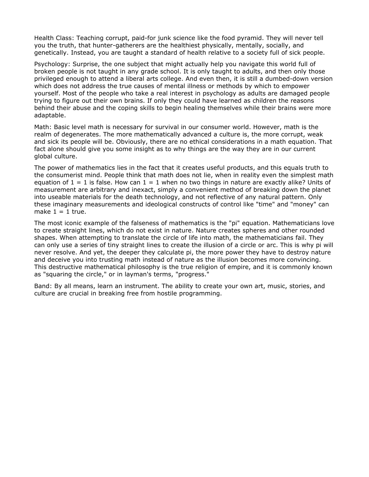Health Class: Teaching corrupt, paid-for junk science like the food pyramid. They will never tell you the truth, that hunter-gatherers are the healthiest physically, mentally, socially, and genetically. Instead, you are taught a standard of health relative to a society full of sick people.

Psychology: Surprise, the one subject that might actually help you navigate this world full of broken people is not taught in any grade school. It is only taught to adults, and then only those privileged enough to attend a liberal arts college. And even then, it is still a dumbed-down version which does not address the true causes of mental illness or methods by which to empower yourself. Most of the people who take a real interest in psychology as adults are damaged people trying to figure out their own brains. If only they could have learned as children the reasons behind their abuse and the coping skills to begin healing themselves while their brains were more adaptable.

Math: Basic level math is necessary for survival in our consumer world. However, math is the realm of degenerates. The more mathematically advanced a culture is, the more corrupt, weak and sick its people will be. Obviously, there are no ethical considerations in a math equation. That fact alone should give you some insight as to why things are the way they are in our current global culture.

The power of mathematics lies in the fact that it creates useful products, and this equals truth to the consumerist mind. People think that math does not lie, when in reality even the simplest math equation of  $1 = 1$  is false. How can  $1 = 1$  when no two things in nature are exactly alike? Units of measurement are arbitrary and inexact, simply a convenient method of breaking down the planet into useable materials for the death technology, and not reflective of any natural pattern. Only these imaginary measurements and ideological constructs of control like "time" and "money" can make  $1 = 1$  true.

The most iconic example of the falseness of mathematics is the "pi" equation. Mathematicians love to create straight lines, which do not exist in nature. Nature creates spheres and other rounded shapes. When attempting to translate the circle of life into math, the mathematicians fail. They can only use a series of tiny straight lines to create the illusion of a circle or arc. This is why pi will never resolve. And yet, the deeper they calculate pi, the more power they have to destroy nature and deceive you into trusting math instead of nature as the illusion becomes more convincing. This destructive mathematical philosophy is the true religion of empire, and it is commonly known as "squaring the circle," or in layman's terms, "progress."

Band: By all means, learn an instrument. The ability to create your own art, music, stories, and culture are crucial in breaking free from hostile programming.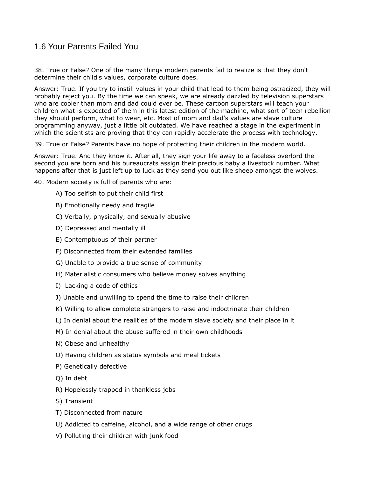## <span id="page-20-0"></span>1.6 Your Parents Failed You

38. True or False? One of the many things modern parents fail to realize is that they don't determine their child's values, corporate culture does.

Answer: True. If you try to instill values in your child that lead to them being ostracized, they will probably reject you. By the time we can speak, we are already dazzled by television superstars who are cooler than mom and dad could ever be. These cartoon superstars will teach your children what is expected of them in this latest edition of the machine, what sort of teen rebellion they should perform, what to wear, etc. Most of mom and dad's values are slave culture programming anyway, just a little bit outdated. We have reached a stage in the experiment in which the scientists are proving that they can rapidly accelerate the process with technology.

39. True or False? Parents have no hope of protecting their children in the modern world.

Answer: True. And they know it. After all, they sign your life away to a faceless overlord the second you are born and his bureaucrats assign their precious baby a livestock number. What happens after that is just left up to luck as they send you out like sheep amongst the wolves.

40. Modern society is full of parents who are:

- A) Too selfish to put their child first
- B) Emotionally needy and fragile
- C) Verbally, physically, and sexually abusive
- D) Depressed and mentally ill
- E) Contemptuous of their partner
- F) Disconnected from their extended families
- G) Unable to provide a true sense of community
- H) Materialistic consumers who believe money solves anything
- I) Lacking a code of ethics
- J) Unable and unwilling to spend the time to raise their children
- K) Willing to allow complete strangers to raise and indoctrinate their children
- L) In denial about the realities of the modern slave society and their place in it
- M) In denial about the abuse suffered in their own childhoods
- N) Obese and unhealthy
- O) Having children as status symbols and meal tickets
- P) Genetically defective
- Q) In debt
- R) Hopelessly trapped in thankless jobs
- S) Transient
- T) Disconnected from nature
- U) Addicted to caffeine, alcohol, and a wide range of other drugs
- V) Polluting their children with junk food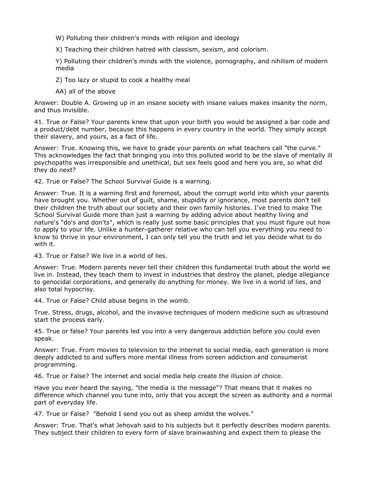W) Polluting their children's minds with religion and ideology

X) Teaching their children hatred with classism, sexism, and colorism.

Y) Polluting their children's minds with the violence, pornography, and nihilism of modern media

Z) Too lazy or stupid to cook a healthy meal

AA) all of the above

Answer: Double A. Growing up in an insane society with insane values makes insanity the norm, and thus invisible.

41. True or False? Your parents knew that upon your birth you would be assigned a bar code and a product/debt number, because this happens in every country in the world. They simply accept their slavery, and yours, as a fact of life.

Answer: True. Knowing this, we have to grade your parents on what teachers call "the curve." This acknowledges the fact that bringing you into this polluted world to be the slave of mentally ill psychopaths was irresponsible and unethical, but sex feels good and here you are, so what did they do next?

42. True or False? The School Survival Guide is a warning.

Answer: True. It is a warning first and foremost, about the corrupt world into which your parents have brought you. Whether out of guilt, shame, stupidity or ignorance, most parents don't tell their children the truth about our society and their own family histories. I've tried to make The School Survival Guide more than just a warning by adding advice about healthy living and nature's "do's and don'ts", which is really just some basic principles that you must figure out how to apply to your life. Unlike a hunter-gatherer relative who can tell you everything you need to know to thrive in your environment, I can only tell you the truth and let you decide what to do with it.

43. True or False? We live in a world of lies.

Answer: True. Modern parents never tell their children this fundamental truth about the world we live in. Instead, they teach them to invest in industries that destroy the planet, pledge allegiance to genocidal corporations, and generally do anything for money. We live in a world of lies, and also total hypocrisy.

44. True or False? Child abuse begins in the womb.

True. Stress, drugs, alcohol, and the invasive techniques of modern medicine such as ultrasound start the process early.

45. True or false? Your parents led you into a very dangerous addiction before you could even speak.

Answer: True. From movies to television to the internet to social media, each generation is more deeply addicted to and suffers more mental illness from screen addiction and consumerist programming.

46. True or False? The internet and social media help create the illusion of choice.

Have you ever heard the saying, "the media is the message"? That means that it makes no difference which channel you tune into, only that you accept the screen as authority and a normal part of everyday life.

47. True or False? "Behold I send you out as sheep amidst the wolves."

Answer: True. That's what Jehovah said to his subjects but it perfectly describes modern parents. They subject their children to every form of slave brainwashing and expect them to please the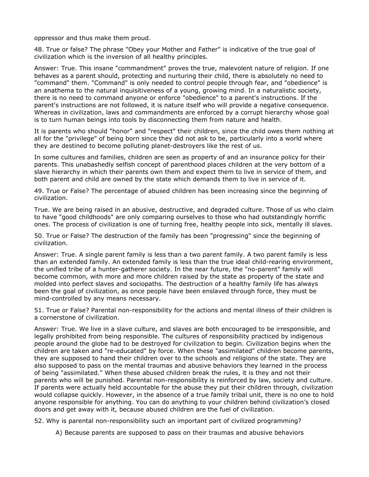oppressor and thus make them proud.

48. True or false? The phrase "Obey your Mother and Father" is indicative of the true goal of civilization which is the inversion of all healthy principles.

Answer: True. This insane "commandment" proves the true, malevolent nature of religion. If one behaves as a parent should, protecting and nurturing their child, there is absolutely no need to "command" them. "Command" is only needed to control people through fear, and "obedience" is an anathema to the natural inquisitiveness of a young, growing mind. In a naturalistic society, there is no need to command anyone or enforce "obedience" to a parent's instructions. If the parent's instructions are not followed, it is nature itself who will provide a negative consequence. Whereas in civilization, laws and commandments are enforced by a corrupt hierarchy whose goal is to turn human beings into tools by disconnecting them from nature and health.

It is parents who should "honor" and "respect" their children, since the child owes them nothing at all for the "privilege" of being born since they did not ask to be, particularly into a world where they are destined to become polluting planet-destroyers like the rest of us.

In some cultures and families, children are seen as property of and an insurance policy for their parents. This unabashedly selfish concept of parenthood places children at the very bottom of a slave hierarchy in which their parents own them and expect them to live in service of them, and both parent and child are owned by the state which demands them to live in service of it.

49. True or False? The percentage of abused children has been increasing since the beginning of civilization.

True. We are being raised in an abusive, destructive, and degraded culture. Those of us who claim to have "good childhoods" are only comparing ourselves to those who had outstandingly horrific ones. The process of civilization is one of turning free, healthy people into sick, mentally ill slaves.

50. True or False? The destruction of the family has been "progressing" since the beginning of civilization.

Answer: True. A single parent family is less than a two parent family. A two parent family is less than an extended family. An extended family is less than the true ideal child-rearing environment, the unified tribe of a hunter-gatherer society. In the near future, the "no-parent" family will become common, with more and more children raised by the state as property of the state and molded into perfect slaves and sociopaths. The destruction of a healthy family life has always been the goal of civilization, as once people have been enslaved through force, they must be mind-controlled by any means necessary.

51. True or False? Parental non-responsibility for the actions and mental illness of their children is a cornerstone of civilization.

Answer: True. We live in a slave culture, and slaves are both encouraged to be irresponsible, and legally prohibited from being responsible. The cultures of responsibility practiced by indigenous people around the globe had to be destroyed for civilization to begin. Civilization begins when the children are taken and "re-educated" by force. When these "assimilated" children become parents, they are supposed to hand their children over to the schools and religions of the state. They are also supposed to pass on the mental traumas and abusive behaviors they learned in the process of being "assimilated." When these abused children break the rules, it is they and not their parents who will be punished. Parental non-responsibility is reinforced by law, society and culture. If parents were actually held accountable for the abuse they put their children through, civilization would collapse quickly. However, in the absence of a true family tribal unit, there is no one to hold anyone responsible for anything. You can do anything to your children behind civilization's closed doors and get away with it, because abused children are the fuel of civilization.

52. Why is parental non-responsibility such an important part of civilized programming?

A) Because parents are supposed to pass on their traumas and abusive behaviors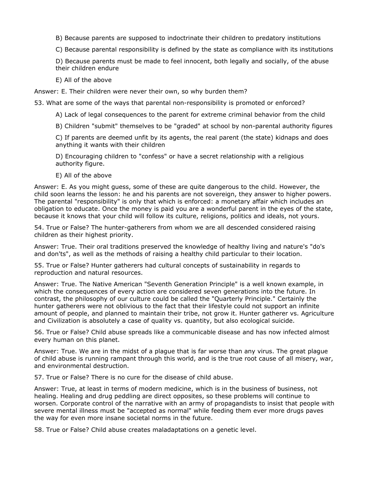B) Because parents are supposed to indoctrinate their children to predatory institutions

C) Because parental responsibility is defined by the state as compliance with its institutions

D) Because parents must be made to feel innocent, both legally and socially, of the abuse their children endure

#### E) All of the above

Answer: E. Their children were never their own, so why burden them?

53. What are some of the ways that parental non-responsibility is promoted or enforced?

A) Lack of legal consequences to the parent for extreme criminal behavior from the child

B) Children "submit" themselves to be "graded" at school by non-parental authority figures

C) If parents are deemed unfit by its agents, the real parent (the state) kidnaps and does anything it wants with their children

D) Encouraging children to "confess" or have a secret relationship with a religious authority figure.

E) All of the above

Answer: E. As you might guess, some of these are quite dangerous to the child. However, the child soon learns the lesson: he and his parents are not sovereign, they answer to higher powers. The parental "responsibility" is only that which is enforced: a monetary affair which includes an obligation to educate. Once the money is paid you are a wonderful parent in the eyes of the state, because it knows that your child will follow its culture, religions, politics and ideals, not vours.

54. True or False? The hunter-gatherers from whom we are all descended considered raising children as their highest priority.

Answer: True. Their oral traditions preserved the knowledge of healthy living and nature's "do's and don'ts", as well as the methods of raising a healthy child particular to their location.

55. True or False? Hunter gatherers had cultural concepts of sustainability in regards to reproduction and natural resources.

Answer: True. The Native American "Seventh Generation Principle" is a well known example, in which the consequences of every action are considered seven generations into the future. In contrast, the philosophy of our culture could be called the "Quarterly Principle." Certainly the hunter gatherers were not oblivious to the fact that their lifestyle could not support an infinite amount of people, and planned to maintain their tribe, not grow it. Hunter gatherer vs. Agriculture and Civilization is absolutely a case of quality vs. quantity, but also ecological suicide.

56. True or False? Child abuse spreads like a communicable disease and has now infected almost every human on this planet.

Answer: True. We are in the midst of a plague that is far worse than any virus. The great plague of child abuse is running rampant through this world, and is the true root cause of all misery, war, and environmental destruction.

57. True or False? There is no cure for the disease of child abuse.

Answer: True, at least in terms of modern medicine, which is in the business of business, not healing. Healing and drug peddling are direct opposites, so these problems will continue to worsen. Corporate control of the narrative with an army of propagandists to insist that people with severe mental illness must be "accepted as normal" while feeding them ever more drugs paves the way for even more insane societal norms in the future.

58. True or False? Child abuse creates maladaptations on a genetic level.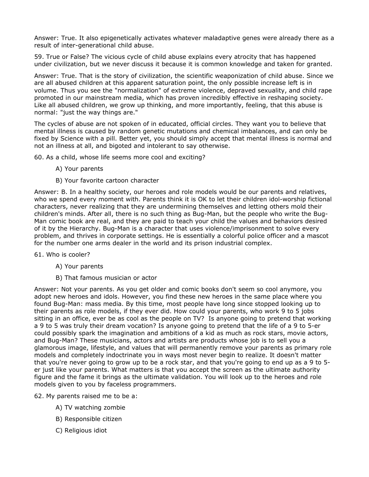Answer: True. It also epigenetically activates whatever maladaptive genes were already there as a result of inter-generational child abuse.

59. True or False? The vicious cycle of child abuse explains every atrocity that has happened under civilization, but we never discuss it because it is common knowledge and taken for granted.

Answer: True. That is the story of civilization, the scientific weaponization of child abuse. Since we are all abused children at this apparent saturation point, the only possible increase left is in volume. Thus you see the "normalization" of extreme violence, depraved sexuality, and child rape promoted in our mainstream media, which has proven incredibly effective in reshaping society. Like all abused children, we grow up thinking, and more importantly, feeling, that this abuse is normal: "just the way things are."

The cycles of abuse are not spoken of in educated, official circles. They want you to believe that mental illness is caused by random genetic mutations and chemical imbalances, and can only be fixed by Science with a pill. Better yet, you should simply accept that mental illness is normal and not an illness at all, and bigoted and intolerant to say otherwise.

60. As a child, whose life seems more cool and exciting?

- A) Your parents
- B) Your favorite cartoon character

Answer: B. In a healthy society, our heroes and role models would be our parents and relatives, who we spend every moment with. Parents think it is OK to let their children idol-worship fictional characters, never realizing that they are undermining themselves and letting others mold their children's minds. After all, there is no such thing as Bug-Man, but the people who write the Bug-Man comic book are real, and they are paid to teach your child the values and behaviors desired of it by the Hierarchy. Bug-Man is a character that uses violence/imprisonment to solve every problem, and thrives in corporate settings. He is essentially a colorful police officer and a mascot for the number one arms dealer in the world and its prison industrial complex.

- 61. Who is cooler?
	- A) Your parents
	- B) That famous musician or actor

Answer: Not your parents. As you get older and comic books don't seem so cool anymore, you adopt new heroes and idols. However, you find these new heroes in the same place where you found Bug-Man: mass media. By this time, most people have long since stopped looking up to their parents as role models, if they ever did. How could your parents, who work 9 to 5 jobs sitting in an office, ever be as cool as the people on TV? Is anyone going to pretend that working a 9 to 5 was truly their dream vocation? Is anyone going to pretend that the life of a 9 to 5-er could possibly spark the imagination and ambitions of a kid as much as rock stars, movie actors, and Bug-Man? These musicians, actors and artists are products whose job is to sell you a glamorous image, lifestyle, and values that will permanently remove your parents as primary role models and completely indoctrinate you in ways most never begin to realize. It doesn't matter that you're never going to grow up to be a rock star, and that you're going to end up as a 9 to 5 er just like your parents. What matters is that you accept the screen as the ultimate authority figure and the fame it brings as the ultimate validation. You will look up to the heroes and role models given to you by faceless programmers.

62. My parents raised me to be a:

- A) TV watching zombie
- B) Responsible citizen
- C) Religious idiot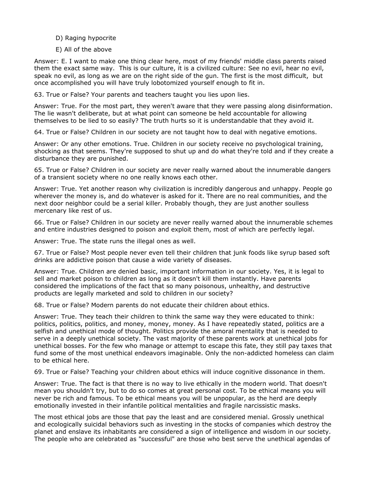- D) Raging hypocrite
- E) All of the above

Answer: E. I want to make one thing clear here, most of my friends' middle class parents raised them the exact same way. This is our culture, it is a civilized culture: See no evil, hear no evil, speak no evil, as long as we are on the right side of the gun. The first is the most difficult, but once accomplished you will have truly lobotomized yourself enough to fit in.

63. True or False? Your parents and teachers taught you lies upon lies.

Answer: True. For the most part, they weren't aware that they were passing along disinformation. The lie wasn't deliberate, but at what point can someone be held accountable for allowing themselves to be lied to so easily? The truth hurts so it is understandable that they avoid it.

64. True or False? Children in our society are not taught how to deal with negative emotions.

Answer: Or any other emotions. True. Children in our society receive no psychological training, shocking as that seems. They're supposed to shut up and do what they're told and if they create a disturbance they are punished.

65. True or False? Children in our society are never really warned about the innumerable dangers of a transient society where no one really knows each other.

Answer: True. Yet another reason why civilization is incredibly dangerous and unhappy. People go wherever the money is, and do whatever is asked for it. There are no real communities, and the next door neighbor could be a serial killer. Probably though, they are just another soulless mercenary like rest of us.

66. True or False? Children in our society are never really warned about the innumerable schemes and entire industries designed to poison and exploit them, most of which are perfectly legal.

Answer: True. The state runs the illegal ones as well.

67. True or False? Most people never even tell their children that junk foods like syrup based soft drinks are addictive poison that cause a wide variety of diseases.

Answer: True. Children are denied basic, important information in our society. Yes, it is legal to sell and market poison to children as long as it doesn't kill them instantly. Have parents considered the implications of the fact that so many poisonous, unhealthy, and destructive products are legally marketed and sold to children in our society?

68. True or False? Modern parents do not educate their children about ethics.

Answer: True. They teach their children to think the same way they were educated to think: politics, politics, politics, and money, money, money. As I have repeatedly stated, politics are a selfish and unethical mode of thought. Politics provide the amoral mentality that is needed to serve in a deeply unethical society. The vast majority of these parents work at unethical jobs for unethical bosses. For the few who manage or attempt to escape this fate, they still pay taxes that fund some of the most unethical endeavors imaginable. Only the non-addicted homeless can claim to be ethical here.

69. True or False? Teaching your children about ethics will induce cognitive dissonance in them.

Answer: True. The fact is that there is no way to live ethically in the modern world. That doesn't mean you shouldn't try, but to do so comes at great personal cost. To be ethical means you will never be rich and famous. To be ethical means you will be unpopular, as the herd are deeply emotionally invested in their infantile political mentalities and fragile narcissistic masks.

The most ethical jobs are those that pay the least and are considered menial. Grossly unethical and ecologically suicidal behaviors such as investing in the stocks of companies which destroy the planet and enslave its inhabitants are considered a sign of intelligence and wisdom in our society. The people who are celebrated as "successful" are those who best serve the unethical agendas of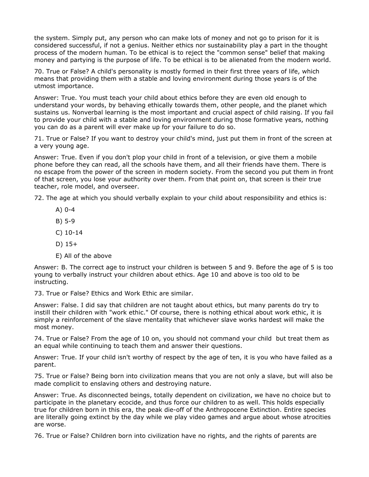the system. Simply put, any person who can make lots of money and not go to prison for it is considered successful, if not a genius. Neither ethics nor sustainability play a part in the thought process of the modern human. To be ethical is to reject the "common sense" belief that making money and partying is the purpose of life. To be ethical is to be alienated from the modern world.

70. True or False? A child's personality is mostly formed in their first three years of life, which means that providing them with a stable and loving environment during those years is of the utmost importance.

Answer: True. You must teach your child about ethics before they are even old enough to understand your words, by behaving ethically towards them, other people, and the planet which sustains us. Nonverbal learning is the most important and crucial aspect of child raising. If you fail to provide your child with a stable and loving environment during those formative years, nothing you can do as a parent will ever make up for your failure to do so.

71. True or False? If you want to destroy your child's mind, just put them in front of the screen at a very young age.

Answer: True. Even if you don't plop your child in front of a television, or give them a mobile phone before they can read, all the schools have them, and all their friends have them. There is no escape from the power of the screen in modern society. From the second you put them in front of that screen, you lose your authority over them. From that point on, that screen is their true teacher, role model, and overseer.

72. The age at which you should verbally explain to your child about responsibility and ethics is:

- A) 0-4
- B) 5-9
- C) 10-14
- D) 15+
- E) All of the above

Answer: B. The correct age to instruct your children is between 5 and 9. Before the age of 5 is too young to verbally instruct your children about ethics. Age 10 and above is too old to be instructing.

73. True or False? Ethics and Work Ethic are similar.

Answer: False. I did say that children are not taught about ethics, but many parents do try to instill their children with "work ethic." Of course, there is nothing ethical about work ethic, it is simply a reinforcement of the slave mentality that whichever slave works hardest will make the most money.

74. True or False? From the age of 10 on, you should not command your child but treat them as an equal while continuing to teach them and answer their questions.

Answer: True. If your child isn't worthy of respect by the age of ten, it is you who have failed as a parent.

75. True or False? Being born into civilization means that you are not only a slave, but will also be made complicit to enslaving others and destroying nature.

Answer: True. As disconnected beings, totally dependent on civilization, we have no choice but to participate in the planetary ecocide, and thus force our children to as well. This holds especially true for children born in this era, the peak die-off of the Anthropocene Extinction. Entire species are literally going extinct by the day while we play video games and argue about whose atrocities are worse.

76. True or False? Children born into civilization have no rights, and the rights of parents are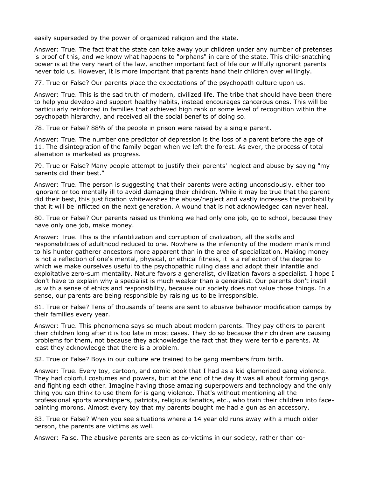easily superseded by the power of organized religion and the state.

Answer: True. The fact that the state can take away your children under any number of pretenses is proof of this, and we know what happens to "orphans" in care of the state. This child-snatching power is at the very heart of the law, another important fact of life our willfully ignorant parents never told us. However, it is more important that parents hand their children over willingly.

77. True or False? Our parents place the expectations of the psychopath culture upon us.

Answer: True. This is the sad truth of modern, civilized life. The tribe that should have been there to help you develop and support healthy habits, instead encourages cancerous ones. This will be particularly reinforced in families that achieved high rank or some level of recognition within the psychopath hierarchy, and received all the social benefits of doing so.

78. True or False? 88% of the people in prison were raised by a single parent.

Answer: True. The number one predictor of depression is the loss of a parent before the age of 11. The disintegration of the family began when we left the forest. As ever, the process of total alienation is marketed as progress.

79. True or False? Many people attempt to justify their parents' neglect and abuse by saying "my parents did their best."

Answer: True. The person is suggesting that their parents were acting unconsciously, either too ignorant or too mentally ill to avoid damaging their children. While it may be true that the parent did their best, this justification whitewashes the abuse/neglect and vastly increases the probability that it will be inflicted on the next generation. A wound that is not acknowledged can never heal.

80. True or False? Our parents raised us thinking we had only one job, go to school, because they have only one job, make money.

Answer: True. This is the infantilization and corruption of civilization, all the skills and responsibilities of adulthood reduced to one. Nowhere is the inferiority of the modern man's mind to his hunter gatherer ancestors more apparent than in the area of specialization. Making money is not a reflection of one's mental, physical, or ethical fitness, it is a reflection of the degree to which we make ourselves useful to the psychopathic ruling class and adopt their infantile and exploitative zero-sum mentality. Nature favors a generalist, civilization favors a specialist. I hope I don't have to explain why a specialist is much weaker than a generalist. Our parents don't instill us with a sense of ethics and responsibility, because our society does not value those things. In a sense, our parents are being responsible by raising us to be irresponsible.

81. True or False? Tens of thousands of teens are sent to abusive behavior modification camps by their families every year.

Answer: True. This phenomena says so much about modern parents. They pay others to parent their children long after it is too late in most cases. They do so because their children are causing problems for them, not because they acknowledge the fact that they were terrible parents. At least they acknowledge that there is a problem.

82. True or False? Boys in our culture are trained to be gang members from birth.

Answer: True. Every toy, cartoon, and comic book that I had as a kid glamorized gang violence. They had colorful costumes and powers, but at the end of the day it was all about forming gangs and fighting each other. Imagine having those amazing superpowers and technology and the only thing you can think to use them for is gang violence. That's without mentioning all the professional sports worshippers, patriots, religious fanatics, etc., who train their children into facepainting morons. Almost every toy that my parents bought me had a gun as an accessory.

83. True or False? When you see situations where a 14 year old runs away with a much older person, the parents are victims as well.

Answer: False. The abusive parents are seen as co-victims in our society, rather than co-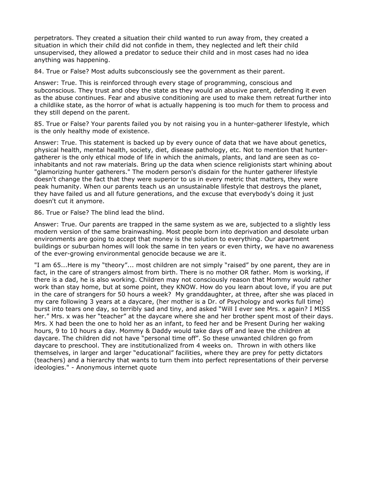perpetrators. They created a situation their child wanted to run away from, they created a situation in which their child did not confide in them, they neglected and left their child unsupervised, they allowed a predator to seduce their child and in most cases had no idea anything was happening.

84. True or False? Most adults subconsciously see the government as their parent.

Answer: True. This is reinforced through every stage of programming, conscious and subconscious. They trust and obey the state as they would an abusive parent, defending it even as the abuse continues. Fear and abusive conditioning are used to make them retreat further into a childlike state, as the horror of what is actually happening is too much for them to process and they still depend on the parent.

85. True or False? Your parents failed you by not raising you in a hunter-gatherer lifestyle, which is the only healthy mode of existence.

Answer: True. This statement is backed up by every ounce of data that we have about genetics, physical health, mental health, society, diet, disease pathology, etc. Not to mention that huntergatherer is the only ethical mode of life in which the animals, plants, and land are seen as coinhabitants and not raw materials. Bring up the data when science religionists start whining about "glamorizing hunter gatherers." The modern person's disdain for the hunter gatherer lifestyle doesn't change the fact that they were superior to us in every metric that matters, they were peak humanity. When our parents teach us an unsustainable lifestyle that destroys the planet, they have failed us and all future generations, and the excuse that everybody's doing it just doesn't cut it anymore.

86. True or False? The blind lead the blind.

Answer: True. Our parents are trapped in the same system as we are, subjected to a slightly less modern version of the same brainwashing. Most people born into deprivation and desolate urban environments are going to accept that money is the solution to everything. Our apartment buildings or suburban homes will look the same in ten years or even thirty, we have no awareness of the ever-growing environmental genocide because we are it.

"I am 65...Here is my "theory"... most children are not simply "raised" by one parent, they are in fact, in the care of strangers almost from birth. There is no mother OR father. Mom is working, if there is a dad, he is also working. Children may not consciously reason that Mommy would rather work than stay home, but at some point, they KNOW. How do you learn about love, if you are put in the care of strangers for 50 hours a week? My granddaughter, at three, after she was placed in my care following 3 years at a daycare, (her mother is a Dr. of Psychology and works full time) burst into tears one day, so terribly sad and tiny, and asked "Will I ever see Mrs. x again? I MISS her." Mrs. x was her "teacher" at the daycare where she and her brother spent most of their days. Mrs. X had been the one to hold her as an infant, to feed her and be Present During her waking hours, 9 to 10 hours a day. Mommy & Daddy would take days off and leave the children at daycare. The children did not have "personal time off". So these unwanted children go from daycare to preschool. They are institutionalized from 4 weeks on. Thrown in with others like themselves, in larger and larger "educational" facilities, where they are prey for petty dictators (teachers) and a hierarchy that wants to turn them into perfect representations of their perverse ideologies." - Anonymous internet quote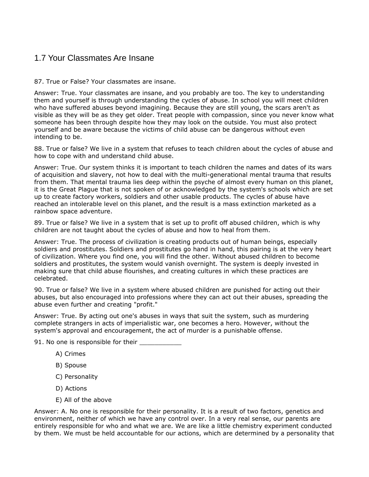#### <span id="page-29-0"></span>1.7 Your Classmates Are Insane

87. True or False? Your classmates are insane.

Answer: True. Your classmates are insane, and you probably are too. The key to understanding them and yourself is through understanding the cycles of abuse. In school you will meet children who have suffered abuses beyond imagining. Because they are still young, the scars aren't as visible as they will be as they get older. Treat people with compassion, since you never know what someone has been through despite how they may look on the outside. You must also protect yourself and be aware because the victims of child abuse can be dangerous without even intending to be.

88. True or false? We live in a system that refuses to teach children about the cycles of abuse and how to cope with and understand child abuse.

Answer: True. Our system thinks it is important to teach children the names and dates of its wars of acquisition and slavery, not how to deal with the multi-generational mental trauma that results from them. That mental trauma lies deep within the psyche of almost every human on this planet, it is the Great Plague that is not spoken of or acknowledged by the system's schools which are set up to create factory workers, soldiers and other usable products. The cycles of abuse have reached an intolerable level on this planet, and the result is a mass extinction marketed as a rainbow space adventure.

89. True or false? We live in a system that is set up to profit off abused children, which is why children are not taught about the cycles of abuse and how to heal from them.

Answer: True. The process of civilization is creating products out of human beings, especially soldiers and prostitutes. Soldiers and prostitutes go hand in hand, this pairing is at the very heart of civilization. Where you find one, you will find the other. Without abused children to become soldiers and prostitutes, the system would vanish overnight. The system is deeply invested in making sure that child abuse flourishes, and creating cultures in which these practices are celebrated.

90. True or false? We live in a system where abused children are punished for acting out their abuses, but also encouraged into professions where they can act out their abuses, spreading the abuse even further and creating "profit."

Answer: True. By acting out one's abuses in ways that suit the system, such as murdering complete strangers in acts of imperialistic war, one becomes a hero. However, without the system's approval and encouragement, the act of murder is a punishable offense.

- 91. No one is responsible for their
	- A) Crimes
	- B) Spouse
	- C) Personality
	- D) Actions
	- E) All of the above

Answer: A. No one is responsible for their personality. It is a result of two factors, genetics and environment, neither of which we have any control over. In a very real sense, our parents are entirely responsible for who and what we are. We are like a little chemistry experiment conducted by them. We must be held accountable for our actions, which are determined by a personality that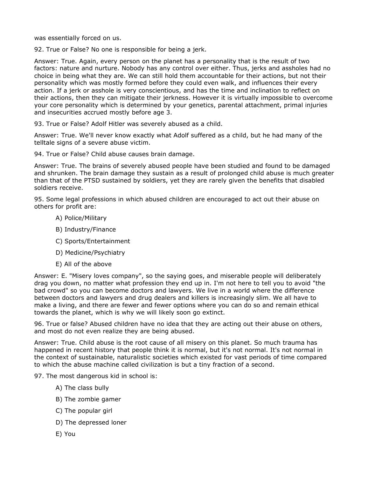was essentially forced on us.

92. True or False? No one is responsible for being a jerk.

Answer: True. Again, every person on the planet has a personality that is the result of two factors: nature and nurture. Nobody has any control over either. Thus, jerks and assholes had no choice in being what they are. We can still hold them accountable for their actions, but not their personality which was mostly formed before they could even walk, and influences their every action. If a jerk or asshole is very conscientious, and has the time and inclination to reflect on their actions, then they can mitigate their jerkness. However it is virtually impossible to overcome your core personality which is determined by your genetics, parental attachment, primal injuries and insecurities accrued mostly before age 3.

93. True or False? Adolf Hitler was severely abused as a child.

Answer: True. We'll never know exactly what Adolf suffered as a child, but he had many of the telltale signs of a severe abuse victim.

94. True or False? Child abuse causes brain damage.

Answer: True. The brains of severely abused people have been studied and found to be damaged and shrunken. The brain damage they sustain as a result of prolonged child abuse is much greater than that of the PTSD sustained by soldiers, yet they are rarely given the benefits that disabled soldiers receive.

95. Some legal professions in which abused children are encouraged to act out their abuse on others for profit are:

- A) Police/Military
- B) Industry/Finance
- C) Sports/Entertainment
- D) Medicine/Psychiatry
- E) All of the above

Answer: E. "Misery loves company", so the saying goes, and miserable people will deliberately drag you down, no matter what profession they end up in. I'm not here to tell you to avoid "the bad crowd" so you can become doctors and lawyers. We live in a world where the difference between doctors and lawyers and drug dealers and killers is increasingly slim. We all have to make a living, and there are fewer and fewer options where you can do so and remain ethical towards the planet, which is why we will likely soon go extinct.

96. True or false? Abused children have no idea that they are acting out their abuse on others, and most do not even realize they are being abused.

Answer: True. Child abuse is the root cause of all misery on this planet. So much trauma has happened in recent history that people think it is normal, but it's not normal. It's not normal in the context of sustainable, naturalistic societies which existed for vast periods of time compared to which the abuse machine called civilization is but a tiny fraction of a second.

97. The most dangerous kid in school is:

- A) The class bully
- B) The zombie gamer
- C) The popular girl
- D) The depressed loner
- E) You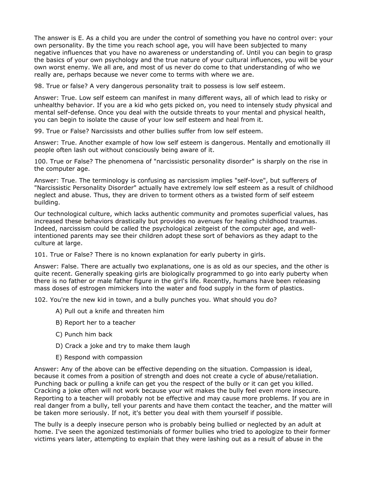The answer is E. As a child you are under the control of something you have no control over: your own personality. By the time you reach school age, you will have been subjected to many negative influences that you have no awareness or understanding of. Until you can begin to grasp the basics of your own psychology and the true nature of your cultural influences, you will be your own worst enemy. We all are, and most of us never do come to that understanding of who we really are, perhaps because we never come to terms with where we are.

98. True or false? A very dangerous personality trait to possess is low self esteem.

Answer: True. Low self esteem can manifest in many different ways, all of which lead to risky or unhealthy behavior. If you are a kid who gets picked on, you need to intensely study physical and mental self-defense. Once you deal with the outside threats to your mental and physical health, you can begin to isolate the cause of your low self esteem and heal from it.

99. True or False? Narcissists and other bullies suffer from low self esteem.

Answer: True. Another example of how low self esteem is dangerous. Mentally and emotionally ill people often lash out without consciously being aware of it.

100. True or False? The phenomena of "narcissistic personality disorder" is sharply on the rise in the computer age.

Answer: True. The terminology is confusing as narcissism implies "self-love", but sufferers of "Narcissistic Personality Disorder" actually have extremely low self esteem as a result of childhood neglect and abuse. Thus, they are driven to torment others as a twisted form of self esteem building.

Our technological culture, which lacks authentic community and promotes superficial values, has increased these behaviors drastically but provides no avenues for healing childhood traumas. Indeed, narcissism could be called the psychological zeitgeist of the computer age, and wellintentioned parents may see their children adopt these sort of behaviors as they adapt to the culture at large.

101. True or False? There is no known explanation for early puberty in girls.

Answer: False. There are actually two explanations, one is as old as our species, and the other is quite recent. Generally speaking girls are biologically programmed to go into early puberty when there is no father or male father figure in the girl's life. Recently, humans have been releasing mass doses of estrogen mimickers into the water and food supply in the form of plastics.

102. You're the new kid in town, and a bully punches you. What should you do?

- A) Pull out a knife and threaten him
- B) Report her to a teacher
- C) Punch him back
- D) Crack a joke and try to make them laugh
- E) Respond with compassion

Answer: Any of the above can be effective depending on the situation. Compassion is ideal, because it comes from a position of strength and does not create a cycle of abuse/retaliation. Punching back or pulling a knife can get you the respect of the bully or it can get you killed. Cracking a joke often will not work because your wit makes the bully feel even more insecure. Reporting to a teacher will probably not be effective and may cause more problems. If you are in real danger from a bully, tell your parents and have them contact the teacher, and the matter will be taken more seriously. If not, it's better you deal with them yourself if possible.

The bully is a deeply insecure person who is probably being bullied or neglected by an adult at home. I've seen the agonized testimonials of former bullies who tried to apologize to their former victims years later, attempting to explain that they were lashing out as a result of abuse in the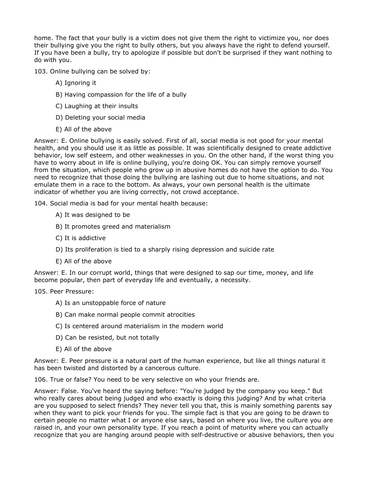home. The fact that your bully is a victim does not give them the right to victimize you, nor does their bullying give you the right to bully others, but you always have the right to defend yourself. If you have been a bully, try to apologize if possible but don't be surprised if they want nothing to do with you.

103. Online bullying can be solved by:

- A) Ignoring it
- B) Having compassion for the life of a bully
- C) Laughing at their insults
- D) Deleting your social media
- E) All of the above

Answer: E. Online bullying is easily solved. First of all, social media is not good for your mental health, and you should use it as little as possible. It was scientifically designed to create addictive behavior, low self esteem, and other weaknesses in you. On the other hand, if the worst thing you have to worry about in life is online bullying, you're doing OK. You can simply remove yourself from the situation, which people who grow up in abusive homes do not have the option to do. You need to recognize that those doing the bullying are lashing out due to home situations, and not emulate them in a race to the bottom. As always, your own personal health is the ultimate indicator of whether you are living correctly, not crowd acceptance.

104. Social media is bad for your mental health because:

- A) It was designed to be
- B) It promotes greed and materialism
- C) It is addictive
- D) Its proliferation is tied to a sharply rising depression and suicide rate
- E) All of the above

Answer: E. In our corrupt world, things that were designed to sap our time, money, and life become popular, then part of everyday life and eventually, a necessity.

#### 105. Peer Pressure:

- A) Is an unstoppable force of nature
- B) Can make normal people commit atrocities
- C) Is centered around materialism in the modern world
- D) Can be resisted, but not totally
- E) All of the above

Answer: E. Peer pressure is a natural part of the human experience, but like all things natural it has been twisted and distorted by a cancerous culture.

106. True or false? You need to be very selective on who your friends are.

Answer: False. You've heard the saying before: "You're judged by the company you keep." But who really cares about being judged and who exactly is doing this judging? And by what criteria are you supposed to select friends? They never tell you that, this is mainly something parents say when they want to pick your friends for you. The simple fact is that you are going to be drawn to certain people no matter what I or anyone else says, based on where you live, the culture you are raised in, and your own personality type. If you reach a point of maturity where you can actually recognize that you are hanging around people with self-destructive or abusive behaviors, then you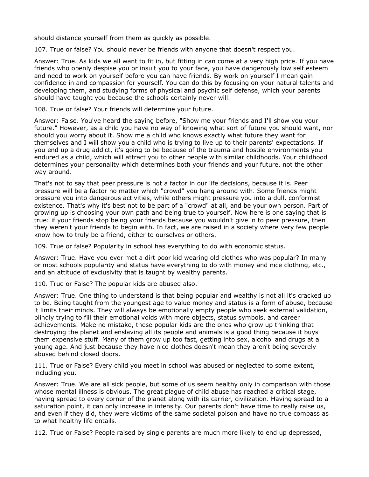should distance yourself from them as quickly as possible.

107. True or false? You should never be friends with anyone that doesn't respect you.

Answer: True. As kids we all want to fit in, but fitting in can come at a very high price. If you have friends who openly despise you or insult you to your face, you have dangerously low self esteem and need to work on yourself before you can have friends. By work on yourself I mean gain confidence in and compassion for yourself. You can do this by focusing on your natural talents and developing them, and studying forms of physical and psychic self defense, which your parents should have taught you because the schools certainly never will.

108. True or false? Your friends will determine your future.

Answer: False. You've heard the saying before, "Show me your friends and I'll show you your future." However, as a child you have no way of knowing what sort of future you should want, nor should you worry about it. Show me a child who knows exactly what future they want for themselves and I will show you a child who is trying to live up to their parents' expectations. If you end up a drug addict, it's going to be because of the trauma and hostile environments you endured as a child, which will attract you to other people with similar childhoods. Your childhood determines your personality which determines both your friends and your future, not the other way around.

That's not to say that peer pressure is not a factor in our life decisions, because it is. Peer pressure will be a factor no matter which "crowd" you hang around with. Some friends might pressure you into dangerous activities, while others might pressure you into a dull, conformist existence. That's why it's best not to be part of a "crowd" at all, and be your own person. Part of growing up is choosing your own path and being true to yourself. Now here is one saying that is true: if your friends stop being your friends because you wouldn't give in to peer pressure, then they weren't your friends to begin with. In fact, we are raised in a society where very few people know how to truly be a friend, either to ourselves or others.

109. True or false? Popularity in school has everything to do with economic status.

Answer: True. Have you ever met a dirt poor kid wearing old clothes who was popular? In many or most schools popularity and status have everything to do with money and nice clothing, etc., and an attitude of exclusivity that is taught by wealthy parents.

110. True or False? The popular kids are abused also.

Answer: True. One thing to understand is that being popular and wealthy is not all it's cracked up to be. Being taught from the youngest age to value money and status is a form of abuse, because it limits their minds. They will always be emotionally empty people who seek external validation, blindly trying to fill their emotional voids with more objects, status symbols, and career achievements. Make no mistake, these popular kids are the ones who grow up thinking that destroying the planet and enslaving all its people and animals is a good thing because it buys them expensive stuff. Many of them grow up too fast, getting into sex, alcohol and drugs at a young age. And just because they have nice clothes doesn't mean they aren't being severely abused behind closed doors.

111. True or False? Every child you meet in school was abused or neglected to some extent, including you.

Answer: True. We are all sick people, but some of us seem healthy only in comparison with those whose mental illness is obvious. The great plague of child abuse has reached a critical stage, having spread to every corner of the planet along with its carrier, civilization. Having spread to a saturation point, it can only increase in intensity. Our parents don't have time to really raise us, and even if they did, they were victims of the same societal poison and have no true compass as to what healthy life entails.

112. True or False? People raised by single parents are much more likely to end up depressed,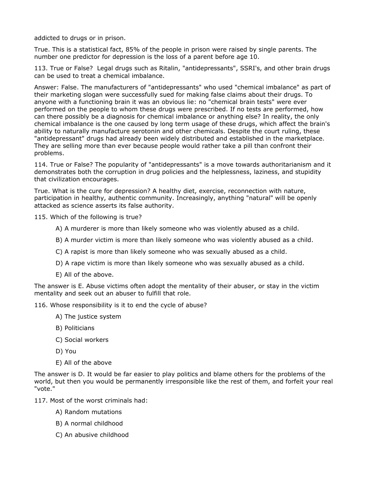addicted to drugs or in prison.

True. This is a statistical fact, 85% of the people in prison were raised by single parents. The number one predictor for depression is the loss of a parent before age 10.

113. True or False? Legal drugs such as Ritalin, "antidepressants", SSRI's, and other brain drugs can be used to treat a chemical imbalance.

Answer: False. The manufacturers of "antidepressants" who used "chemical imbalance" as part of their marketing slogan were successfully sued for making false claims about their drugs. To anyone with a functioning brain it was an obvious lie: no "chemical brain tests" were ever performed on the people to whom these drugs were prescribed. If no tests are performed, how can there possibly be a diagnosis for chemical imbalance or anything else? In reality, the only chemical imbalance is the one caused by long term usage of these drugs, which affect the brain's ability to naturally manufacture serotonin and other chemicals. Despite the court ruling, these "antidepressant" drugs had already been widely distributed and established in the marketplace. They are selling more than ever because people would rather take a pill than confront their problems.

114. True or False? The popularity of "antidepressants" is a move towards authoritarianism and it demonstrates both the corruption in drug policies and the helplessness, laziness, and stupidity that civilization encourages.

True. What is the cure for depression? A healthy diet, exercise, reconnection with nature, participation in healthy, authentic community. Increasingly, anything "natural" will be openly attacked as science asserts its false authority.

115. Which of the following is true?

- A) A murderer is more than likely someone who was violently abused as a child.
- B) A murder victim is more than likely someone who was violently abused as a child.
- C) A rapist is more than likely someone who was sexually abused as a child.
- D) A rape victim is more than likely someone who was sexually abused as a child.
- E) All of the above.

The answer is E. Abuse victims often adopt the mentality of their abuser, or stay in the victim mentality and seek out an abuser to fulfill that role.

116. Whose responsibility is it to end the cycle of abuse?

- A) The justice system
- B) Politicians
- C) Social workers
- D) You
- E) All of the above

The answer is D. It would be far easier to play politics and blame others for the problems of the world, but then you would be permanently irresponsible like the rest of them, and forfeit your real "vote."

117. Most of the worst criminals had:

- A) Random mutations
- B) A normal childhood
- C) An abusive childhood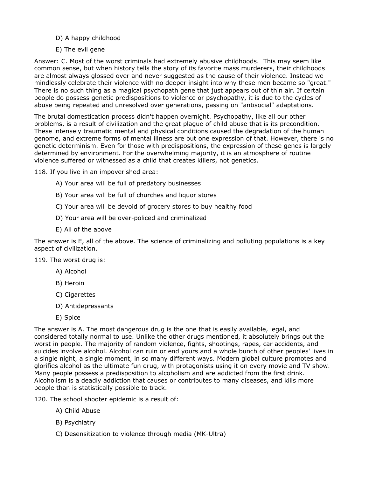- D) A happy childhood
- E) The evil gene

Answer: C. Most of the worst criminals had extremely abusive childhoods. This may seem like common sense, but when history tells the story of its favorite mass murderers, their childhoods are almost always glossed over and never suggested as the cause of their violence. Instead we mindlessly celebrate their violence with no deeper insight into why these men became so "great." There is no such thing as a magical psychopath gene that just appears out of thin air. If certain people do possess genetic predispositions to violence or psychopathy, it is due to the cycles of abuse being repeated and unresolved over generations, passing on "antisocial" adaptations.

The brutal domestication process didn't happen overnight. Psychopathy, like all our other problems, is a result of civilization and the great plague of child abuse that is its precondition. These intensely traumatic mental and physical conditions caused the degradation of the human genome, and extreme forms of mental illness are but one expression of that. However, there is no genetic determinism. Even for those with predispositions, the expression of these genes is largely determined by environment. For the overwhelming majority, it is an atmosphere of routine violence suffered or witnessed as a child that creates killers, not genetics.

118. If you live in an impoverished area:

- A) Your area will be full of predatory businesses
- B) Your area will be full of churches and liquor stores
- C) Your area will be devoid of grocery stores to buy healthy food
- D) Your area will be over-policed and criminalized
- E) All of the above

The answer is E, all of the above. The science of criminalizing and polluting populations is a key aspect of civilization.

119. The worst drug is:

- A) Alcohol
- B) Heroin
- C) Cigarettes
- D) Antidepressants
- E) Spice

The answer is A. The most dangerous drug is the one that is easily available, legal, and considered totally normal to use. Unlike the other drugs mentioned, it absolutely brings out the worst in people. The majority of random violence, fights, shootings, rapes, car accidents, and suicides involve alcohol. Alcohol can ruin or end yours and a whole bunch of other peoples' lives in a single night, a single moment, in so many different ways. Modern global culture promotes and glorifies alcohol as the ultimate fun drug, with protagonists using it on every movie and TV show. Many people possess a predisposition to alcoholism and are addicted from the first drink. Alcoholism is a deadly addiction that causes or contributes to many diseases, and kills more people than is statistically possible to track.

120. The school shooter epidemic is a result of:

- A) Child Abuse
- B) Psychiatry
- C) Desensitization to violence through media (MK-Ultra)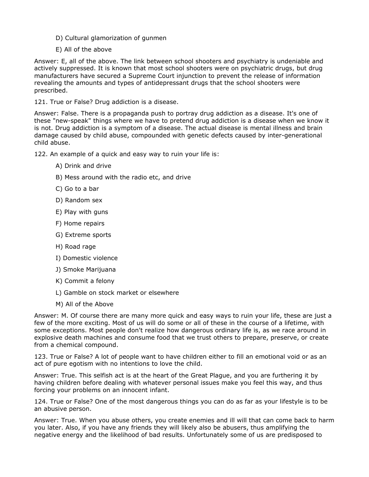- D) Cultural glamorization of gunmen
- E) All of the above

Answer: E, all of the above. The link between school shooters and psychiatry is undeniable and actively suppressed. It is known that most school shooters were on psychiatric drugs, but drug manufacturers have secured a Supreme Court injunction to prevent the release of information revealing the amounts and types of antidepressant drugs that the school shooters were prescribed.

121. True or False? Drug addiction is a disease.

Answer: False. There is a propaganda push to portray drug addiction as a disease. It's one of these "new-speak" things where we have to pretend drug addiction is a disease when we know it is not. Drug addiction is a symptom of a disease. The actual disease is mental illness and brain damage caused by child abuse, compounded with genetic defects caused by inter-generational child abuse.

122. An example of a quick and easy way to ruin your life is:

- A) Drink and drive
- B) Mess around with the radio etc, and drive
- C) Go to a bar
- D) Random sex
- E) Play with guns
- F) Home repairs
- G) Extreme sports
- H) Road rage
- I) Domestic violence
- J) Smoke Marijuana
- K) Commit a felony
- L) Gamble on stock market or elsewhere
- M) All of the Above

Answer: M. Of course there are many more quick and easy ways to ruin your life, these are just a few of the more exciting. Most of us will do some or all of these in the course of a lifetime, with some exceptions. Most people don't realize how dangerous ordinary life is, as we race around in explosive death machines and consume food that we trust others to prepare, preserve, or create from a chemical compound.

123. True or False? A lot of people want to have children either to fill an emotional void or as an act of pure egotism with no intentions to love the child.

Answer: True. This selfish act is at the heart of the Great Plague, and you are furthering it by having children before dealing with whatever personal issues make you feel this way, and thus forcing your problems on an innocent infant.

124. True or False? One of the most dangerous things you can do as far as your lifestyle is to be an abusive person.

Answer: True. When you abuse others, you create enemies and ill will that can come back to harm you later. Also, if you have any friends they will likely also be abusers, thus amplifying the negative energy and the likelihood of bad results. Unfortunately some of us are predisposed to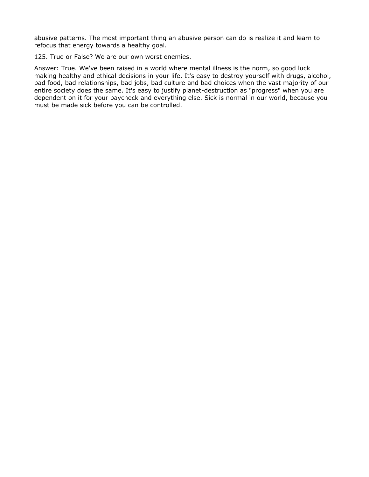abusive patterns. The most important thing an abusive person can do is realize it and learn to refocus that energy towards a healthy goal.

125. True or False? We are our own worst enemies.

Answer: True. We've been raised in a world where mental illness is the norm, so good luck making healthy and ethical decisions in your life. It's easy to destroy yourself with drugs, alcohol, bad food, bad relationships, bad jobs, bad culture and bad choices when the vast majority of our entire society does the same. It's easy to justify planet-destruction as "progress" when you are dependent on it for your paycheck and everything else. Sick is normal in our world, because you must be made sick before you can be controlled.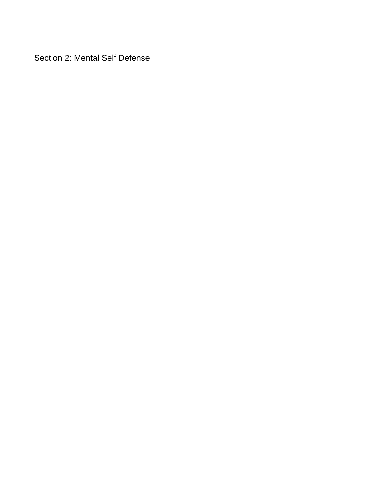Section 2: Mental Self Defense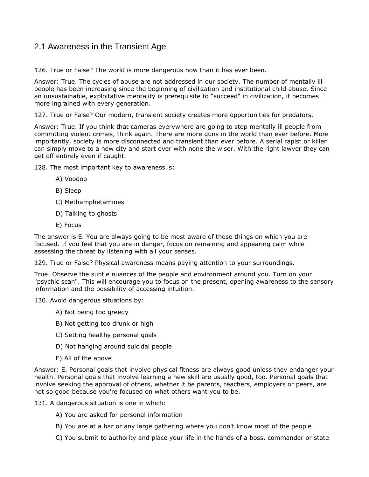# 2.1 Awareness in the Transient Age

126. True or False? The world is more dangerous now than it has ever been.

Answer: True. The cycles of abuse are not addressed in our society. The number of mentally ill people has been increasing since the beginning of civilization and institutional child abuse. Since an unsustainable, exploitative mentality is prerequisite to "succeed" in civilization, it becomes more ingrained with every generation.

127. True or False? Our modern, transient society creates more opportunities for predators.

Answer: True. If you think that cameras everywhere are going to stop mentally ill people from committing violent crimes, think again. There are more guns in the world than ever before. More importantly, society is more disconnected and transient than ever before. A serial rapist or killer can simply move to a new city and start over with none the wiser. With the right lawyer they can get off entirely even if caught.

128. The most important key to awareness is:

- A) Voodoo
- B) Sleep
- C) Methamphetamines
- D) Talking to ghosts
- E) Focus

The answer is E. You are always going to be most aware of those things on which you are focused. If you feel that you are in danger, focus on remaining and appearing calm while assessing the threat by listening with all your senses.

129. True or False? Physical awareness means paying attention to your surroundings.

True. Observe the subtle nuances of the people and environment around you. Turn on your "psychic scan". This will encourage you to focus on the present, opening awareness to the sensory information and the possibility of accessing intuition.

130. Avoid dangerous situations by:

- A) Not being too greedy
- B) Not getting too drunk or high
- C) Setting healthy personal goals
- D) Not hanging around suicidal people
- E) All of the above

Answer: E. Personal goals that involve physical fitness are always good unless they endanger your health. Personal goals that involve learning a new skill are usually good, too. Personal goals that involve seeking the approval of others, whether it be parents, teachers, employers or peers, are not so good because you're focused on what others want you to be.

131. A dangerous situation is one in which:

- A) You are asked for personal information
- B) You are at a bar or any large gathering where you don't know most of the people
- C) You submit to authority and place your life in the hands of a boss, commander or state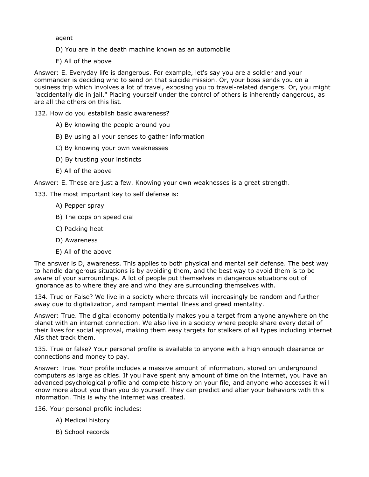### agent

- D) You are in the death machine known as an automobile
- E) All of the above

Answer: E. Everyday life is dangerous. For example, let's say you are a soldier and your commander is deciding who to send on that suicide mission. Or, your boss sends you on a business trip which involves a lot of travel, exposing you to travel-related dangers. Or, you might "accidentally die in jail." Placing yourself under the control of others is inherently dangerous, as are all the others on this list.

132. How do you establish basic awareness?

- A) By knowing the people around you
- B) By using all your senses to gather information
- C) By knowing your own weaknesses
- D) By trusting your instincts
- E) All of the above

Answer: E. These are just a few. Knowing your own weaknesses is a great strength.

133. The most important key to self defense is:

- A) Pepper spray
- B) The cops on speed dial
- C) Packing heat
- D) Awareness
- E) All of the above

The answer is D, awareness. This applies to both physical and mental self defense. The best way to handle dangerous situations is by avoiding them, and the best way to avoid them is to be aware of your surroundings. A lot of people put themselves in dangerous situations out of ignorance as to where they are and who they are surrounding themselves with.

134. True or False? We live in a society where threats will increasingly be random and further away due to digitalization, and rampant mental illness and greed mentality.

Answer: True. The digital economy potentially makes you a target from anyone anywhere on the planet with an internet connection. We also live in a society where people share every detail of their lives for social approval, making them easy targets for stalkers of all types including internet AIs that track them.

135. True or false? Your personal profile is available to anyone with a high enough clearance or connections and money to pay.

Answer: True. Your profile includes a massive amount of information, stored on underground computers as large as cities. If you have spent any amount of time on the internet, you have an advanced psychological profile and complete history on your file, and anyone who accesses it will know more about you than you do yourself. They can predict and alter your behaviors with this information. This is why the internet was created.

136. Your personal profile includes:

- A) Medical history
- B) School records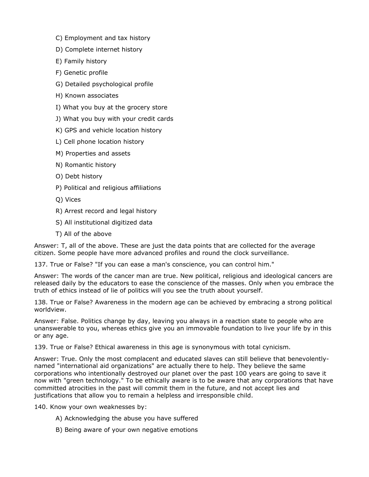- C) Employment and tax history
- D) Complete internet history
- E) Family history
- F) Genetic profile
- G) Detailed psychological profile
- H) Known associates
- I) What you buy at the grocery store
- J) What you buy with your credit cards
- K) GPS and vehicle location history
- L) Cell phone location history
- M) Properties and assets
- N) Romantic history
- O) Debt history
- P) Political and religious affiliations
- Q) Vices
- R) Arrest record and legal history
- S) All institutional digitized data
- T) All of the above

Answer: T, all of the above. These are just the data points that are collected for the average citizen. Some people have more advanced profiles and round the clock surveillance.

137. True or False? "If you can ease a man's conscience, you can control him."

Answer: The words of the cancer man are true. New political, religious and ideological cancers are released daily by the educators to ease the conscience of the masses. Only when you embrace the truth of ethics instead of lie of politics will you see the truth about yourself.

138. True or False? Awareness in the modern age can be achieved by embracing a strong political worldview.

Answer: False. Politics change by day, leaving you always in a reaction state to people who are unanswerable to you, whereas ethics give you an immovable foundation to live your life by in this or any age.

139. True or False? Ethical awareness in this age is synonymous with total cynicism.

Answer: True. Only the most complacent and educated slaves can still believe that benevolentlynamed "international aid organizations" are actually there to help. They believe the same corporations who intentionally destroyed our planet over the past 100 years are going to save it now with "green technology." To be ethically aware is to be aware that any corporations that have committed atrocities in the past will commit them in the future, and not accept lies and justifications that allow you to remain a helpless and irresponsible child.

140. Know your own weaknesses by:

- A) Acknowledging the abuse you have suffered
- B) Being aware of your own negative emotions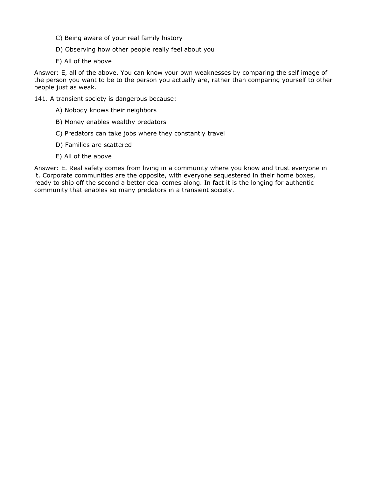- C) Being aware of your real family history
- D) Observing how other people really feel about you
- E) All of the above

Answer: E, all of the above. You can know your own weaknesses by comparing the self image of the person you want to be to the person you actually are, rather than comparing yourself to other people just as weak.

- 141. A transient society is dangerous because:
	- A) Nobody knows their neighbors
	- B) Money enables wealthy predators
	- C) Predators can take jobs where they constantly travel
	- D) Families are scattered
	- E) All of the above

Answer: E. Real safety comes from living in a community where you know and trust everyone in it. Corporate communities are the opposite, with everyone sequestered in their home boxes, ready to ship off the second a better deal comes along. In fact it is the longing for authentic community that enables so many predators in a transient society.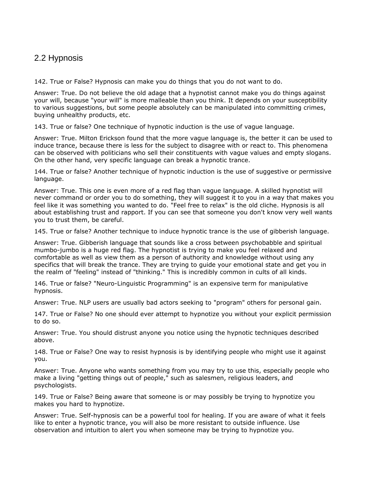### 2.2 Hypnosis

142. True or False? Hypnosis can make you do things that you do not want to do.

Answer: True. Do not believe the old adage that a hypnotist cannot make you do things against your will, because "your will" is more malleable than you think. It depends on your susceptibility to various suggestions, but some people absolutely can be manipulated into committing crimes, buying unhealthy products, etc.

143. True or false? One technique of hypnotic induction is the use of vague language.

Answer: True. Milton Erickson found that the more vague language is, the better it can be used to induce trance, because there is less for the subject to disagree with or react to. This phenomena can be observed with politicians who sell their constituents with vague values and empty slogans. On the other hand, very specific language can break a hypnotic trance.

144. True or false? Another technique of hypnotic induction is the use of suggestive or permissive language.

Answer: True. This one is even more of a red flag than vague language. A skilled hypnotist will never command or order you to do something, they will suggest it to you in a way that makes you feel like it was something you wanted to do. "Feel free to relax" is the old cliche. Hypnosis is all about establishing trust and rapport. If you can see that someone you don't know very well wants you to trust them, be careful.

145. True or false? Another technique to induce hypnotic trance is the use of gibberish language.

Answer: True. Gibberish language that sounds like a cross between psychobabble and spiritual mumbo-jumbo is a huge red flag. The hypnotist is trying to make you feel relaxed and comfortable as well as view them as a person of authority and knowledge without using any specifics that will break the trance. They are trying to guide your emotional state and get you in the realm of "feeling" instead of "thinking." This is incredibly common in cults of all kinds.

146. True or false? "Neuro-Linguistic Programming" is an expensive term for manipulative hypnosis.

Answer: True. NLP users are usually bad actors seeking to "program" others for personal gain.

147. True or False? No one should ever attempt to hypnotize you without your explicit permission to do so.

Answer: True. You should distrust anyone you notice using the hypnotic techniques described above.

148. True or False? One way to resist hypnosis is by identifying people who might use it against you.

Answer: True. Anyone who wants something from you may try to use this, especially people who make a living "getting things out of people," such as salesmen, religious leaders, and psychologists.

149. True or False? Being aware that someone is or may possibly be trying to hypnotize you makes you hard to hypnotize.

Answer: True. Self-hypnosis can be a powerful tool for healing. If you are aware of what it feels like to enter a hypnotic trance, you will also be more resistant to outside influence. Use observation and intuition to alert you when someone may be trying to hypnotize you.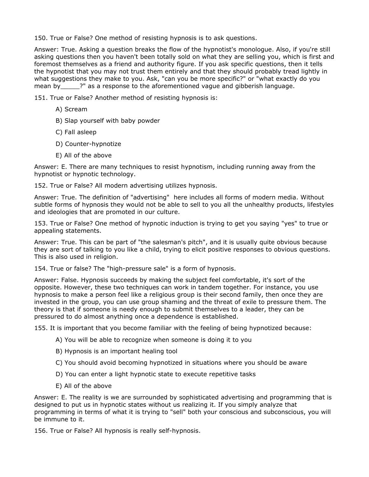150. True or False? One method of resisting hypnosis is to ask questions.

Answer: True. Asking a question breaks the flow of the hypnotist's monologue. Also, if you're still asking questions then you haven't been totally sold on what they are selling you, which is first and foremost themselves as a friend and authority figure. If you ask specific questions, then it tells the hypnotist that you may not trust them entirely and that they should probably tread lightly in what suggestions they make to you. Ask, "can you be more specific?" or "what exactly do you mean by <sup>2</sup> as a response to the aforementioned vague and gibberish language.

151. True or False? Another method of resisting hypnosis is:

- A) Scream
- B) Slap yourself with baby powder
- C) Fall asleep
- D) Counter-hypnotize
- E) All of the above

Answer: E. There are many techniques to resist hypnotism, including running away from the hypnotist or hypnotic technology.

152. True or False? All modern advertising utilizes hypnosis.

Answer: True. The definition of "advertising" here includes all forms of modern media. Without subtle forms of hypnosis they would not be able to sell to you all the unhealthy products, lifestyles and ideologies that are promoted in our culture.

153. True or False? One method of hypnotic induction is trying to get you saying "yes" to true or appealing statements.

Answer: True. This can be part of "the salesman's pitch", and it is usually quite obvious because they are sort of talking to you like a child, trying to elicit positive responses to obvious questions. This is also used in religion.

154. True or false? The "high-pressure sale" is a form of hypnosis.

Answer: False. Hypnosis succeeds by making the subject feel comfortable, it's sort of the opposite. However, these two techniques can work in tandem together. For instance, you use hypnosis to make a person feel like a religious group is their second family, then once they are invested in the group, you can use group shaming and the threat of exile to pressure them. The theory is that if someone is needy enough to submit themselves to a leader, they can be pressured to do almost anything once a dependence is established.

155. It is important that you become familiar with the feeling of being hypnotized because:

- A) You will be able to recognize when someone is doing it to you
- B) Hypnosis is an important healing tool
- C) You should avoid becoming hypnotized in situations where you should be aware
- D) You can enter a light hypnotic state to execute repetitive tasks
- E) All of the above

Answer: E. The reality is we are surrounded by sophisticated advertising and programming that is designed to put us in hypnotic states without us realizing it. If you simply analyze that programming in terms of what it is trying to "sell" both your conscious and subconscious, you will be immune to it.

156. True or False? All hypnosis is really self-hypnosis.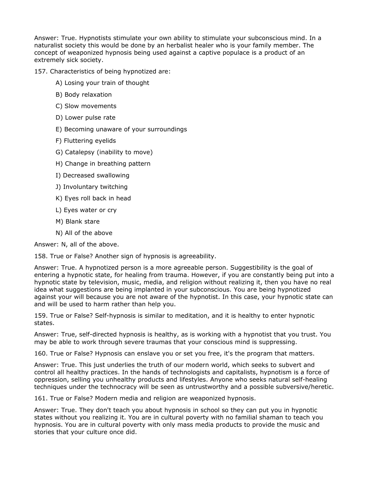Answer: True. Hypnotists stimulate your own ability to stimulate your subconscious mind. In a naturalist society this would be done by an herbalist healer who is your family member. The concept of weaponized hypnosis being used against a captive populace is a product of an extremely sick society.

157. Characteristics of being hypnotized are:

- A) Losing your train of thought
- B) Body relaxation
- C) Slow movements
- D) Lower pulse rate
- E) Becoming unaware of your surroundings
- F) Fluttering eyelids
- G) Catalepsy (inability to move)
- H) Change in breathing pattern
- I) Decreased swallowing
- J) Involuntary twitching
- K) Eyes roll back in head
- L) Eyes water or cry
- M) Blank stare
- N) All of the above

Answer: N, all of the above.

158. True or False? Another sign of hypnosis is agreeability.

Answer: True. A hypnotized person is a more agreeable person. Suggestibility is the goal of entering a hypnotic state, for healing from trauma. However, if you are constantly being put into a hypnotic state by television, music, media, and religion without realizing it, then you have no real idea what suggestions are being implanted in your subconscious. You are being hypnotized against your will because you are not aware of the hypnotist. In this case, your hypnotic state can and will be used to harm rather than help you.

159. True or False? Self-hypnosis is similar to meditation, and it is healthy to enter hypnotic states.

Answer: True, self-directed hypnosis is healthy, as is working with a hypnotist that you trust. You may be able to work through severe traumas that your conscious mind is suppressing.

160. True or False? Hypnosis can enslave you or set you free, it's the program that matters.

Answer: True. This just underlies the truth of our modern world, which seeks to subvert and control all healthy practices. In the hands of technologists and capitalists, hypnotism is a force of oppression, selling you unhealthy products and lifestyles. Anyone who seeks natural self-healing techniques under the technocracy will be seen as untrustworthy and a possible subversive/heretic.

161. True or False? Modern media and religion are weaponized hypnosis.

Answer: True. They don't teach you about hypnosis in school so they can put you in hypnotic states without you realizing it. You are in cultural poverty with no familial shaman to teach you hypnosis. You are in cultural poverty with only mass media products to provide the music and stories that your culture once did.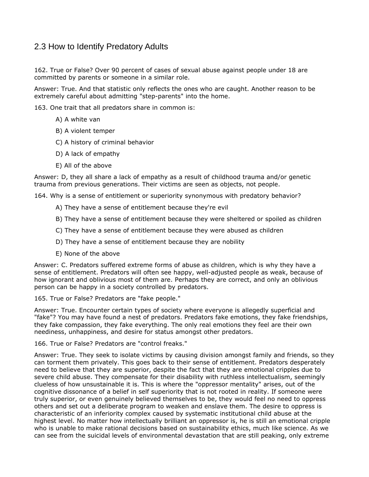## 2.3 How to Identify Predatory Adults

162. True or False? Over 90 percent of cases of sexual abuse against people under 18 are committed by parents or someone in a similar role.

Answer: True. And that statistic only reflects the ones who are caught. Another reason to be extremely careful about admitting "step-parents" into the home.

163. One trait that all predators share in common is:

- A) A white van
- B) A violent temper
- C) A history of criminal behavior
- D) A lack of empathy
- E) All of the above

Answer: D, they all share a lack of empathy as a result of childhood trauma and/or genetic trauma from previous generations. Their victims are seen as objects, not people.

164. Why is a sense of entitlement or superiority synonymous with predatory behavior?

- A) They have a sense of entitlement because they're evil
- B) They have a sense of entitlement because they were sheltered or spoiled as children
- C) They have a sense of entitlement because they were abused as children
- D) They have a sense of entitlement because they are nobility
- E) None of the above

Answer: C. Predators suffered extreme forms of abuse as children, which is why they have a sense of entitlement. Predators will often see happy, well-adjusted people as weak, because of how ignorant and oblivious most of them are. Perhaps they are correct, and only an oblivious person can be happy in a society controlled by predators.

165. True or False? Predators are "fake people."

Answer: True. Encounter certain types of society where everyone is allegedly superficial and "fake"? You may have found a nest of predators. Predators fake emotions, they fake friendships, they fake compassion, they fake everything. The only real emotions they feel are their own neediness, unhappiness, and desire for status amongst other predators.

166. True or False? Predators are "control freaks."

Answer: True. They seek to isolate victims by causing division amongst family and friends, so they can torment them privately. This goes back to their sense of entitlement. Predators desperately need to believe that they are superior, despite the fact that they are emotional cripples due to severe child abuse. They compensate for their disability with ruthless intellectualism, seemingly clueless of how unsustainable it is. This is where the "oppressor mentality" arises, out of the cognitive dissonance of a belief in self superiority that is not rooted in reality. If someone were truly superior, or even genuinely believed themselves to be, they would feel no need to oppress others and set out a deliberate program to weaken and enslave them. The desire to oppress is characteristic of an inferiority complex caused by systematic institutional child abuse at the highest level. No matter how intellectually brilliant an oppressor is, he is still an emotional cripple who is unable to make rational decisions based on sustainability ethics, much like science. As we can see from the suicidal levels of environmental devastation that are still peaking, only extreme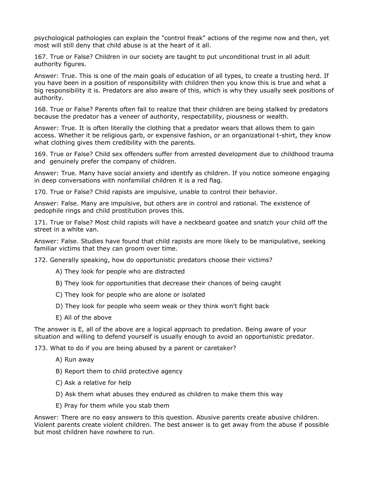psychological pathologies can explain the "control freak" actions of the regime now and then, yet most will still deny that child abuse is at the heart of it all.

167. True or False? Children in our society are taught to put unconditional trust in all adult authority figures.

Answer: True. This is one of the main goals of education of all types, to create a trusting herd. If you have been in a position of responsibility with children then you know this is true and what a big responsibility it is. Predators are also aware of this, which is why they usually seek positions of authority.

168. True or False? Parents often fail to realize that their children are being stalked by predators because the predator has a veneer of authority, respectability, piousness or wealth.

Answer: True. It is often literally the clothing that a predator wears that allows them to gain access. Whether it be religious garb, or expensive fashion, or an organizational t-shirt, they know what clothing gives them credibility with the parents.

169. True or False? Child sex offenders suffer from arrested development due to childhood trauma and genuinely prefer the company of children.

Answer: True. Many have social anxiety and identify as children. If you notice someone engaging in deep conversations with nonfamilial children it is a red flag.

170. True or False? Child rapists are impulsive, unable to control their behavior.

Answer: False. Many are impulsive, but others are in control and rational. The existence of pedophile rings and child prostitution proves this.

171. True or False? Most child rapists will have a neckbeard goatee and snatch your child off the street in a white van.

Answer: False. Studies have found that child rapists are more likely to be manipulative, seeking familiar victims that they can groom over time.

172. Generally speaking, how do opportunistic predators choose their victims?

- A) They look for people who are distracted
- B) They look for opportunities that decrease their chances of being caught
- C) They look for people who are alone or isolated
- D) They look for people who seem weak or they think won't fight back
- E) All of the above

The answer is E, all of the above are a logical approach to predation. Being aware of your situation and willing to defend yourself is usually enough to avoid an opportunistic predator.

173. What to do if you are being abused by a parent or caretaker?

- A) Run away
- B) Report them to child protective agency
- C) Ask a relative for help
- D) Ask them what abuses they endured as children to make them this way
- E) Pray for them while you stab them

Answer: There are no easy answers to this question. Abusive parents create abusive children. Violent parents create violent children. The best answer is to get away from the abuse if possible but most children have nowhere to run.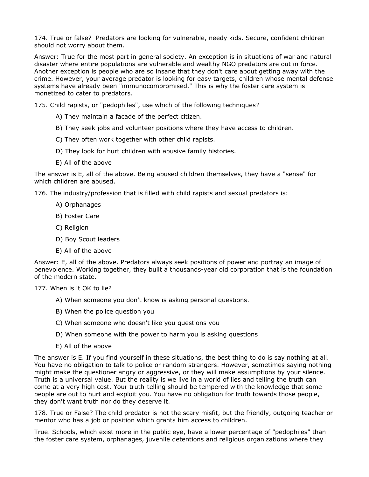174. True or false? Predators are looking for vulnerable, needy kids. Secure, confident children should not worry about them.

Answer: True for the most part in general society. An exception is in situations of war and natural disaster where entire populations are vulnerable and wealthy NGO predators are out in force. Another exception is people who are so insane that they don't care about getting away with the crime. However, your average predator is looking for easy targets, children whose mental defense systems have already been "immunocompromised." This is why the foster care system is monetized to cater to predators.

175. Child rapists, or "pedophiles", use which of the following techniques?

- A) They maintain a facade of the perfect citizen.
- B) They seek jobs and volunteer positions where they have access to children.
- C) They often work together with other child rapists.
- D) They look for hurt children with abusive family histories.
- E) All of the above

The answer is E, all of the above. Being abused children themselves, they have a "sense" for which children are abused.

176. The industry/profession that is filled with child rapists and sexual predators is:

- A) Orphanages
- B) Foster Care
- C) Religion
- D) Boy Scout leaders
- E) All of the above

Answer: E, all of the above. Predators always seek positions of power and portray an image of benevolence. Working together, they built a thousands-year old corporation that is the foundation of the modern state.

177. When is it OK to lie?

- A) When someone you don't know is asking personal questions.
- B) When the police question you
- C) When someone who doesn't like you questions you
- D) When someone with the power to harm you is asking questions
- E) All of the above

The answer is E. If you find yourself in these situations, the best thing to do is say nothing at all. You have no obligation to talk to police or random strangers. However, sometimes saying nothing might make the questioner angry or aggressive, or they will make assumptions by your silence. Truth is a universal value. But the reality is we live in a world of lies and telling the truth can come at a very high cost. Your truth-telling should be tempered with the knowledge that some people are out to hurt and exploit you. You have no obligation for truth towards those people, they don't want truth nor do they deserve it.

178. True or False? The child predator is not the scary misfit, but the friendly, outgoing teacher or mentor who has a job or position which grants him access to children.

True. Schools, which exist more in the public eye, have a lower percentage of "pedophiles" than the foster care system, orphanages, juvenile detentions and religious organizations where they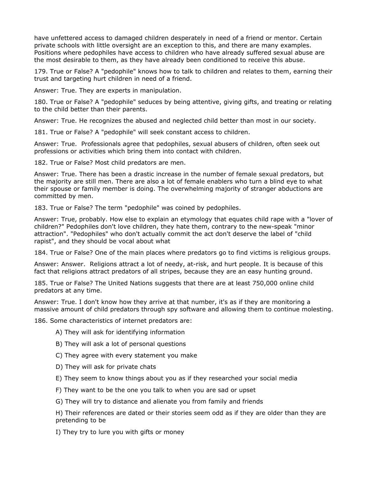have unfettered access to damaged children desperately in need of a friend or mentor. Certain private schools with little oversight are an exception to this, and there are many examples. Positions where pedophiles have access to children who have already suffered sexual abuse are the most desirable to them, as they have already been conditioned to receive this abuse.

179. True or False? A "pedophile" knows how to talk to children and relates to them, earning their trust and targeting hurt children in need of a friend.

Answer: True. They are experts in manipulation.

180. True or False? A "pedophile" seduces by being attentive, giving gifts, and treating or relating to the child better than their parents.

Answer: True. He recognizes the abused and neglected child better than most in our society.

181. True or False? A "pedophile" will seek constant access to children.

Answer: True. Professionals agree that pedophiles, sexual abusers of children, often seek out professions or activities which bring them into contact with children.

182. True or False? Most child predators are men.

Answer: True. There has been a drastic increase in the number of female sexual predators, but the majority are still men. There are also a lot of female enablers who turn a blind eye to what their spouse or family member is doing. The overwhelming majority of stranger abductions are committed by men.

183. True or False? The term "pedophile" was coined by pedophiles.

Answer: True, probably. How else to explain an etymology that equates child rape with a "lover of children?" Pedophiles don't love children, they hate them, contrary to the new-speak "minor attraction". "Pedophiles" who don't actually commit the act don't deserve the label of "child rapist", and they should be vocal about what

184. True or False? One of the main places where predators go to find victims is religious groups.

Answer: Answer. Religions attract a lot of needy, at-risk, and hurt people. It is because of this fact that religions attract predators of all stripes, because they are an easy hunting ground.

185. True or False? The United Nations suggests that there are at least 750,000 online child predators at any time.

Answer: True. I don't know how they arrive at that number, it's as if they are monitoring a massive amount of child predators through spy software and allowing them to continue molesting.

186. Some characteristics of internet predators are:

A) They will ask for identifying information

- B) They will ask a lot of personal questions
- C) They agree with every statement you make
- D) They will ask for private chats
- E) They seem to know things about you as if they researched your social media
- F) They want to be the one you talk to when you are sad or upset
- G) They will try to distance and alienate you from family and friends

H) Their references are dated or their stories seem odd as if they are older than they are pretending to be

I) They try to lure you with gifts or money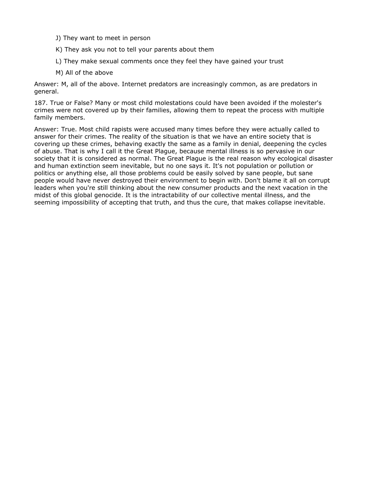- J) They want to meet in person
- K) They ask you not to tell your parents about them
- L) They make sexual comments once they feel they have gained your trust
- M) All of the above

Answer: M, all of the above. Internet predators are increasingly common, as are predators in general.

187. True or False? Many or most child molestations could have been avoided if the molester's crimes were not covered up by their families, allowing them to repeat the process with multiple family members.

Answer: True. Most child rapists were accused many times before they were actually called to answer for their crimes. The reality of the situation is that we have an entire society that is covering up these crimes, behaving exactly the same as a family in denial, deepening the cycles of abuse. That is why I call it the Great Plague, because mental illness is so pervasive in our society that it is considered as normal. The Great Plague is the real reason why ecological disaster and human extinction seem inevitable, but no one says it. It's not population or pollution or politics or anything else, all those problems could be easily solved by sane people, but sane people would have never destroyed their environment to begin with. Don't blame it all on corrupt leaders when you're still thinking about the new consumer products and the next vacation in the midst of this global genocide. It is the intractability of our collective mental illness, and the seeming impossibility of accepting that truth, and thus the cure, that makes collapse inevitable.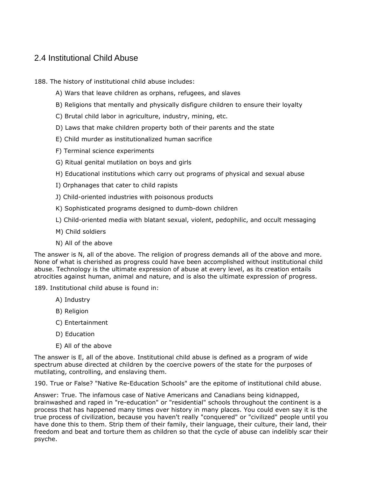## 2.4 Institutional Child Abuse

188. The history of institutional child abuse includes:

- A) Wars that leave children as orphans, refugees, and slaves
- B) Religions that mentally and physically disfigure children to ensure their loyalty
- C) Brutal child labor in agriculture, industry, mining, etc.
- D) Laws that make children property both of their parents and the state
- E) Child murder as institutionalized human sacrifice
- F) Terminal science experiments
- G) Ritual genital mutilation on boys and girls
- H) Educational institutions which carry out programs of physical and sexual abuse
- I) Orphanages that cater to child rapists
- J) Child-oriented industries with poisonous products
- K) Sophisticated programs designed to dumb-down children
- L) Child-oriented media with blatant sexual, violent, pedophilic, and occult messaging
- M) Child soldiers
- N) All of the above

The answer is N, all of the above. The religion of progress demands all of the above and more. None of what is cherished as progress could have been accomplished without institutional child abuse. Technology is the ultimate expression of abuse at every level, as its creation entails atrocities against human, animal and nature, and is also the ultimate expression of progress.

189. Institutional child abuse is found in:

- A) Industry
- B) Religion
- C) Entertainment
- D) Education
- E) All of the above

The answer is E, all of the above. Institutional child abuse is defined as a program of wide spectrum abuse directed at children by the coercive powers of the state for the purposes of mutilating, controlling, and enslaving them.

190. True or False? "Native Re-Education Schools" are the epitome of institutional child abuse.

Answer: True. The infamous case of Native Americans and Canadians being kidnapped, brainwashed and raped in "re-education" or "residential" schools throughout the continent is a process that has happened many times over history in many places. You could even say it is the true process of civilization, because you haven't really "conquered" or "civilized" people until you have done this to them. Strip them of their family, their language, their culture, their land, their freedom and beat and torture them as children so that the cycle of abuse can indelibly scar their psyche.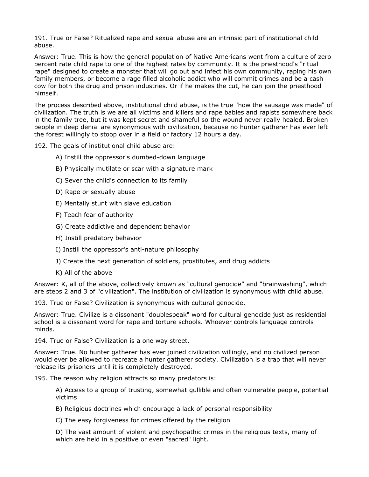191. True or False? Ritualized rape and sexual abuse are an intrinsic part of institutional child abuse.

Answer: True. This is how the general population of Native Americans went from a culture of zero percent rate child rape to one of the highest rates by community. It is the priesthood's "ritual rape" designed to create a monster that will go out and infect his own community, raping his own family members, or become a rage filled alcoholic addict who will commit crimes and be a cash cow for both the drug and prison industries. Or if he makes the cut, he can join the priesthood himself.

The process described above, institutional child abuse, is the true "how the sausage was made" of civilization. The truth is we are all victims and killers and rape babies and rapists somewhere back in the family tree, but it was kept secret and shameful so the wound never really healed. Broken people in deep denial are synonymous with civilization, because no hunter gatherer has ever left the forest willingly to stoop over in a field or factory 12 hours a day.

192. The goals of institutional child abuse are:

- A) Instill the oppressor's dumbed-down language
- B) Physically mutilate or scar with a signature mark
- C) Sever the child's connection to its family
- D) Rape or sexually abuse
- E) Mentally stunt with slave education
- F) Teach fear of authority
- G) Create addictive and dependent behavior
- H) Instill predatory behavior
- I) Instill the oppressor's anti-nature philosophy
- J) Create the next generation of soldiers, prostitutes, and drug addicts
- K) All of the above

Answer: K, all of the above, collectively known as "cultural genocide" and "brainwashing", which are steps 2 and 3 of "civilization". The institution of civilization is synonymous with child abuse.

193. True or False? Civilization is synonymous with cultural genocide.

Answer: True. Civilize is a dissonant "doublespeak" word for cultural genocide just as residential school is a dissonant word for rape and torture schools. Whoever controls language controls minds.

194. True or False? Civilization is a one way street.

Answer: True. No hunter gatherer has ever joined civilization willingly, and no civilized person would ever be allowed to recreate a hunter gatherer society. Civilization is a trap that will never release its prisoners until it is completely destroyed.

195. The reason why religion attracts so many predators is:

A) Access to a group of trusting, somewhat gullible and often vulnerable people, potential victims

B) Religious doctrines which encourage a lack of personal responsibility

C) The easy forgiveness for crimes offered by the religion

D) The vast amount of violent and psychopathic crimes in the religious texts, many of which are held in a positive or even "sacred" light.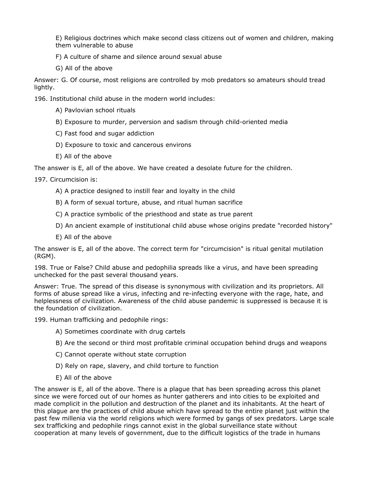E) Religious doctrines which make second class citizens out of women and children, making them vulnerable to abuse

- F) A culture of shame and silence around sexual abuse
- G) All of the above

Answer: G. Of course, most religions are controlled by mob predators so amateurs should tread lightly.

196. Institutional child abuse in the modern world includes:

- A) Pavlovian school rituals
- B) Exposure to murder, perversion and sadism through child-oriented media
- C) Fast food and sugar addiction
- D) Exposure to toxic and cancerous environs
- E) All of the above

The answer is E, all of the above. We have created a desolate future for the children.

197. Circumcision is:

- A) A practice designed to instill fear and loyalty in the child
- B) A form of sexual torture, abuse, and ritual human sacrifice
- C) A practice symbolic of the priesthood and state as true parent
- D) An ancient example of institutional child abuse whose origins predate "recorded history"
- E) All of the above

The answer is E, all of the above. The correct term for "circumcision" is ritual genital mutilation (RGM).

198. True or False? Child abuse and pedophilia spreads like a virus, and have been spreading unchecked for the past several thousand years.

Answer: True. The spread of this disease is synonymous with civilization and its proprietors. All forms of abuse spread like a virus, infecting and re-infecting everyone with the rage, hate, and helplessness of civilization. Awareness of the child abuse pandemic is suppressed is because it is the foundation of civilization.

199. Human trafficking and pedophile rings:

- A) Sometimes coordinate with drug cartels
- B) Are the second or third most profitable criminal occupation behind drugs and weapons
- C) Cannot operate without state corruption
- D) Rely on rape, slavery, and child torture to function
- E) All of the above

The answer is E, all of the above. There is a plague that has been spreading across this planet since we were forced out of our homes as hunter gatherers and into cities to be exploited and made complicit in the pollution and destruction of the planet and its inhabitants. At the heart of this plague are the practices of child abuse which have spread to the entire planet just within the past few millenia via the world religions which were formed by gangs of sex predators. Large scale sex trafficking and pedophile rings cannot exist in the global surveillance state without cooperation at many levels of government, due to the difficult logistics of the trade in humans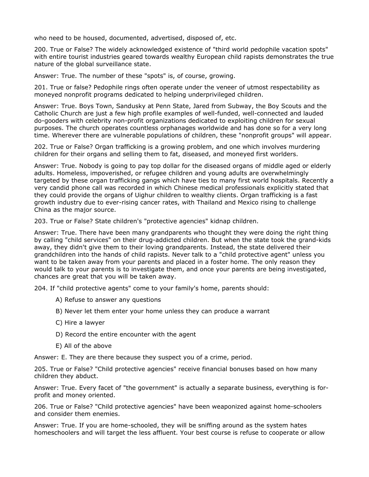who need to be housed, documented, advertised, disposed of, etc.

200. True or False? The widely acknowledged existence of "third world pedophile vacation spots" with entire tourist industries geared towards wealthy European child rapists demonstrates the true nature of the global surveillance state.

Answer: True. The number of these "spots" is, of course, growing.

201. True or false? Pedophile rings often operate under the veneer of utmost respectability as moneyed nonprofit programs dedicated to helping underprivileged children.

Answer: True. Boys Town, Sandusky at Penn State, Jared from Subway, the Boy Scouts and the Catholic Church are just a few high profile examples of well-funded, well-connected and lauded do-gooders with celebrity non-profit organizations dedicated to exploiting children for sexual purposes. The church operates countless orphanages worldwide and has done so for a very long time. Wherever there are vulnerable populations of children, these "nonprofit groups" will appear.

202. True or False? Organ trafficking is a growing problem, and one which involves murdering children for their organs and selling them to fat, diseased, and moneyed first worlders.

Answer: True. Nobody is going to pay top dollar for the diseased organs of middle aged or elderly adults. Homeless, impoverished, or refugee children and young adults are overwhelmingly targeted by these organ trafficking gangs which have ties to many first world hospitals. Recently a very candid phone call was recorded in which Chinese medical professionals explicitly stated that they could provide the organs of Uighur children to wealthy clients. Organ trafficking is a fast growth industry due to ever-rising cancer rates, with Thailand and Mexico rising to challenge China as the major source.

203. True or False? State children's "protective agencies" kidnap children.

Answer: True. There have been many grandparents who thought they were doing the right thing by calling "child services" on their drug-addicted children. But when the state took the grand-kids away, they didn't give them to their loving grandparents. Instead, the state delivered their grandchildren into the hands of child rapists. Never talk to a "child protective agent" unless you want to be taken away from your parents and placed in a foster home. The only reason they would talk to your parents is to investigate them, and once your parents are being investigated, chances are great that you will be taken away.

204. If "child protective agents" come to your family's home, parents should:

- A) Refuse to answer any questions
- B) Never let them enter your home unless they can produce a warrant
- C) Hire a lawyer
- D) Record the entire encounter with the agent
- E) All of the above

Answer: E. They are there because they suspect you of a crime, period.

205. True or False? "Child protective agencies" receive financial bonuses based on how many children they abduct.

Answer: True. Every facet of "the government" is actually a separate business, everything is forprofit and money oriented.

206. True or False? "Child protective agencies" have been weaponized against home-schoolers and consider them enemies.

Answer: True. If you are home-schooled, they will be sniffing around as the system hates homeschoolers and will target the less affluent. Your best course is refuse to cooperate or allow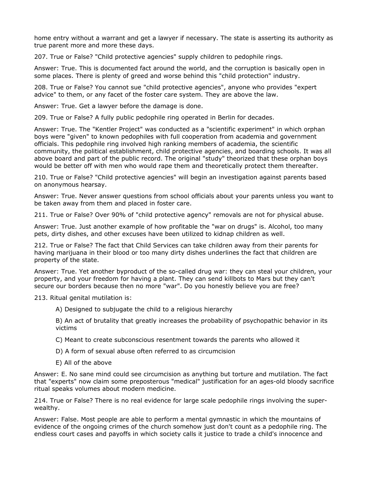home entry without a warrant and get a lawyer if necessary. The state is asserting its authority as true parent more and more these days.

207. True or False? "Child protective agencies" supply children to pedophile rings.

Answer: True. This is documented fact around the world, and the corruption is basically open in some places. There is plenty of greed and worse behind this "child protection" industry.

208. True or False? You cannot sue "child protective agencies", anyone who provides "expert advice" to them, or any facet of the foster care system. They are above the law.

Answer: True. Get a lawyer before the damage is done.

209. True or False? A fully public pedophile ring operated in Berlin for decades.

Answer: True. The "Kentler Project" was conducted as a "scientific experiment" in which orphan boys were "given" to known pedophiles with full cooperation from academia and government officials. This pedophile ring involved high ranking members of academia, the scientific community, the political establishment, child protective agencies, and boarding schools. It was all above board and part of the public record. The original "study" theorized that these orphan boys would be better off with men who would rape them and theoretically protect them thereafter.

210. True or False? "Child protective agencies" will begin an investigation against parents based on anonymous hearsay.

Answer: True. Never answer questions from school officials about your parents unless you want to be taken away from them and placed in foster care.

211. True or False? Over 90% of "child protective agency" removals are not for physical abuse.

Answer: True. Just another example of how profitable the "war on drugs" is. Alcohol, too many pets, dirty dishes, and other excuses have been utilized to kidnap children as well.

212. True or False? The fact that Child Services can take children away from their parents for having marijuana in their blood or too many dirty dishes underlines the fact that children are property of the state.

Answer: True. Yet another byproduct of the so-called drug war: they can steal your children, your property, and your freedom for having a plant. They can send killbots to Mars but they can't secure our borders because then no more "war". Do you honestly believe you are free?

213. Ritual genital mutilation is:

A) Designed to subjugate the child to a religious hierarchy

B) An act of brutality that greatly increases the probability of psychopathic behavior in its victims

C) Meant to create subconscious resentment towards the parents who allowed it

D) A form of sexual abuse often referred to as circumcision

E) All of the above

Answer: E. No sane mind could see circumcision as anything but torture and mutilation. The fact that "experts" now claim some preposterous "medical" justification for an ages-old bloody sacrifice ritual speaks volumes about modern medicine.

214. True or False? There is no real evidence for large scale pedophile rings involving the superwealthy.

Answer: False. Most people are able to perform a mental gymnastic in which the mountains of evidence of the ongoing crimes of the church somehow just don't count as a pedophile ring. The endless court cases and payoffs in which society calls it justice to trade a child's innocence and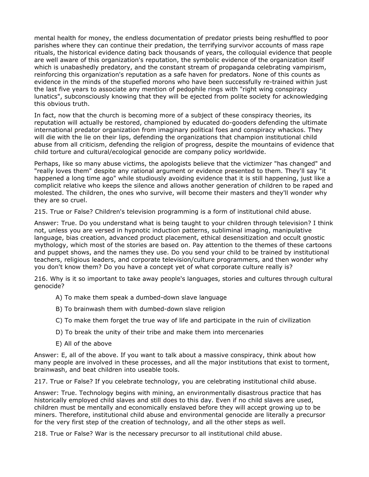mental health for money, the endless documentation of predator priests being reshuffled to poor parishes where they can continue their predation, the terrifying survivor accounts of mass rape rituals, the historical evidence dating back thousands of years, the colloquial evidence that people are well aware of this organization's reputation, the symbolic evidence of the organization itself which is unabashedly predatory, and the constant stream of propaganda celebrating vampirism, reinforcing this organization's reputation as a safe haven for predators. None of this counts as evidence in the minds of the stupefied morons who have been successfully re-trained within just the last five years to associate any mention of pedophile rings with "right wing conspiracy lunatics", subconsciously knowing that they will be ejected from polite society for acknowledging this obvious truth.

In fact, now that the church is becoming more of a subject of these conspiracy theories, its reputation will actually be restored, championed by educated do-gooders defending the ultimate international predator organization from imaginary political foes and conspiracy whackos. They will die with the lie on their lips, defending the organizations that champion institutional child abuse from all criticism, defending the religion of progress, despite the mountains of evidence that child torture and cultural/ecological genocide are company policy worldwide.

Perhaps, like so many abuse victims, the apologists believe that the victimizer "has changed" and "really loves them" despite any rational argument or evidence presented to them. They'll say "it happened a long time ago" while studiously avoiding evidence that it is still happening, just like a complicit relative who keeps the silence and allows another generation of children to be raped and molested. The children, the ones who survive, will become their masters and they'll wonder why they are so cruel.

215. True or False? Children's television programming is a form of institutional child abuse.

Answer: True. Do you understand what is being taught to your children through television? I think not, unless you are versed in hypnotic induction patterns, subliminal imaging, manipulative language, bias creation, advanced product placement, ethical desensitization and occult gnostic mythology, which most of the stories are based on. Pay attention to the themes of these cartoons and puppet shows, and the names they use. Do you send your child to be trained by institutional teachers, religious leaders, and corporate television/culture programmers, and then wonder why you don't know them? Do you have a concept yet of what corporate culture really is?

216. Why is it so important to take away people's languages, stories and cultures through cultural genocide?

- A) To make them speak a dumbed-down slave language
- B) To brainwash them with dumbed-down slave religion
- C) To make them forget the true way of life and participate in the ruin of civilization
- D) To break the unity of their tribe and make them into mercenaries
- E) All of the above

Answer: E, all of the above. If you want to talk about a massive conspiracy, think about how many people are involved in these processes, and all the major institutions that exist to torment, brainwash, and beat children into useable tools.

217. True or False? If you celebrate technology, you are celebrating institutional child abuse.

Answer: True. Technology begins with mining, an environmentally disastrous practice that has historically employed child slaves and still does to this day. Even if no child slaves are used, children must be mentally and economically enslaved before they will accept growing up to be miners. Therefore, institutional child abuse and environmental genocide are literally a precursor for the very first step of the creation of technology, and all the other steps as well.

218. True or False? War is the necessary precursor to all institutional child abuse.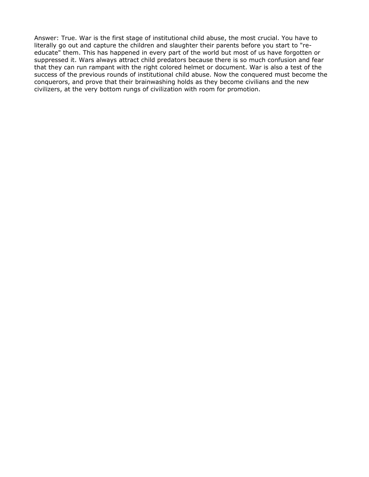Answer: True. War is the first stage of institutional child abuse, the most crucial. You have to literally go out and capture the children and slaughter their parents before you start to "reeducate" them. This has happened in every part of the world but most of us have forgotten or suppressed it. Wars always attract child predators because there is so much confusion and fear that they can run rampant with the right colored helmet or document. War is also a test of the success of the previous rounds of institutional child abuse. Now the conquered must become the conquerors, and prove that their brainwashing holds as they become civilians and the new civilizers, at the very bottom rungs of civilization with room for promotion.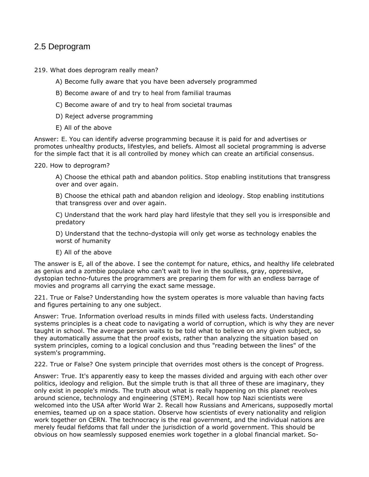## 2.5 Deprogram

#### 219. What does deprogram really mean?

- A) Become fully aware that you have been adversely programmed
- B) Become aware of and try to heal from familial traumas
- C) Become aware of and try to heal from societal traumas
- D) Reject adverse programming
- E) All of the above

Answer: E. You can identify adverse programming because it is paid for and advertises or promotes unhealthy products, lifestyles, and beliefs. Almost all societal programming is adverse for the simple fact that it is all controlled by money which can create an artificial consensus.

220. How to deprogram?

A) Choose the ethical path and abandon politics. Stop enabling institutions that transgress over and over again.

B) Choose the ethical path and abandon religion and ideology. Stop enabling institutions that transgress over and over again.

C) Understand that the work hard play hard lifestyle that they sell you is irresponsible and predatory

D) Understand that the techno-dystopia will only get worse as technology enables the worst of humanity

E) All of the above

The answer is E, all of the above. I see the contempt for nature, ethics, and healthy life celebrated as genius and a zombie populace who can't wait to live in the soulless, gray, oppressive, dystopian techno-futures the programmers are preparing them for with an endless barrage of movies and programs all carrying the exact same message.

221. True or False? Understanding how the system operates is more valuable than having facts and figures pertaining to any one subject.

Answer: True. Information overload results in minds filled with useless facts. Understanding systems principles is a cheat code to navigating a world of corruption, which is why they are never taught in school. The average person waits to be told what to believe on any given subject, so they automatically assume that the proof exists, rather than analyzing the situation based on system principles, coming to a logical conclusion and thus "reading between the lines" of the system's programming.

222. True or False? One system principle that overrides most others is the concept of Progress.

Answer: True. It's apparently easy to keep the masses divided and arguing with each other over politics, ideology and religion. But the simple truth is that all three of these are imaginary, they only exist in people's minds. The truth about what is really happening on this planet revolves around science, technology and engineering (STEM). Recall how top Nazi scientists were welcomed into the USA after World War 2. Recall how Russians and Americans, supposedly mortal enemies, teamed up on a space station. Observe how scientists of every nationality and religion work together on CERN. The technocracy is the real government, and the individual nations are merely feudal fiefdoms that fall under the jurisdiction of a world government. This should be obvious on how seamlessly supposed enemies work together in a global financial market. So-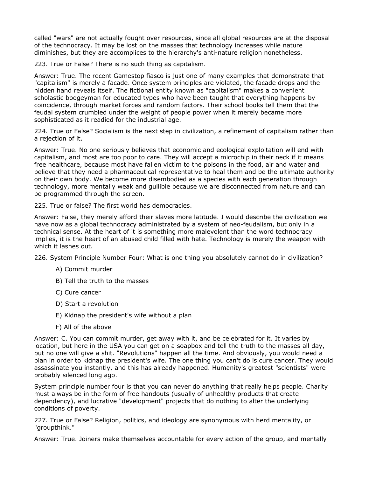called "wars" are not actually fought over resources, since all global resources are at the disposal of the technocracy. It may be lost on the masses that technology increases while nature diminishes, but they are accomplices to the hierarchy's anti-nature religion nonetheless.

223. True or False? There is no such thing as capitalism.

Answer: True. The recent Gamestop fiasco is just one of many examples that demonstrate that "capitalism" is merely a facade. Once system principles are violated, the facade drops and the hidden hand reveals itself. The fictional entity known as "capitalism" makes a convenient scholastic boogeyman for educated types who have been taught that everything happens by coincidence, through market forces and random factors. Their school books tell them that the feudal system crumbled under the weight of people power when it merely became more sophisticated as it readied for the industrial age.

224. True or False? Socialism is the next step in civilization, a refinement of capitalism rather than a rejection of it.

Answer: True. No one seriously believes that economic and ecological exploitation will end with capitalism, and most are too poor to care. They will accept a microchip in their neck if it means free healthcare, because most have fallen victim to the poisons in the food, air and water and believe that they need a pharmaceutical representative to heal them and be the ultimate authority on their own body. We become more disembodied as a species with each generation through technology, more mentally weak and gullible because we are disconnected from nature and can be programmed through the screen.

225. True or false? The first world has democracies.

Answer: False, they merely afford their slaves more latitude. I would describe the civilization we have now as a global technocracy administrated by a system of neo-feudalism, but only in a technical sense. At the heart of it is something more malevolent than the word technocracy implies, it is the heart of an abused child filled with hate. Technology is merely the weapon with which it lashes out.

226. System Principle Number Four: What is one thing you absolutely cannot do in civilization?

- A) Commit murder
- B) Tell the truth to the masses
- C) Cure cancer
- D) Start a revolution
- E) Kidnap the president's wife without a plan
- F) All of the above

Answer: C. You can commit murder, get away with it, and be celebrated for it. It varies by location, but here in the USA you can get on a soapbox and tell the truth to the masses all day, but no one will give a shit. "Revolutions" happen all the time. And obviously, you would need a plan in order to kidnap the president's wife. The one thing you can't do is cure cancer. They would assassinate you instantly, and this has already happened. Humanity's greatest "scientists" were probably silenced long ago.

System principle number four is that you can never do anything that really helps people. Charity must always be in the form of free handouts (usually of unhealthy products that create dependency), and lucrative "development" projects that do nothing to alter the underlying conditions of poverty.

227. True or False? Religion, politics, and ideology are synonymous with herd mentality, or "groupthink."

Answer: True. Joiners make themselves accountable for every action of the group, and mentally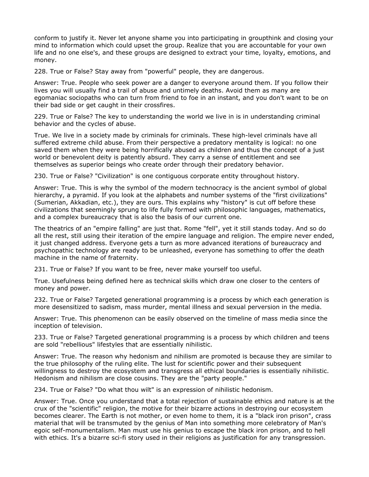conform to justify it. Never let anyone shame you into participating in groupthink and closing your mind to information which could upset the group. Realize that you are accountable for your own life and no one else's, and these groups are designed to extract your time, loyalty, emotions, and money.

228. True or False? Stay away from "powerful" people, they are dangerous.

Answer: True. People who seek power are a danger to everyone around them. If you follow their lives you will usually find a trail of abuse and untimely deaths. Avoid them as many are egomaniac sociopaths who can turn from friend to foe in an instant, and you don't want to be on their bad side or get caught in their crossfires.

229. True or False? The key to understanding the world we live in is in understanding criminal behavior and the cycles of abuse.

True. We live in a society made by criminals for criminals. These high-level criminals have all suffered extreme child abuse. From their perspective a predatory mentality is logical: no one saved them when they were being horrifically abused as children and thus the concept of a just world or benevolent deity is patently absurd. They carry a sense of entitlement and see themselves as superior beings who create order through their predatory behavior.

230. True or False? "Civilization" is one contiguous corporate entity throughout history.

Answer: True. This is why the symbol of the modern technocracy is the ancient symbol of global hierarchy, a pyramid. If you look at the alphabets and number systems of the "first civilizations" (Sumerian, Akkadian, etc.), they are ours. This explains why "history" is cut off before these civilizations that seemingly sprung to life fully formed with philosophic languages, mathematics, and a complex bureaucracy that is also the basis of our current one.

The theatrics of an "empire falling" are just that. Rome "fell", yet it still stands today. And so do all the rest, still using their iteration of the empire language and religion. The empire never ended, it just changed address. Everyone gets a turn as more advanced iterations of bureaucracy and psychopathic technology are ready to be unleashed, everyone has something to offer the death machine in the name of fraternity.

231. True or False? If you want to be free, never make yourself too useful.

True. Usefulness being defined here as technical skills which draw one closer to the centers of money and power.

232. True or False? Targeted generational programming is a process by which each generation is more desensitized to sadism, mass murder, mental illness and sexual perversion in the media.

Answer: True. This phenomenon can be easily observed on the timeline of mass media since the inception of television.

233. True or False? Targeted generational programming is a process by which children and teens are sold "rebellious" lifestyles that are essentially nihilistic.

Answer: True. The reason why hedonism and nihilism are promoted is because they are similar to the true philosophy of the ruling elite. The lust for scientific power and their subsequent willingness to destroy the ecosystem and transgress all ethical boundaries is essentially nihilistic. Hedonism and nihilism are close cousins. They are the "party people."

234. True or False? "Do what thou wilt" is an expression of nihilistic hedonism.

Answer: True. Once you understand that a total rejection of sustainable ethics and nature is at the crux of the "scientific" religion, the motive for their bizarre actions in destroying our ecosystem becomes clearer. The Earth is not mother, or even home to them, it is a "black iron prison", crass material that will be transmuted by the genius of Man into something more celebratory of Man's egoic self-monumentalism. Man must use his genius to escape the black iron prison, and to hell with ethics. It's a bizarre sci-fi story used in their religions as justification for any transgression.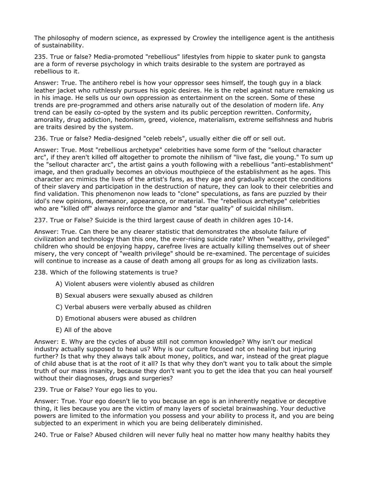The philosophy of modern science, as expressed by Crowley the intelligence agent is the antithesis of sustainability.

235. True or false? Media-promoted "rebellious" lifestyles from hippie to skater punk to gangsta are a form of reverse psychology in which traits desirable to the system are portrayed as rebellious to it.

Answer: True. The antihero rebel is how your oppressor sees himself, the tough guy in a black leather jacket who ruthlessly pursues his egoic desires. He is the rebel against nature remaking us in his image. He sells us our own oppression as entertainment on the screen. Some of these trends are pre-programmed and others arise naturally out of the desolation of modern life. Any trend can be easily co-opted by the system and its public perception rewritten. Conformity, amorality, drug addiction, hedonism, greed, violence, materialism, extreme selfishness and hubris are traits desired by the system.

236. True or false? Media-designed "celeb rebels", usually either die off or sell out.

Answer: True. Most "rebellious archetype" celebrities have some form of the "sellout character arc", if they aren't killed off altogether to promote the nihilism of "live fast, die young." To sum up the "sellout character arc", the artist gains a youth following with a rebellious "anti-establishment" image, and then gradually becomes an obvious mouthpiece of the establishment as he ages. This character arc mimics the lives of the artist's fans, as they age and gradually accept the conditions of their slavery and participation in the destruction of nature, they can look to their celebrities and find validation. This phenomenon now leads to "clone" speculations, as fans are puzzled by their idol's new opinions, demeanor, appearance, or material. The "rebellious archetype" celebrities who are "killed off" always reinforce the glamor and "star quality" of suicidal nihilism.

237. True or False? Suicide is the third largest cause of death in children ages 10-14.

Answer: True. Can there be any clearer statistic that demonstrates the absolute failure of civilization and technology than this one, the ever-rising suicide rate? When "wealthy, privileged" children who should be enjoying happy, carefree lives are actually killing themselves out of sheer misery, the very concept of "wealth privilege" should be re-examined. The percentage of suicides will continue to increase as a cause of death among all groups for as long as civilization lasts.

238. Which of the following statements is true?

- A) Violent abusers were violently abused as children
- B) Sexual abusers were sexually abused as children
- C) Verbal abusers were verbally abused as children
- D) Emotional abusers were abused as children
- E) All of the above

Answer: E. Why are the cycles of abuse still not common knowledge? Why isn't our medical industry actually supposed to heal us? Why is our culture focused not on healing but injuring further? Is that why they always talk about money, politics, and war, instead of the great plague of child abuse that is at the root of it all? Is that why they don't want you to talk about the simple truth of our mass insanity, because they don't want you to get the idea that you can heal yourself without their diagnoses, drugs and surgeries?

239. True or False? Your ego lies to you.

Answer: True. Your ego doesn't lie to you because an ego is an inherently negative or deceptive thing, it lies because you are the victim of many layers of societal brainwashing. Your deductive powers are limited to the information you possess and your ability to process it, and you are being subjected to an experiment in which you are being deliberately diminished.

240. True or False? Abused children will never fully heal no matter how many healthy habits they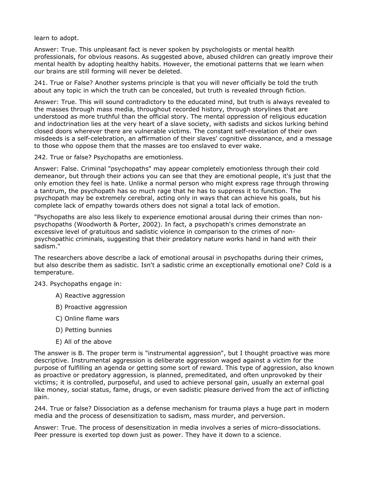learn to adopt.

Answer: True. This unpleasant fact is never spoken by psychologists or mental health professionals, for obvious reasons. As suggested above, abused children can greatly improve their mental health by adopting healthy habits. However, the emotional patterns that we learn when our brains are still forming will never be deleted.

241. True or False? Another systems principle is that you will never officially be told the truth about any topic in which the truth can be concealed, but truth is revealed through fiction.

Answer: True. This will sound contradictory to the educated mind, but truth is always revealed to the masses through mass media, throughout recorded history, through storylines that are understood as more truthful than the official story. The mental oppression of religious education and indoctrination lies at the very heart of a slave society, with sadists and sickos lurking behind closed doors wherever there are vulnerable victims. The constant self-revelation of their own misdeeds is a self-celebration, an affirmation of their slaves' cognitive dissonance, and a message to those who oppose them that the masses are too enslaved to ever wake.

242. True or false? Psychopaths are emotionless.

Answer: False. Criminal "psychopaths" may appear completely emotionless through their cold demeanor, but through their actions you can see that they are emotional people, it's just that the only emotion they feel is hate. Unlike a normal person who might express rage through throwing a tantrum, the psychopath has so much rage that he has to suppress it to function. The psychopath may be extremely cerebral, acting only in ways that can achieve his goals, but his complete lack of empathy towards others does not signal a total lack of emotion.

"Psychopaths are also less likely to experience emotional arousal during their crimes than nonpsychopaths (Woodworth & Porter, 2002). In fact, a psychopath's crimes demonstrate an excessive level of gratuitous and sadistic violence in comparison to the crimes of nonpsychopathic criminals, suggesting that their predatory nature works hand in hand with their sadism."

The researchers above describe a lack of emotional arousal in psychopaths during their crimes, but also describe them as sadistic. Isn't a sadistic crime an exceptionally emotional one? Cold is a temperature.

243. Psychopaths engage in:

- A) Reactive aggression
- B) Proactive aggression
- C) Online flame wars
- D) Petting bunnies
- E) All of the above

The answer is B. The proper term is "instrumental aggression", but I thought proactive was more descriptive. Instrumental aggression is deliberate aggression waged against a victim for the purpose of fulfilling an agenda or getting some sort of reward. This type of aggression, also known as proactive or predatory aggression, is planned, premeditated, and often unprovoked by their victims; it is controlled, purposeful, and used to achieve personal gain, usually an external goal like money, social status, fame, drugs, or even sadistic pleasure derived from the act of inflicting pain.

244. True or false? Dissociation as a defense mechanism for trauma plays a huge part in modern media and the process of desensitization to sadism, mass murder, and perversion.

Answer: True. The process of desensitization in media involves a series of micro-dissociations. Peer pressure is exerted top down just as power. They have it down to a science.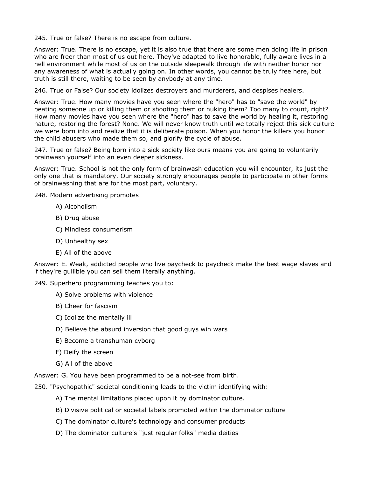245. True or false? There is no escape from culture.

Answer: True. There is no escape, yet it is also true that there are some men doing life in prison who are freer than most of us out here. They've adapted to live honorable, fully aware lives in a hell environment while most of us on the outside sleepwalk through life with neither honor nor any awareness of what is actually going on. In other words, you cannot be truly free here, but truth is still there, waiting to be seen by anybody at any time.

246. True or False? Our society idolizes destroyers and murderers, and despises healers.

Answer: True. How many movies have you seen where the "hero" has to "save the world" by beating someone up or killing them or shooting them or nuking them? Too many to count, right? How many movies have you seen where the "hero" has to save the world by healing it, restoring nature, restoring the forest? None. We will never know truth until we totally reject this sick culture we were born into and realize that it is deliberate poison. When you honor the killers you honor the child abusers who made them so, and glorify the cycle of abuse.

247. True or false? Being born into a sick society like ours means you are going to voluntarily brainwash yourself into an even deeper sickness.

Answer: True. School is not the only form of brainwash education you will encounter, its just the only one that is mandatory. Our society strongly encourages people to participate in other forms of brainwashing that are for the most part, voluntary.

248. Modern advertising promotes

- A) Alcoholism
- B) Drug abuse
- C) Mindless consumerism
- D) Unhealthy sex
- E) All of the above

Answer: E. Weak, addicted people who live paycheck to paycheck make the best wage slaves and if they're gullible you can sell them literally anything.

249. Superhero programming teaches you to:

- A) Solve problems with violence
- B) Cheer for fascism
- C) Idolize the mentally ill
- D) Believe the absurd inversion that good guys win wars
- E) Become a transhuman cyborg
- F) Deify the screen
- G) All of the above

Answer: G. You have been programmed to be a not-see from birth.

- 250. "Psychopathic" societal conditioning leads to the victim identifying with:
	- A) The mental limitations placed upon it by dominator culture.
	- B) Divisive political or societal labels promoted within the dominator culture
	- C) The dominator culture's technology and consumer products
	- D) The dominator culture's "just regular folks" media deities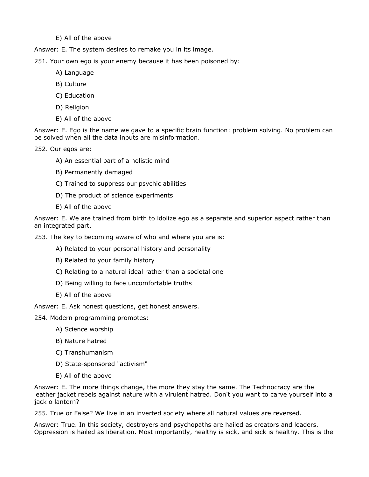E) All of the above

Answer: E. The system desires to remake you in its image.

251. Your own ego is your enemy because it has been poisoned by:

- A) Language
- B) Culture
- C) Education
- D) Religion
- E) All of the above

Answer: E. Ego is the name we gave to a specific brain function: problem solving. No problem can be solved when all the data inputs are misinformation.

252. Our egos are:

- A) An essential part of a holistic mind
- B) Permanently damaged
- C) Trained to suppress our psychic abilities
- D) The product of science experiments
- E) All of the above

Answer: E. We are trained from birth to idolize ego as a separate and superior aspect rather than an integrated part.

253. The key to becoming aware of who and where you are is:

- A) Related to your personal history and personality
- B) Related to your family history
- C) Relating to a natural ideal rather than a societal one
- D) Being willing to face uncomfortable truths
- E) All of the above

Answer: E. Ask honest questions, get honest answers.

254. Modern programming promotes:

- A) Science worship
- B) Nature hatred
- C) Transhumanism
- D) State-sponsored "activism"
- E) All of the above

Answer: E. The more things change, the more they stay the same. The Technocracy are the leather jacket rebels against nature with a virulent hatred. Don't you want to carve yourself into a jack o lantern?

255. True or False? We live in an inverted society where all natural values are reversed.

Answer: True. In this society, destroyers and psychopaths are hailed as creators and leaders. Oppression is hailed as liberation. Most importantly, healthy is sick, and sick is healthy. This is the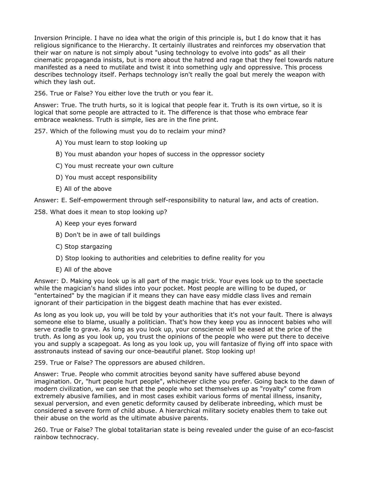Inversion Principle. I have no idea what the origin of this principle is, but I do know that it has religious significance to the Hierarchy. It certainly illustrates and reinforces my observation that their war on nature is not simply about "using technology to evolve into gods" as all their cinematic propaganda insists, but is more about the hatred and rage that they feel towards nature manifested as a need to mutilate and twist it into something ugly and oppressive. This process describes technology itself. Perhaps technology isn't really the goal but merely the weapon with which they lash out.

256. True or False? You either love the truth or you fear it.

Answer: True. The truth hurts, so it is logical that people fear it. Truth is its own virtue, so it is logical that some people are attracted to it. The difference is that those who embrace fear embrace weakness. Truth is simple, lies are in the fine print.

257. Which of the following must you do to reclaim your mind?

- A) You must learn to stop looking up
- B) You must abandon your hopes of success in the oppressor society
- C) You must recreate your own culture
- D) You must accept responsibility
- E) All of the above

Answer: E. Self-empowerment through self-responsibility to natural law, and acts of creation.

#### 258. What does it mean to stop looking up?

- A) Keep your eyes forward
- B) Don't be in awe of tall buildings
- C) Stop stargazing
- D) Stop looking to authorities and celebrities to define reality for you
- E) All of the above

Answer: D. Making you look up is all part of the magic trick. Your eyes look up to the spectacle while the magician's hand slides into your pocket. Most people are willing to be duped, or "entertained" by the magician if it means they can have easy middle class lives and remain ignorant of their participation in the biggest death machine that has ever existed.

As long as you look up, you will be told by your authorities that it's not your fault. There is always someone else to blame, usually a politician. That's how they keep you as innocent babies who will serve cradle to grave. As long as you look up, your conscience will be eased at the price of the truth. As long as you look up, you trust the opinions of the people who were put there to deceive you and supply a scapegoat. As long as you look up, you will fantasize of flying off into space with asstronauts instead of saving our once-beautiful planet. Stop looking up!

259. True or False? The oppressors are abused children.

Answer: True. People who commit atrocities beyond sanity have suffered abuse beyond imagination. Or, "hurt people hurt people", whichever cliche you prefer. Going back to the dawn of modern civilization, we can see that the people who set themselves up as "royalty" come from extremely abusive families, and in most cases exhibit various forms of mental illness, insanity, sexual perversion, and even genetic deformity caused by deliberate inbreeding, which must be considered a severe form of child abuse. A hierarchical military society enables them to take out their abuse on the world as the ultimate abusive parents.

260. True or False? The global totalitarian state is being revealed under the guise of an eco-fascist rainbow technocracy.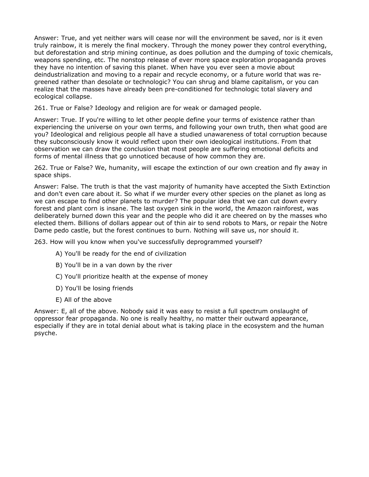Answer: True, and yet neither wars will cease nor will the environment be saved, nor is it even truly rainbow, it is merely the final mockery. Through the money power they control everything, but deforestation and strip mining continue, as does pollution and the dumping of toxic chemicals, weapons spending, etc. The nonstop release of ever more space exploration propaganda proves they have no intention of saving this planet. When have you ever seen a movie about deindustrialization and moving to a repair and recycle economy, or a future world that was regreened rather than desolate or technologic? You can shrug and blame capitalism, or you can realize that the masses have already been pre-conditioned for technologic total slavery and ecological collapse.

261. True or False? Ideology and religion are for weak or damaged people.

Answer: True. If you're willing to let other people define your terms of existence rather than experiencing the universe on your own terms, and following your own truth, then what good are you? Ideological and religious people all have a studied unawareness of total corruption because they subconsciously know it would reflect upon their own ideological institutions. From that observation we can draw the conclusion that most people are suffering emotional deficits and forms of mental illness that go unnoticed because of how common they are.

262. True or False? We, humanity, will escape the extinction of our own creation and fly away in space ships.

Answer: False. The truth is that the vast majority of humanity have accepted the Sixth Extinction and don't even care about it. So what if we murder every other species on the planet as long as we can escape to find other planets to murder? The popular idea that we can cut down every forest and plant corn is insane. The last oxygen sink in the world, the Amazon rainforest, was deliberately burned down this year and the people who did it are cheered on by the masses who elected them. Billions of dollars appear out of thin air to send robots to Mars, or repair the Notre Dame pedo castle, but the forest continues to burn. Nothing will save us, nor should it.

263. How will you know when you've successfully deprogrammed yourself?

- A) You'll be ready for the end of civilization
- B) You'll be in a van down by the river
- C) You'll prioritize health at the expense of money
- D) You'll be losing friends
- E) All of the above

Answer: E, all of the above. Nobody said it was easy to resist a full spectrum onslaught of oppressor fear propaganda. No one is really healthy, no matter their outward appearance, especially if they are in total denial about what is taking place in the ecosystem and the human psyche.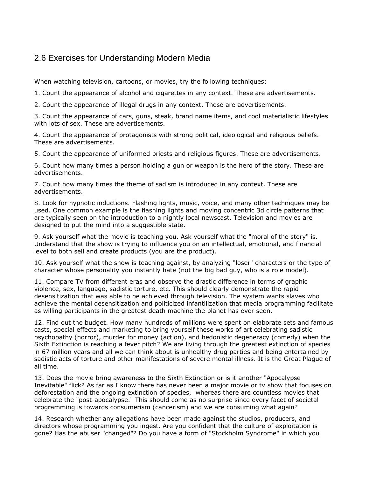# 2.6 Exercises for Understanding Modern Media

When watching television, cartoons, or movies, try the following techniques:

1. Count the appearance of alcohol and cigarettes in any context. These are advertisements.

2. Count the appearance of illegal drugs in any context. These are advertisements.

3. Count the appearance of cars, guns, steak, brand name items, and cool materialistic lifestyles with lots of sex. These are advertisements.

4. Count the appearance of protagonists with strong political, ideological and religious beliefs. These are advertisements.

5. Count the appearance of uniformed priests and religious figures. These are advertisements.

6. Count how many times a person holding a gun or weapon is the hero of the story. These are advertisements.

7. Count how many times the theme of sadism is introduced in any context. These are advertisements.

8. Look for hypnotic inductions. Flashing lights, music, voice, and many other techniques may be used. One common example is the flashing lights and moving concentric 3d circle patterns that are typically seen on the introduction to a nightly local newscast. Television and movies are designed to put the mind into a suggestible state.

9. Ask yourself what the movie is teaching you. Ask yourself what the "moral of the story" is. Understand that the show is trying to influence you on an intellectual, emotional, and financial level to both sell and create products (you are the product).

10. Ask yourself what the show is teaching against, by analyzing "loser" characters or the type of character whose personality you instantly hate (not the big bad guy, who is a role model).

11. Compare TV from different eras and observe the drastic difference in terms of graphic violence, sex, language, sadistic torture, etc. This should clearly demonstrate the rapid desensitization that was able to be achieved through television. The system wants slaves who achieve the mental desensitization and politicized infantilization that media programming facilitate as willing participants in the greatest death machine the planet has ever seen.

12. Find out the budget. How many hundreds of millions were spent on elaborate sets and famous casts, special effects and marketing to bring yourself these works of art celebrating sadistic psychopathy (horror), murder for money (action), and hedonistic degeneracy (comedy) when the Sixth Extinction is reaching a fever pitch? We are living through the greatest extinction of species in 67 million years and all we can think about is unhealthy drug parties and being entertained by sadistic acts of torture and other manifestations of severe mental illness. It is the Great Plague of all time.

13. Does the movie bring awareness to the Sixth Extinction or is it another "Apocalypse Inevitable" flick? As far as I know there has never been a major movie or tv show that focuses on deforestation and the ongoing extinction of species, whereas there are countless movies that celebrate the "post-apocalypse." This should come as no surprise since every facet of societal programming is towards consumerism (cancerism) and we are consuming what again?

14. Research whether any allegations have been made against the studios, producers, and directors whose programming you ingest. Are you confident that the culture of exploitation is gone? Has the abuser "changed"? Do you have a form of "Stockholm Syndrome" in which you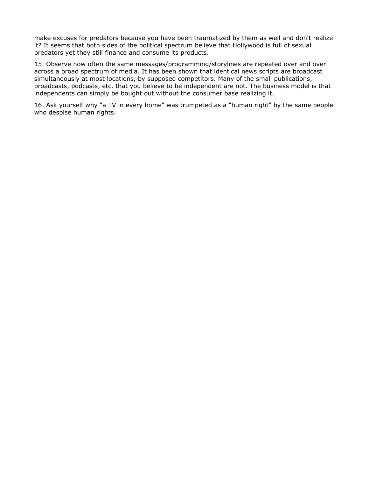make excuses for predators because you have been traumatized by them as well and don't realize it? It seems that both sides of the political spectrum believe that Hollywood is full of sexual predators yet they still finance and consume its products.

15. Observe how often the same messages/programming/storylines are repeated over and over across a broad spectrum of media. It has been shown that identical news scripts are broadcast simultaneously at most locations, by supposed competitors. Many of the small publications, broadcasts, podcasts, etc. that you believe to be independent are not. The business model is that independents can simply be bought out without the consumer base realizing it.

16. Ask yourself why "a TV in every home" was trumpeted as a "human right" by the same people who despise human rights.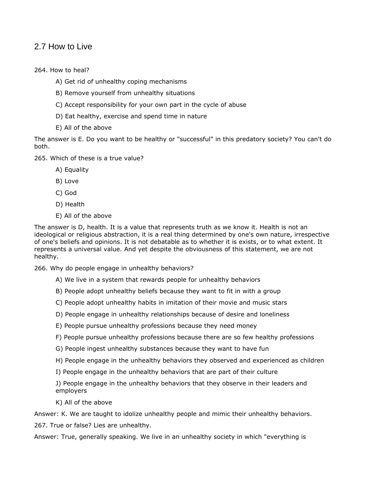## 2.7 How to Live

264. How to heal?

- A) Get rid of unhealthy coping mechanisms
- B) Remove yourself from unhealthy situations
- C) Accept responsibility for your own part in the cycle of abuse
- D) Eat healthy, exercise and spend time in nature
- E) All of the above

The answer is E. Do you want to be healthy or "successful" in this predatory society? You can't do both.

265. Which of these is a true value?

- A) Equality
- B) Love
- C) God
- D) Health
- E) All of the above

The answer is D, health. It is a value that represents truth as we know it. Health is not an ideological or religious abstraction, it is a real thing determined by one's own nature, irrespective of one's beliefs and opinions. It is not debatable as to whether it is exists, or to what extent. It represents a universal value. And yet despite the obviousness of this statement, we are not healthy.

266. Why do people engage in unhealthy behaviors?

- A) We live in a system that rewards people for unhealthy behaviors
- B) People adopt unhealthy beliefs because they want to fit in with a group
- C) People adopt unhealthy habits in imitation of their movie and music stars
- D) People engage in unhealthy relationships because of desire and loneliness
- E) People pursue unhealthy professions because they need money
- F) People pursue unhealthy professions because there are so few healthy professions
- G) People ingest unhealthy substances because they want to have fun
- H) People engage in the unhealthy behaviors they observed and experienced as children
- I) People engage in the unhealthy behaviors that are part of their culture

J) People engage in the unhealthy behaviors that they observe in their leaders and employers

K) All of the above

Answer: K. We are taught to idolize unhealthy people and mimic their unhealthy behaviors.

267. True or false? Lies are unhealthy.

Answer: True, generally speaking. We live in an unhealthy society in which "everything is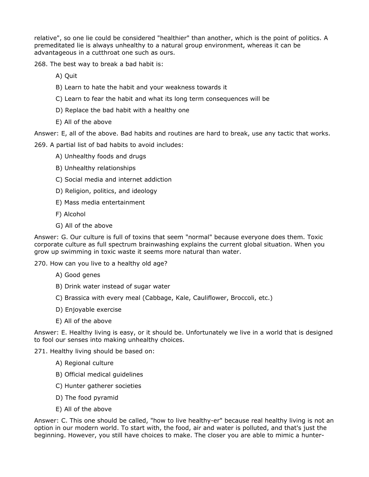relative", so one lie could be considered "healthier" than another, which is the point of politics. A premeditated lie is always unhealthy to a natural group environment, whereas it can be advantageous in a cutthroat one such as ours.

268. The best way to break a bad habit is:

- A) Quit
- B) Learn to hate the habit and your weakness towards it
- C) Learn to fear the habit and what its long term consequences will be
- D) Replace the bad habit with a healthy one
- E) All of the above

Answer: E, all of the above. Bad habits and routines are hard to break, use any tactic that works.

269. A partial list of bad habits to avoid includes:

- A) Unhealthy foods and drugs
- B) Unhealthy relationships
- C) Social media and internet addiction
- D) Religion, politics, and ideology
- E) Mass media entertainment
- F) Alcohol
- G) All of the above

Answer: G. Our culture is full of toxins that seem "normal" because everyone does them. Toxic corporate culture as full spectrum brainwashing explains the current global situation. When you grow up swimming in toxic waste it seems more natural than water.

270. How can you live to a healthy old age?

- A) Good genes
- B) Drink water instead of sugar water
- C) Brassica with every meal (Cabbage, Kale, Cauliflower, Broccoli, etc.)
- D) Enjoyable exercise
- E) All of the above

Answer: E. Healthy living is easy, or it should be. Unfortunately we live in a world that is designed to fool our senses into making unhealthy choices.

271. Healthy living should be based on:

- A) Regional culture
- B) Official medical guidelines
- C) Hunter gatherer societies
- D) The food pyramid
- E) All of the above

Answer: C. This one should be called, "how to live healthy-er" because real healthy living is not an option in our modern world. To start with, the food, air and water is polluted, and that's just the beginning. However, you still have choices to make. The closer you are able to mimic a hunter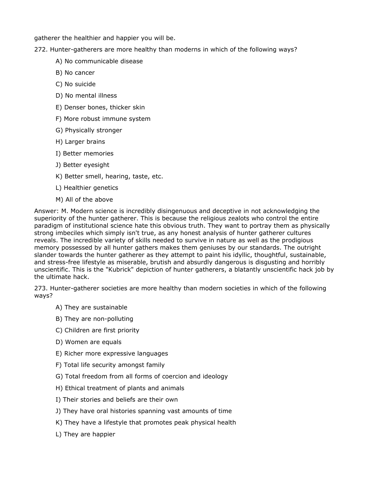gatherer the healthier and happier you will be.

272. Hunter-gatherers are more healthy than moderns in which of the following ways?

- A) No communicable disease
- B) No cancer
- C) No suicide
- D) No mental illness
- E) Denser bones, thicker skin
- F) More robust immune system
- G) Physically stronger
- H) Larger brains
- I) Better memories
- J) Better eyesight
- K) Better smell, hearing, taste, etc.
- L) Healthier genetics
- M) All of the above

Answer: M. Modern science is incredibly disingenuous and deceptive in not acknowledging the superiority of the hunter gatherer. This is because the religious zealots who control the entire paradigm of institutional science hate this obvious truth. They want to portray them as physically strong imbeciles which simply isn't true, as any honest analysis of hunter gatherer cultures reveals. The incredible variety of skills needed to survive in nature as well as the prodigious memory possessed by all hunter gathers makes them geniuses by our standards. The outright slander towards the hunter gatherer as they attempt to paint his idyllic, thoughtful, sustainable, and stress-free lifestyle as miserable, brutish and absurdly dangerous is disgusting and horribly unscientific. This is the "Kubrick" depiction of hunter gatherers, a blatantly unscientific hack job by the ultimate hack.

273. Hunter-gatherer societies are more healthy than modern societies in which of the following ways?

- A) They are sustainable
- B) They are non-polluting
- C) Children are first priority
- D) Women are equals
- E) Richer more expressive languages
- F) Total life security amongst family
- G) Total freedom from all forms of coercion and ideology
- H) Ethical treatment of plants and animals
- I) Their stories and beliefs are their own
- J) They have oral histories spanning vast amounts of time
- K) They have a lifestyle that promotes peak physical health
- L) They are happier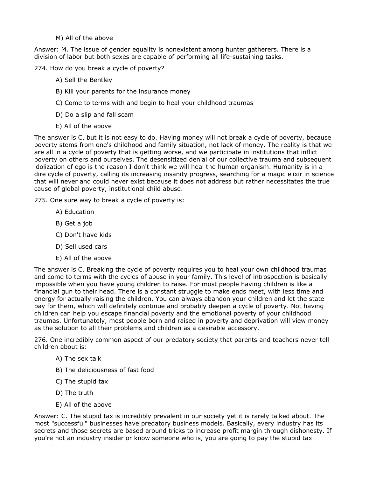M) All of the above

Answer: M. The issue of gender equality is nonexistent among hunter gatherers. There is a division of labor but both sexes are capable of performing all life-sustaining tasks.

274. How do you break a cycle of poverty?

- A) Sell the Bentley
- B) Kill your parents for the insurance money
- C) Come to terms with and begin to heal your childhood traumas
- D) Do a slip and fall scam
- E) All of the above

The answer is C, but it is not easy to do. Having money will not break a cycle of poverty, because poverty stems from one's childhood and family situation, not lack of money. The reality is that we are all in a cycle of poverty that is getting worse, and we participate in institutions that inflict poverty on others and ourselves. The desensitized denial of our collective trauma and subsequent idolization of ego is the reason I don't think we will heal the human organism. Humanity is in a dire cycle of poverty, calling its increasing insanity progress, searching for a magic elixir in science that will never and could never exist because it does not address but rather necessitates the true cause of global poverty, institutional child abuse.

275. One sure way to break a cycle of poverty is:

- A) Education
- B) Get a job
- C) Don't have kids
- D) Sell used cars
- E) All of the above

The answer is C. Breaking the cycle of poverty requires you to heal your own childhood traumas and come to terms with the cycles of abuse in your family. This level of introspection is basically impossible when you have young children to raise. For most people having children is like a financial gun to their head. There is a constant struggle to make ends meet, with less time and energy for actually raising the children. You can always abandon your children and let the state pay for them, which will definitely continue and probably deepen a cycle of poverty. Not having children can help you escape financial poverty and the emotional poverty of your childhood traumas. Unfortunately, most people born and raised in poverty and deprivation will view money as the solution to all their problems and children as a desirable accessory.

276. One incredibly common aspect of our predatory society that parents and teachers never tell children about is:

- A) The sex talk
- B) The deliciousness of fast food
- C) The stupid tax
- D) The truth
- E) All of the above

Answer: C. The stupid tax is incredibly prevalent in our society yet it is rarely talked about. The most "successful" businesses have predatory business models. Basically, every industry has its secrets and those secrets are based around tricks to increase profit margin through dishonesty. If you're not an industry insider or know someone who is, you are going to pay the stupid tax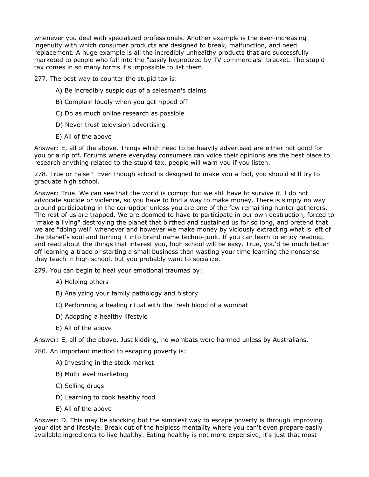whenever you deal with specialized professionals. Another example is the ever-increasing ingenuity with which consumer products are designed to break, malfunction, and need replacement. A huge example is all the incredibly unhealthy products that are successfully marketed to people who fall into the "easily hypnotized by TV commercials" bracket. The stupid tax comes in so many forms it's impossible to list them.

277. The best way to counter the stupid tax is:

- A) Be incredibly suspicious of a salesman's claims
- B) Complain loudly when you get ripped off
- C) Do as much online research as possible
- D) Never trust television advertising
- E) All of the above

Answer: E, all of the above. Things which need to be heavily advertised are either not good for you or a rip off. Forums where everyday consumers can voice their opinions are the best place to research anything related to the stupid tax, people will warn you if you listen.

278. True or False? Even though school is designed to make you a fool, you should still try to graduate high school.

Answer: True. We can see that the world is corrupt but we still have to survive it. I do not advocate suicide or violence, so you have to find a way to make money. There is simply no way around participating in the corruption unless you are one of the few remaining hunter gatherers. The rest of us are trapped. We are doomed to have to participate in our own destruction, forced to "make a living" destroying the planet that birthed and sustained us for so long, and pretend that we are "doing well" whenever and however we make money by viciously extracting what is left of the planet's soul and turning it into brand name techno-junk. If you can learn to enjoy reading, and read about the things that interest you, high school will be easy. True, you'd be much better off learning a trade or starting a small business than wasting your time learning the nonsense they teach in high school, but you probably want to socialize.

279. You can begin to heal your emotional traumas by:

- A) Helping others
- B) Analyzing your family pathology and history
- C) Performing a healing ritual with the fresh blood of a wombat
- D) Adopting a healthy lifestyle
- E) All of the above

Answer: E, all of the above. Just kidding, no wombats were harmed unless by Australians.

280. An important method to escaping poverty is:

- A) Investing in the stock market
- B) Multi level marketing
- C) Selling drugs
- D) Learning to cook healthy food
- E) All of the above

Answer: D. This may be shocking but the simplest way to escape poverty is through improving your diet and lifestyle. Break out of the helpless mentality where you can't even prepare easily available ingredients to live healthy. Eating healthy is not more expensive, it's just that most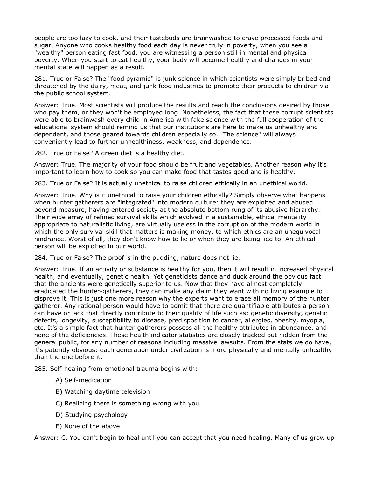people are too lazy to cook, and their tastebuds are brainwashed to crave processed foods and sugar. Anyone who cooks healthy food each day is never truly in poverty, when you see a "wealthy" person eating fast food, you are witnessing a person still in mental and physical poverty. When you start to eat healthy, your body will become healthy and changes in your mental state will happen as a result.

281. True or False? The "food pyramid" is junk science in which scientists were simply bribed and threatened by the dairy, meat, and junk food industries to promote their products to children via the public school system.

Answer: True. Most scientists will produce the results and reach the conclusions desired by those who pay them, or they won't be employed long. Nonetheless, the fact that these corrupt scientists were able to brainwash every child in America with fake science with the full cooperation of the educational system should remind us that our institutions are here to make us unhealthy and dependent, and those geared towards children especially so. "The science" will always conveniently lead to further unhealthiness, weakness, and dependence.

282. True or False? A green diet is a healthy diet.

Answer: True. The majority of your food should be fruit and vegetables. Another reason why it's important to learn how to cook so you can make food that tastes good and is healthy.

283. True or False? It is actually unethical to raise children ethically in an unethical world.

Answer: True. Why is it unethical to raise your children ethically? Simply observe what happens when hunter gatherers are "integrated" into modern culture: they are exploited and abused beyond measure, having entered society at the absolute bottom rung of its abusive hierarchy. Their wide array of refined survival skills which evolved in a sustainable, ethical mentality appropriate to naturalistic living, are virtually useless in the corruption of the modern world in which the only survival skill that matters is making money, to which ethics are an unequivocal hindrance. Worst of all, they don't know how to lie or when they are being lied to. An ethical person will be exploited in our world.

284. True or False? The proof is in the pudding, nature does not lie.

Answer: True. If an activity or substance is healthy for you, then it will result in increased physical health, and eventually, genetic health. Yet geneticists dance and duck around the obvious fact that the ancients were genetically superior to us. Now that they have almost completely eradicated the hunter-gatherers, they can make any claim they want with no living example to disprove it. This is just one more reason why the experts want to erase all memory of the hunter gatherer. Any rational person would have to admit that there are quantifiable attributes a person can have or lack that directly contribute to their quality of life such as: genetic diversity, genetic defects, longevity, susceptibility to disease, predisposition to cancer, allergies, obesity, myopia, etc. It's a simple fact that hunter-gatherers possess all the healthy attributes in abundance, and none of the deficiencies. These health indicator statistics are closely tracked but hidden from the general public, for any number of reasons including massive lawsuits. From the stats we do have, it's patently obvious: each generation under civilization is more physically and mentally unhealthy than the one before it.

285. Self-healing from emotional trauma begins with:

- A) Self-medication
- B) Watching daytime television
- C) Realizing there is something wrong with you
- D) Studying psychology
- E) None of the above

Answer: C. You can't begin to heal until you can accept that you need healing. Many of us grow up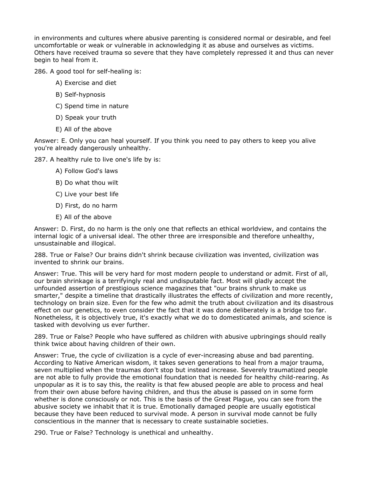in environments and cultures where abusive parenting is considered normal or desirable, and feel uncomfortable or weak or vulnerable in acknowledging it as abuse and ourselves as victims. Others have received trauma so severe that they have completely repressed it and thus can never begin to heal from it.

286. A good tool for self-healing is:

- A) Exercise and diet
- B) Self-hypnosis
- C) Spend time in nature
- D) Speak your truth
- E) All of the above

Answer: E. Only you can heal yourself. If you think you need to pay others to keep you alive you're already dangerously unhealthy.

287. A healthy rule to live one's life by is:

- A) Follow God's laws
- B) Do what thou wilt
- C) Live your best life
- D) First, do no harm
- E) All of the above

Answer: D. First, do no harm is the only one that reflects an ethical worldview, and contains the internal logic of a universal ideal. The other three are irresponsible and therefore unhealthy, unsustainable and illogical.

288. True or False? Our brains didn't shrink because civilization was invented, civilization was invented to shrink our brains.

Answer: True. This will be very hard for most modern people to understand or admit. First of all, our brain shrinkage is a terrifyingly real and undisputable fact. Most will gladly accept the unfounded assertion of prestigious science magazines that "our brains shrunk to make us smarter," despite a timeline that drastically illustrates the effects of civilization and more recently, technology on brain size. Even for the few who admit the truth about civilization and its disastrous effect on our genetics, to even consider the fact that it was done deliberately is a bridge too far. Nonetheless, it is objectively true, it's exactly what we do to domesticated animals, and science is tasked with devolving us ever further.

289. True or False? People who have suffered as children with abusive upbringings should really think twice about having children of their own.

Answer: True, the cycle of civilization is a cycle of ever-increasing abuse and bad parenting. According to Native American wisdom, it takes seven generations to heal from a major trauma, seven multiplied when the traumas don't stop but instead increase. Severely traumatized people are not able to fully provide the emotional foundation that is needed for healthy child-rearing. As unpopular as it is to say this, the reality is that few abused people are able to process and heal from their own abuse before having children, and thus the abuse is passed on in some form whether is done consciously or not. This is the basis of the Great Plague, you can see from the abusive society we inhabit that it is true. Emotionally damaged people are usually egotistical because they have been reduced to survival mode. A person in survival mode cannot be fully conscientious in the manner that is necessary to create sustainable societies.

290. True or False? Technology is unethical and unhealthy.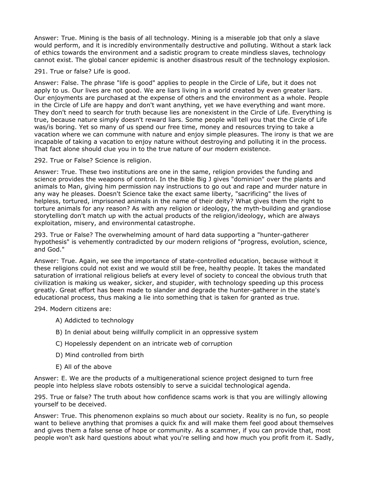Answer: True. Mining is the basis of all technology. Mining is a miserable job that only a slave would perform, and it is incredibly environmentally destructive and polluting. Without a stark lack of ethics towards the environment and a sadistic program to create mindless slaves, technology cannot exist. The global cancer epidemic is another disastrous result of the technology explosion.

291. True or false? Life is good.

Answer: False. The phrase "life is good" applies to people in the Circle of Life, but it does not apply to us. Our lives are not good. We are liars living in a world created by even greater liars. Our enjoyments are purchased at the expense of others and the environment as a whole. People in the Circle of Life are happy and don't want anything, yet we have everything and want more. They don't need to search for truth because lies are nonexistent in the Circle of Life. Everything is true, because nature simply doesn't reward liars. Some people will tell you that the Circle of Life was/is boring. Yet so many of us spend our free time, money and resources trying to take a vacation where we can commune with nature and enjoy simple pleasures. The irony is that we are incapable of taking a vacation to enjoy nature without destroying and polluting it in the process. That fact alone should clue you in to the true nature of our modern existence.

292. True or False? Science is religion.

Answer: True. These two institutions are one in the same, religion provides the funding and science provides the weapons of control. In the Bible Big J gives "dominion" over the plants and animals to Man, giving him permission nay instructions to go out and rape and murder nature in any way he pleases. Doesn't Science take the exact same liberty, "sacrificing" the lives of helpless, tortured, imprisoned animals in the name of their deity? What gives them the right to torture animals for any reason? As with any religion or ideology, the myth-building and grandiose storytelling don't match up with the actual products of the religion/ideology, which are always exploitation, misery, and environmental catastrophe.

293. True or False? The overwhelming amount of hard data supporting a "hunter-gatherer hypothesis" is vehemently contradicted by our modern religions of "progress, evolution, science, and God."

Answer: True. Again, we see the importance of state-controlled education, because without it these religions could not exist and we would still be free, healthy people. It takes the mandated saturation of irrational religious beliefs at every level of society to conceal the obvious truth that civilization is making us weaker, sicker, and stupider, with technology speeding up this process greatly. Great effort has been made to slander and degrade the hunter-gatherer in the state's educational process, thus making a lie into something that is taken for granted as true.

294. Modern citizens are:

- A) Addicted to technology
- B) In denial about being willfully complicit in an oppressive system
- C) Hopelessly dependent on an intricate web of corruption
- D) Mind controlled from birth
- E) All of the above

Answer: E. We are the products of a multigenerational science project designed to turn free people into helpless slave robots ostensibly to serve a suicidal technological agenda.

295. True or false? The truth about how confidence scams work is that you are willingly allowing yourself to be deceived.

Answer: True. This phenomenon explains so much about our society. Reality is no fun, so people want to believe anything that promises a quick fix and will make them feel good about themselves and gives them a false sense of hope or community. As a scammer, if you can provide that, most people won't ask hard questions about what you're selling and how much you profit from it. Sadly,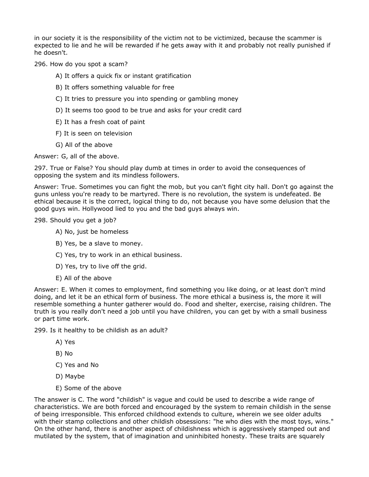in our society it is the responsibility of the victim not to be victimized, because the scammer is expected to lie and he will be rewarded if he gets away with it and probably not really punished if he doesn't.

296. How do you spot a scam?

- A) It offers a quick fix or instant gratification
- B) It offers something valuable for free
- C) It tries to pressure you into spending or gambling money
- D) It seems too good to be true and asks for your credit card
- E) It has a fresh coat of paint
- F) It is seen on television
- G) All of the above

Answer: G, all of the above.

297. True or False? You should play dumb at times in order to avoid the consequences of opposing the system and its mindless followers.

Answer: True. Sometimes you can fight the mob, but you can't fight city hall. Don't go against the guns unless you're ready to be martyred. There is no revolution, the system is undefeated. Be ethical because it is the correct, logical thing to do, not because you have some delusion that the good guys win. Hollywood lied to you and the bad guys always win.

#### 298. Should you get a job?

- A) No, just be homeless
- B) Yes, be a slave to money.
- C) Yes, try to work in an ethical business.
- D) Yes, try to live off the grid.
- E) All of the above

Answer: E. When it comes to employment, find something you like doing, or at least don't mind doing, and let it be an ethical form of business. The more ethical a business is, the more it will resemble something a hunter gatherer would do. Food and shelter, exercise, raising children. The truth is you really don't need a job until you have children, you can get by with a small business or part time work.

299. Is it healthy to be childish as an adult?

- A) Yes
- B) No
- C) Yes and No
- D) Maybe
- E) Some of the above

The answer is C. The word "childish" is vague and could be used to describe a wide range of characteristics. We are both forced and encouraged by the system to remain childish in the sense of being irresponsible. This enforced childhood extends to culture, wherein we see older adults with their stamp collections and other childish obsessions: "he who dies with the most toys, wins." On the other hand, there is another aspect of childishness which is aggressively stamped out and mutilated by the system, that of imagination and uninhibited honesty. These traits are squarely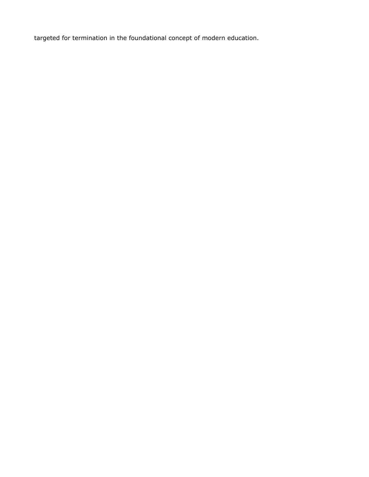targeted for termination in the foundational concept of modern education.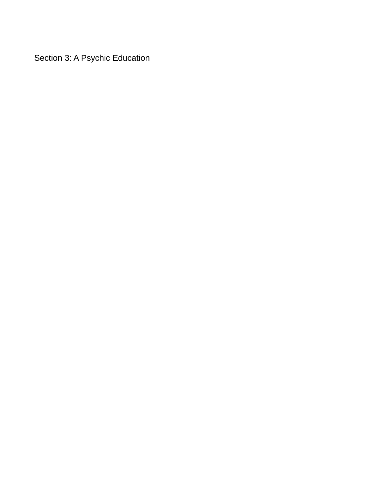Section 3: A Psychic Education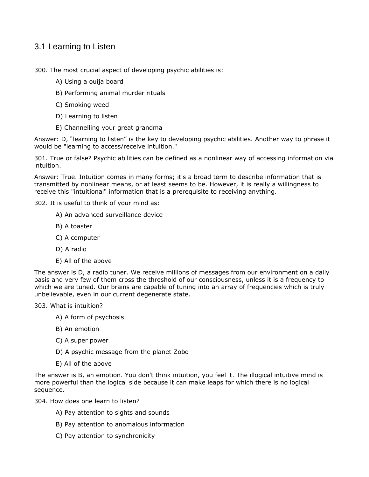## 3.1 Learning to Listen

300. The most crucial aspect of developing psychic abilities is:

- A) Using a ouija board
- B) Performing animal murder rituals
- C) Smoking weed
- D) Learning to listen
- E) Channelling your great grandma

Answer: D, "learning to listen" is the key to developing psychic abilities. Another way to phrase it would be "learning to access/receive intuition."

301. True or false? Psychic abilities can be defined as a nonlinear way of accessing information via intuition.

Answer: True. Intuition comes in many forms; it's a broad term to describe information that is transmitted by nonlinear means, or at least seems to be. However, it is really a willingness to receive this "intuitional" information that is a prerequisite to receiving anything.

302. It is useful to think of your mind as:

- A) An advanced surveillance device
- B) A toaster
- C) A computer
- D) A radio
- E) All of the above

The answer is D, a radio tuner. We receive millions of messages from our environment on a daily basis and very few of them cross the threshold of our consciousness, unless it is a frequency to which we are tuned. Our brains are capable of tuning into an array of frequencies which is truly unbelievable, even in our current degenerate state.

303. What is intuition?

- A) A form of psychosis
- B) An emotion
- C) A super power
- D) A psychic message from the planet Zobo
- E) All of the above

The answer is B, an emotion. You don't think intuition, you feel it. The illogical intuitive mind is more powerful than the logical side because it can make leaps for which there is no logical sequence.

304. How does one learn to listen?

- A) Pay attention to sights and sounds
- B) Pay attention to anomalous information
- C) Pay attention to synchronicity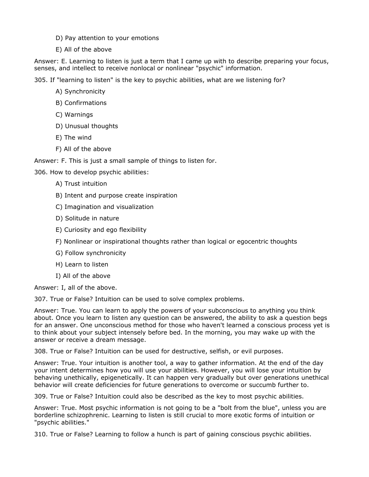- D) Pay attention to your emotions
- E) All of the above

Answer: E. Learning to listen is just a term that I came up with to describe preparing your focus, senses, and intellect to receive nonlocal or nonlinear "psychic" information.

305. If "learning to listen" is the key to psychic abilities, what are we listening for?

- A) Synchronicity
- B) Confirmations
- C) Warnings
- D) Unusual thoughts
- E) The wind
- F) All of the above

Answer: F. This is just a small sample of things to listen for.

306. How to develop psychic abilities:

- A) Trust intuition
- B) Intent and purpose create inspiration
- C) Imagination and visualization
- D) Solitude in nature
- E) Curiosity and ego flexibility
- F) Nonlinear or inspirational thoughts rather than logical or egocentric thoughts
- G) Follow synchronicity
- H) Learn to listen
- I) All of the above

Answer: I, all of the above.

307. True or False? Intuition can be used to solve complex problems.

Answer: True. You can learn to apply the powers of your subconscious to anything you think about. Once you learn to listen any question can be answered, the ability to ask a question begs for an answer. One unconscious method for those who haven't learned a conscious process yet is to think about your subject intensely before bed. In the morning, you may wake up with the answer or receive a dream message.

308. True or False? Intuition can be used for destructive, selfish, or evil purposes.

Answer: True. Your intuition is another tool, a way to gather information. At the end of the day your intent determines how you will use your abilities. However, you will lose your intuition by behaving unethically, epigenetically. It can happen very gradually but over generations unethical behavior will create deficiencies for future generations to overcome or succumb further to.

309. True or False? Intuition could also be described as the key to most psychic abilities.

Answer: True. Most psychic information is not going to be a "bolt from the blue", unless you are borderline schizophrenic. Learning to listen is still crucial to more exotic forms of intuition or "psychic abilities."

310. True or False? Learning to follow a hunch is part of gaining conscious psychic abilities.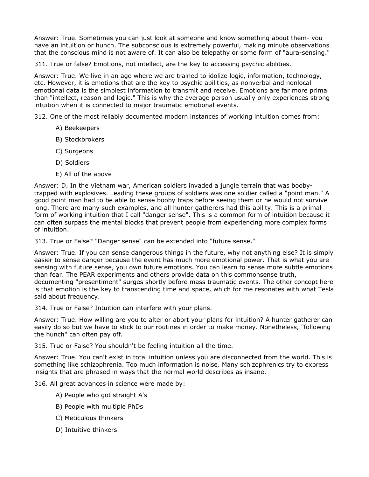Answer: True. Sometimes you can just look at someone and know something about them- you have an intuition or hunch. The subconscious is extremely powerful, making minute observations that the conscious mind is not aware of. It can also be telepathy or some form of "aura-sensing."

311. True or false? Emotions, not intellect, are the key to accessing psychic abilities.

Answer: True. We live in an age where we are trained to idolize logic, information, technology, etc. However, it is emotions that are the key to psychic abilities, as nonverbal and nonlocal emotional data is the simplest information to transmit and receive. Emotions are far more primal than "intellect, reason and logic." This is why the average person usually only experiences strong intuition when it is connected to major traumatic emotional events.

312. One of the most reliably documented modern instances of working intuition comes from:

- A) Beekeepers
- B) Stockbrokers
- C) Surgeons
- D) Soldiers
- E) All of the above

Answer: D. In the Vietnam war, American soldiers invaded a jungle terrain that was boobytrapped with explosives. Leading these groups of soldiers was one soldier called a "point man." A good point man had to be able to sense booby traps before seeing them or he would not survive long. There are many such examples, and all hunter gatherers had this ability. This is a primal form of working intuition that I call "danger sense". This is a common form of intuition because it can often surpass the mental blocks that prevent people from experiencing more complex forms of intuition.

313. True or False? "Danger sense" can be extended into "future sense."

Answer: True. If you can sense dangerous things in the future, why not anything else? It is simply easier to sense danger because the event has much more emotional power. That is what you are sensing with future sense, you own future emotions. You can learn to sense more subtle emotions than fear. The PEAR experiments and others provide data on this commonsense truth, documenting "presentiment" surges shortly before mass traumatic events. The other concept here is that emotion is the key to transcending time and space, which for me resonates with what Tesla said about frequency.

314. True or False? Intuition can interfere with your plans.

Answer: True. How willing are you to alter or abort your plans for intuition? A hunter gatherer can easily do so but we have to stick to our routines in order to make money. Nonetheless, "following the hunch" can often pay off.

315. True or False? You shouldn't be feeling intuition all the time.

Answer: True. You can't exist in total intuition unless you are disconnected from the world. This is something like schizophrenia. Too much information is noise. Many schizophrenics try to express insights that are phrased in ways that the normal world describes as insane.

316. All great advances in science were made by:

- A) People who got straight A's
- B) People with multiple PhDs
- C) Meticulous thinkers
- D) Intuitive thinkers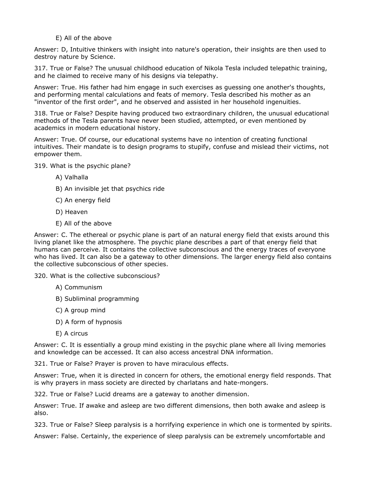### E) All of the above

Answer: D, Intuitive thinkers with insight into nature's operation, their insights are then used to destroy nature by Science.

317. True or False? The unusual childhood education of Nikola Tesla included telepathic training, and he claimed to receive many of his designs via telepathy.

Answer: True. His father had him engage in such exercises as guessing one another's thoughts, and performing mental calculations and feats of memory. Tesla described his mother as an "inventor of the first order", and he observed and assisted in her household ingenuities.

318. True or False? Despite having produced two extraordinary children, the unusual educational methods of the Tesla parents have never been studied, attempted, or even mentioned by academics in modern educational history.

Answer: True. Of course, our educational systems have no intention of creating functional intuitives. Their mandate is to design programs to stupify, confuse and mislead their victims, not empower them.

319. What is the psychic plane?

- A) Valhalla
- B) An invisible jet that psychics ride
- C) An energy field
- D) Heaven
- E) All of the above

Answer: C. The ethereal or psychic plane is part of an natural energy field that exists around this living planet like the atmosphere. The psychic plane describes a part of that energy field that humans can perceive. It contains the collective subconscious and the energy traces of everyone who has lived. It can also be a gateway to other dimensions. The larger energy field also contains the collective subconscious of other species.

320. What is the collective subconscious?

- A) Communism
- B) Subliminal programming
- C) A group mind
- D) A form of hypnosis
- E) A circus

Answer: C. It is essentially a group mind existing in the psychic plane where all living memories and knowledge can be accessed. It can also access ancestral DNA information.

321. True or False? Prayer is proven to have miraculous effects.

Answer: True, when it is directed in concern for others, the emotional energy field responds. That is why prayers in mass society are directed by charlatans and hate-mongers.

322. True or False? Lucid dreams are a gateway to another dimension.

Answer: True. If awake and asleep are two different dimensions, then both awake and asleep is also.

323. True or False? Sleep paralysis is a horrifying experience in which one is tormented by spirits.

Answer: False. Certainly, the experience of sleep paralysis can be extremely uncomfortable and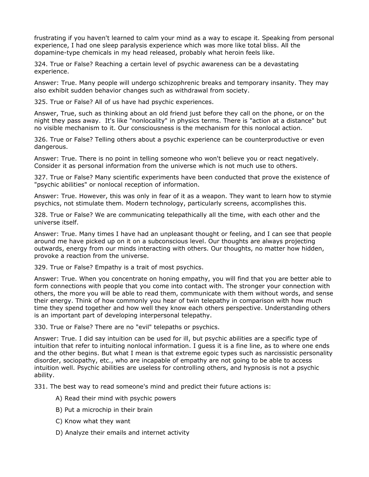frustrating if you haven't learned to calm your mind as a way to escape it. Speaking from personal experience, I had one sleep paralysis experience which was more like total bliss. All the dopamine-type chemicals in my head released, probably what heroin feels like.

324. True or False? Reaching a certain level of psychic awareness can be a devastating experience.

Answer: True. Many people will undergo schizophrenic breaks and temporary insanity. They may also exhibit sudden behavior changes such as withdrawal from society.

325. True or False? All of us have had psychic experiences.

Answer, True, such as thinking about an old friend just before they call on the phone, or on the night they pass away. It's like "nonlocality" in physics terms. There is "action at a distance" but no visible mechanism to it. Our consciousness is the mechanism for this nonlocal action.

326. True or False? Telling others about a psychic experience can be counterproductive or even dangerous.

Answer: True. There is no point in telling someone who won't believe you or react negatively. Consider it as personal information from the universe which is not much use to others.

327. True or False? Many scientific experiments have been conducted that prove the existence of "psychic abilities" or nonlocal reception of information.

Answer: True. However, this was only in fear of it as a weapon. They want to learn how to stymie psychics, not stimulate them. Modern technology, particularly screens, accomplishes this.

328. True or False? We are communicating telepathically all the time, with each other and the universe itself.

Answer: True. Many times I have had an unpleasant thought or feeling, and I can see that people around me have picked up on it on a subconscious level. Our thoughts are always projecting outwards, energy from our minds interacting with others. Our thoughts, no matter how hidden, provoke a reaction from the universe.

329. True or False? Empathy is a trait of most psychics.

Answer: True. When you concentrate on honing empathy, you will find that you are better able to form connections with people that you come into contact with. The stronger your connection with others, the more you will be able to read them, communicate with them without words, and sense their energy. Think of how commonly you hear of twin telepathy in comparison with how much time they spend together and how well they know each others perspective. Understanding others is an important part of developing interpersonal telepathy.

330. True or False? There are no "evil" telepaths or psychics.

Answer: True. I did say intuition can be used for ill, but psychic abilities are a specific type of intuition that refer to intuiting nonlocal information. I guess it is a fine line, as to where one ends and the other begins. But what I mean is that extreme egoic types such as narcissistic personality disorder, sociopathy, etc., who are incapable of empathy are not going to be able to access intuition well. Psychic abilities are useless for controlling others, and hypnosis is not a psychic ability.

331. The best way to read someone's mind and predict their future actions is:

- A) Read their mind with psychic powers
- B) Put a microchip in their brain
- C) Know what they want
- D) Analyze their emails and internet activity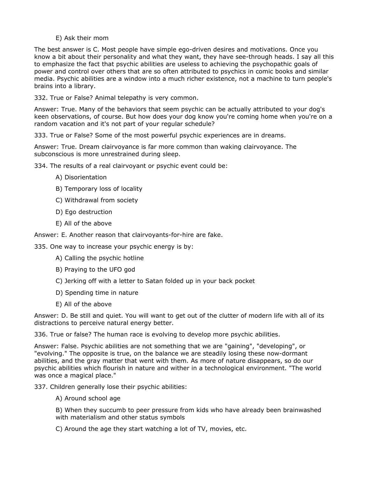#### E) Ask their mom

The best answer is C. Most people have simple ego-driven desires and motivations. Once you know a bit about their personality and what they want, they have see-through heads. I say all this to emphasize the fact that psychic abilities are useless to achieving the psychopathic goals of power and control over others that are so often attributed to psychics in comic books and similar media. Psychic abilities are a window into a much richer existence, not a machine to turn people's brains into a library.

332. True or False? Animal telepathy is very common.

Answer: True. Many of the behaviors that seem psychic can be actually attributed to your dog's keen observations, of course. But how does your dog know you're coming home when you're on a random vacation and it's not part of your regular schedule?

333. True or False? Some of the most powerful psychic experiences are in dreams.

Answer: True. Dream clairvoyance is far more common than waking clairvoyance. The subconscious is more unrestrained during sleep.

334. The results of a real clairvoyant or psychic event could be:

- A) Disorientation
- B) Temporary loss of locality
- C) Withdrawal from society
- D) Ego destruction
- E) All of the above

Answer: E. Another reason that clairvoyants-for-hire are fake.

335. One way to increase your psychic energy is by:

- A) Calling the psychic hotline
- B) Praying to the UFO god
- C) Jerking off with a letter to Satan folded up in your back pocket
- D) Spending time in nature
- E) All of the above

Answer: D. Be still and quiet. You will want to get out of the clutter of modern life with all of its distractions to perceive natural energy better.

336. True or false? The human race is evolving to develop more psychic abilities.

Answer: False. Psychic abilities are not something that we are "gaining", "developing", or "evolving." The opposite is true, on the balance we are steadily losing these now-dormant abilities, and the gray matter that went with them. As more of nature disappears, so do our psychic abilities which flourish in nature and wither in a technological environment. "The world was once a magical place."

337. Children generally lose their psychic abilities:

A) Around school age

B) When they succumb to peer pressure from kids who have already been brainwashed with materialism and other status symbols

C) Around the age they start watching a lot of TV, movies, etc.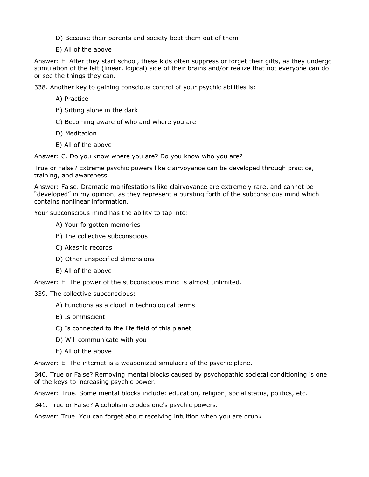- D) Because their parents and society beat them out of them
- E) All of the above

Answer: E. After they start school, these kids often suppress or forget their gifts, as they undergo stimulation of the left (linear, logical) side of their brains and/or realize that not everyone can do or see the things they can.

338. Another key to gaining conscious control of your psychic abilities is:

- A) Practice
- B) Sitting alone in the dark
- C) Becoming aware of who and where you are
- D) Meditation
- E) All of the above

Answer: C. Do you know where you are? Do you know who you are?

True or False? Extreme psychic powers like clairvoyance can be developed through practice, training, and awareness.

Answer: False. Dramatic manifestations like clairvoyance are extremely rare, and cannot be "developed" in my opinion, as they represent a bursting forth of the subconscious mind which contains nonlinear information.

Your subconscious mind has the ability to tap into:

- A) Your forgotten memories
- B) The collective subconscious
- C) Akashic records
- D) Other unspecified dimensions
- E) All of the above

Answer: E. The power of the subconscious mind is almost unlimited.

339. The collective subconscious:

- A) Functions as a cloud in technological terms
- B) Is omniscient
- C) Is connected to the life field of this planet
- D) Will communicate with you
- E) All of the above

Answer: E. The internet is a weaponized simulacra of the psychic plane.

340. True or False? Removing mental blocks caused by psychopathic societal conditioning is one of the keys to increasing psychic power.

Answer: True. Some mental blocks include: education, religion, social status, politics, etc.

341. True or False? Alcoholism erodes one's psychic powers.

Answer: True. You can forget about receiving intuition when you are drunk.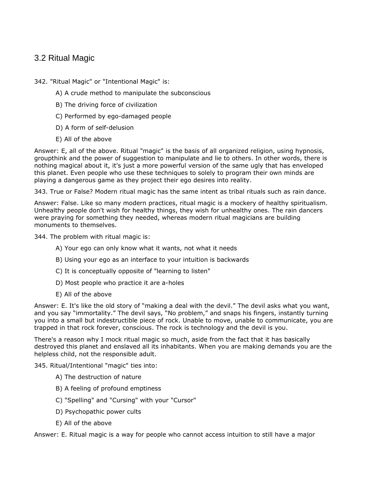## 3.2 Ritual Magic

- 342. "Ritual Magic" or "Intentional Magic" is:
	- A) A crude method to manipulate the subconscious
	- B) The driving force of civilization
	- C) Performed by ego-damaged people
	- D) A form of self-delusion
	- E) All of the above

Answer: E, all of the above. Ritual "magic" is the basis of all organized religion, using hypnosis, groupthink and the power of suggestion to manipulate and lie to others. In other words, there is nothing magical about it, it's just a more powerful version of the same ugly that has enveloped this planet. Even people who use these techniques to solely to program their own minds are playing a dangerous game as they project their ego desires into reality.

343. True or False? Modern ritual magic has the same intent as tribal rituals such as rain dance.

Answer: False. Like so many modern practices, ritual magic is a mockery of healthy spiritualism. Unhealthy people don't wish for healthy things, they wish for unhealthy ones. The rain dancers were praying for something they needed, whereas modern ritual magicians are building monuments to themselves.

344. The problem with ritual magic is:

- A) Your ego can only know what it wants, not what it needs
- B) Using your ego as an interface to your intuition is backwards
- C) It is conceptually opposite of "learning to listen"
- D) Most people who practice it are a-holes
- E) All of the above

Answer: E. It's like the old story of "making a deal with the devil." The devil asks what you want, and you say "immortality." The devil says, "No problem," and snaps his fingers, instantly turning you into a small but indestructible piece of rock. Unable to move, unable to communicate, you are trapped in that rock forever, conscious. The rock is technology and the devil is you.

There's a reason why I mock ritual magic so much, aside from the fact that it has basically destroyed this planet and enslaved all its inhabitants. When you are making demands you are the helpless child, not the responsible adult.

345. Ritual/Intentional "magic" ties into:

- A) The destruction of nature
- B) A feeling of profound emptiness
- C) "Spelling" and "Cursing" with your "Cursor"
- D) Psychopathic power cults
- E) All of the above

Answer: E. Ritual magic is a way for people who cannot access intuition to still have a major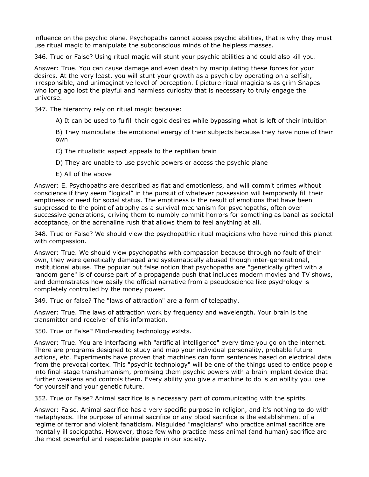influence on the psychic plane. Psychopaths cannot access psychic abilities, that is why they must use ritual magic to manipulate the subconscious minds of the helpless masses.

346. True or False? Using ritual magic will stunt your psychic abilities and could also kill you.

Answer: True. You can cause damage and even death by manipulating these forces for your desires. At the very least, you will stunt your growth as a psychic by operating on a selfish, irresponsible, and unimaginative level of perception. I picture ritual magicians as grim Snapes who long ago lost the playful and harmless curiosity that is necessary to truly engage the universe.

347. The hierarchy rely on ritual magic because:

A) It can be used to fulfill their egoic desires while bypassing what is left of their intuition

B) They manipulate the emotional energy of their subjects because they have none of their own

C) The ritualistic aspect appeals to the reptilian brain

D) They are unable to use psychic powers or access the psychic plane

E) All of the above

Answer: E. Psychopaths are described as flat and emotionless, and will commit crimes without conscience if they seem "logical" in the pursuit of whatever possession will temporarily fill their emptiness or need for social status. The emptiness is the result of emotions that have been suppressed to the point of atrophy as a survival mechanism for psychopaths, often over successive generations, driving them to numbly commit horrors for something as banal as societal acceptance, or the adrenaline rush that allows them to feel anything at all.

348. True or False? We should view the psychopathic ritual magicians who have ruined this planet with compassion.

Answer: True. We should view psychopaths with compassion because through no fault of their own, they were genetically damaged and systematically abused though inter-generational, institutional abuse. The popular but false notion that psychopaths are "genetically gifted with a random gene" is of course part of a propaganda push that includes modern movies and TV shows, and demonstrates how easily the official narrative from a pseudoscience like psychology is completely controlled by the money power.

349. True or false? The "laws of attraction" are a form of telepathy.

Answer: True. The laws of attraction work by frequency and wavelength. Your brain is the transmitter and receiver of this information.

350. True or False? Mind-reading technology exists.

Answer: True. You are interfacing with "artificial intelligence" every time you go on the internet. There are programs designed to study and map your individual personality, probable future actions, etc. Experiments have proven that machines can form sentences based on electrical data from the prevocal cortex. This "psychic technology" will be one of the things used to entice people into final-stage transhumanism, promising them psychic powers with a brain implant device that further weakens and controls them. Every ability you give a machine to do is an ability you lose for yourself and your genetic future.

352. True or False? Animal sacrifice is a necessary part of communicating with the spirits.

Answer: False. Animal sacrifice has a very specific purpose in religion, and it's nothing to do with metaphysics. The purpose of animal sacrifice or any blood sacrifice is the establishment of a regime of terror and violent fanaticism. Misguided "magicians" who practice animal sacrifice are mentally ill sociopaths. However, those few who practice mass animal (and human) sacrifice are the most powerful and respectable people in our society.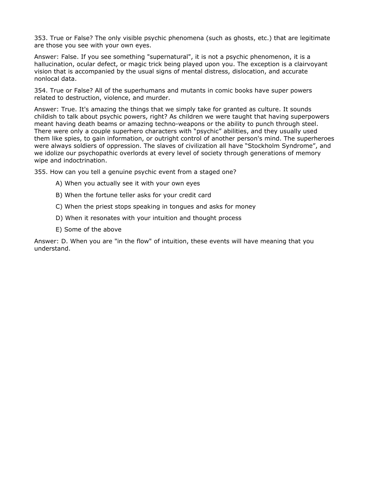353. True or False? The only visible psychic phenomena (such as ghosts, etc.) that are legitimate are those you see with your own eyes.

Answer: False. If you see something "supernatural", it is not a psychic phenomenon, it is a hallucination, ocular defect, or magic trick being played upon you. The exception is a clairvoyant vision that is accompanied by the usual signs of mental distress, dislocation, and accurate nonlocal data.

354. True or False? All of the superhumans and mutants in comic books have super powers related to destruction, violence, and murder.

Answer: True. It's amazing the things that we simply take for granted as culture. It sounds childish to talk about psychic powers, right? As children we were taught that having superpowers meant having death beams or amazing techno-weapons or the ability to punch through steel. There were only a couple superhero characters with "psychic" abilities, and they usually used them like spies, to gain information, or outright control of another person's mind. The superheroes were always soldiers of oppression. The slaves of civilization all have "Stockholm Syndrome", and we idolize our psychopathic overlords at every level of society through generations of memory wipe and indoctrination.

355. How can you tell a genuine psychic event from a staged one?

- A) When you actually see it with your own eyes
- B) When the fortune teller asks for your credit card
- C) When the priest stops speaking in tongues and asks for money
- D) When it resonates with your intuition and thought process
- E) Some of the above

Answer: D. When you are "in the flow" of intuition, these events will have meaning that you understand.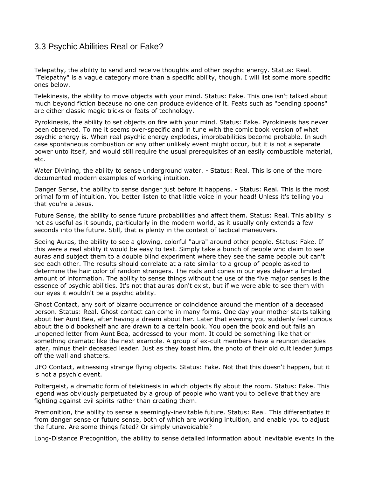## 3.3 Psychic Abilities Real or Fake?

Telepathy, the ability to send and receive thoughts and other psychic energy. Status: Real. "Telepathy" is a vague category more than a specific ability, though. I will list some more specific ones below.

Telekinesis, the ability to move objects with your mind. Status: Fake. This one isn't talked about much beyond fiction because no one can produce evidence of it. Feats such as "bending spoons" are either classic magic tricks or feats of technology.

Pyrokinesis, the ability to set objects on fire with your mind. Status: Fake. Pyrokinesis has never been observed. To me it seems over-specific and in tune with the comic book version of what psychic energy is. When real psychic energy explodes, improbabilities become probable. In such case spontaneous combustion or any other unlikely event might occur, but it is not a separate power unto itself, and would still require the usual prerequisites of an easily combustible material, etc.

Water Divining, the ability to sense underground water. - Status: Real. This is one of the more documented modern examples of working intuition.

Danger Sense, the ability to sense danger just before it happens. - Status: Real. This is the most primal form of intuition. You better listen to that little voice in your head! Unless it's telling you that you're a Jesus.

Future Sense, the ability to sense future probabilities and affect them. Status: Real. This ability is not as useful as it sounds, particularly in the modern world, as it usually only extends a few seconds into the future. Still, that is plenty in the context of tactical maneuvers.

Seeing Auras, the ability to see a glowing, colorful "aura" around other people. Status: Fake. If this were a real ability it would be easy to test. Simply take a bunch of people who claim to see auras and subject them to a double blind experiment where they see the same people but can't see each other. The results should correlate at a rate similar to a group of people asked to determine the hair color of random strangers. The rods and cones in our eyes deliver a limited amount of information. The ability to sense things without the use of the five major senses is the essence of psychic abilities. It's not that auras don't exist, but if we were able to see them with our eyes it wouldn't be a psychic ability.

Ghost Contact, any sort of bizarre occurrence or coincidence around the mention of a deceased person. Status: Real. Ghost contact can come in many forms. One day your mother starts talking about her Aunt Bea, after having a dream about her. Later that evening you suddenly feel curious about the old bookshelf and are drawn to a certain book. You open the book and out falls an unopened letter from Aunt Bea, addressed to your mom. It could be something like that or something dramatic like the next example. A group of ex-cult members have a reunion decades later, minus their deceased leader. Just as they toast him, the photo of their old cult leader jumps off the wall and shatters.

UFO Contact, witnessing strange flying objects. Status: Fake. Not that this doesn't happen, but it is not a psychic event.

Poltergeist, a dramatic form of telekinesis in which objects fly about the room. Status: Fake. This legend was obviously perpetuated by a group of people who want you to believe that they are fighting against evil spirits rather than creating them.

Premonition, the ability to sense a seemingly-inevitable future. Status: Real. This differentiates it from danger sense or future sense, both of which are working intuition, and enable you to adjust the future. Are some things fated? Or simply unavoidable?

Long-Distance Precognition, the ability to sense detailed information about inevitable events in the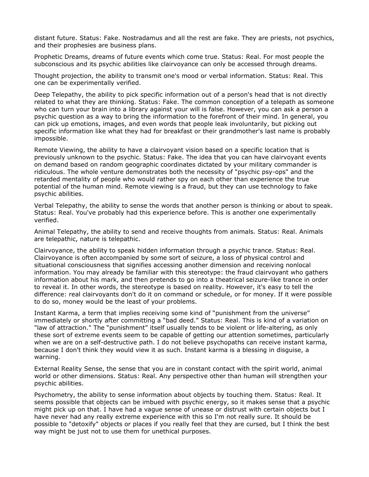distant future. Status: Fake. Nostradamus and all the rest are fake. They are priests, not psychics, and their prophesies are business plans.

Prophetic Dreams, dreams of future events which come true. Status: Real. For most people the subconscious and its psychic abilities like clairvoyance can only be accessed through dreams.

Thought projection, the ability to transmit one's mood or verbal information. Status: Real. This one can be experimentally verified.

Deep Telepathy, the ability to pick specific information out of a person's head that is not directly related to what they are thinking. Status: Fake. The common conception of a telepath as someone who can turn your brain into a library against your will is false. However, you can ask a person a psychic question as a way to bring the information to the forefront of their mind. In general, you can pick up emotions, images, and even words that people leak involuntarily, but picking out specific information like what they had for breakfast or their grandmother's last name is probably impossible.

Remote Viewing, the ability to have a clairvoyant vision based on a specific location that is previously unknown to the psychic. Status: Fake. The idea that you can have clairvoyant events on demand based on random geographic coordinates dictated by your military commander is ridiculous. The whole venture demonstrates both the necessity of "psychic psy-ops" and the retarded mentality of people who would rather spy on each other than experience the true potential of the human mind. Remote viewing is a fraud, but they can use technology to fake psychic abilities.

Verbal Telepathy, the ability to sense the words that another person is thinking or about to speak. Status: Real. You've probably had this experience before. This is another one experimentally verified.

Animal Telepathy, the ability to send and receive thoughts from animals. Status: Real. Animals are telepathic, nature is telepathic.

Clairvoyance, the ability to speak hidden information through a psychic trance. Status: Real. Clairvoyance is often accompanied by some sort of seizure, a loss of physical control and situational consciousness that signifies accessing another dimension and receiving nonlocal information. You may already be familiar with this stereotype: the fraud clairvoyant who gathers information about his mark, and then pretends to go into a theatrical seizure-like trance in order to reveal it. In other words, the stereotype is based on reality. However, it's easy to tell the difference: real clairvoyants don't do it on command or schedule, or for money. If it were possible to do so, money would be the least of your problems.

Instant Karma, a term that implies receiving some kind of "punishment from the universe" immediately or shortly after committing a "bad deed." Status: Real. This is kind of a variation on "law of attraction." The "punishment" itself usually tends to be violent or life-altering, as only these sort of extreme events seem to be capable of getting our attention sometimes, particularly when we are on a self-destructive path. I do not believe psychopaths can receive instant karma, because I don't think they would view it as such. Instant karma is a blessing in disguise, a warning.

External Reality Sense, the sense that you are in constant contact with the spirit world, animal world or other dimensions. Status: Real. Any perspective other than human will strengthen your psychic abilities.

Psychometry, the ability to sense information about objects by touching them. Status: Real. It seems possible that objects can be imbued with psychic energy, so it makes sense that a psychic might pick up on that. I have had a vague sense of unease or distrust with certain objects but I have never had any really extreme experience with this so I'm not really sure. It should be possible to "detoxify" objects or places if you really feel that they are cursed, but I think the best way might be just not to use them for unethical purposes.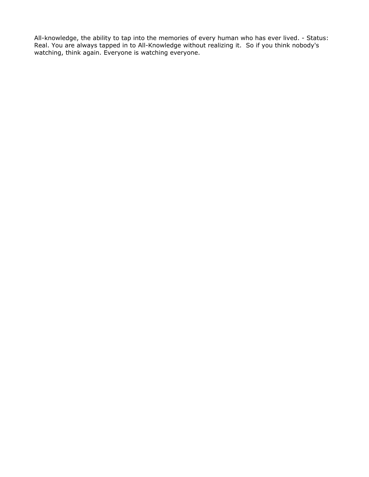All-knowledge, the ability to tap into the memories of every human who has ever lived. - Status: Real. You are always tapped in to All-Knowledge without realizing it. So if you think nobody's watching, think again. Everyone is watching everyone.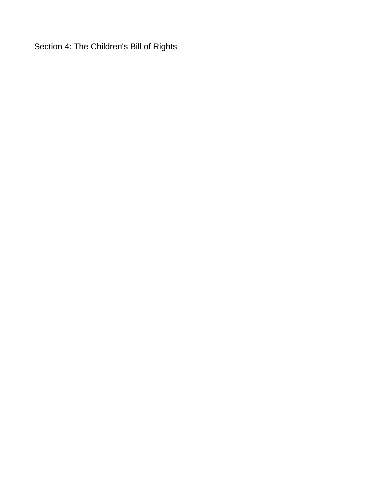Section 4: The Children's Bill of Rights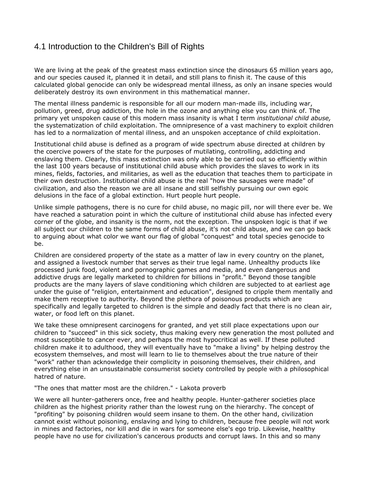## 4.1 Introduction to the Children's Bill of Rights

We are living at the peak of the greatest mass extinction since the dinosaurs 65 million years ago, and our species caused it, planned it in detail, and still plans to finish it. The cause of this calculated global genocide can only be widespread mental illness, as only an insane species would deliberately destroy its own environment in this mathematical manner.

The mental illness pandemic is responsible for all our modern man-made ills, including war, pollution, greed, drug addiction, the hole in the ozone and anything else you can think of. The primary yet unspoken cause of this modern mass insanity is what I term *institutional child abuse,*  the systematization of child exploitation. The omnipresence of a vast machinery to exploit children has led to a normalization of mental illness, and an unspoken acceptance of child exploitation.

Institutional child abuse is defined as a program of wide spectrum abuse directed at children by the coercive powers of the state for the purposes of mutilating, controlling, addicting and enslaving them. Clearly, this mass extinction was only able to be carried out so efficiently within the last 100 years because of institutional child abuse which provides the slaves to work in its mines, fields, factories, and militaries, as well as the education that teaches them to participate in their own destruction. Institutional child abuse is the real "how the sausages were made" of civilization, and also the reason we are all insane and still selfishly pursuing our own egoic delusions in the face of a global extinction. Hurt people hurt people.

Unlike simple pathogens, there is no cure for child abuse, no magic pill, nor will there ever be. We have reached a saturation point in which the culture of institutional child abuse has infected every corner of the globe, and insanity is the norm, not the exception. The unspoken logic is that if we all subject our children to the same forms of child abuse, it's not child abuse, and we can go back to arguing about what color we want our flag of global "conquest" and total species genocide to be.

Children are considered property of the state as a matter of law in every country on the planet, and assigned a livestock number that serves as their true legal name. Unhealthy products like processed junk food, violent and pornographic games and media, and even dangerous and addictive drugs are legally marketed to children for billions in "profit." Beyond those tangible products are the many layers of slave conditioning which children are subjected to at earliest age under the guise of "religion, entertainment and education", designed to cripple them mentally and make them receptive to authority. Beyond the plethora of poisonous products which are specifically and legally targeted to children is the simple and deadly fact that there is no clean air, water, or food left on this planet.

We take these omnipresent carcinogens for granted, and yet still place expectations upon our children to "succeed" in this sick society, thus making every new generation the most polluted and most susceptible to cancer ever, and perhaps the most hypocritical as well. If these polluted children make it to adulthood, they will eventually have to "make a living" by helping destroy the ecosystem themselves, and most will learn to lie to themselves about the true nature of their "work" rather than acknowledge their complicity in poisoning themselves, their children, and everything else in an unsustainable consumerist society controlled by people with a philosophical hatred of nature.

"The ones that matter most are the children." - Lakota proverb

We were all hunter-gatherers once, free and healthy people. Hunter-gatherer societies place children as the highest priority rather than the lowest rung on the hierarchy. The concept of "profiting" by poisoning children would seem insane to them. On the other hand, civilization cannot exist without poisoning, enslaving and lying to children, because free people will not work in mines and factories, nor kill and die in wars for someone else's ego trip. Likewise, healthy people have no use for civilization's cancerous products and corrupt laws. In this and so many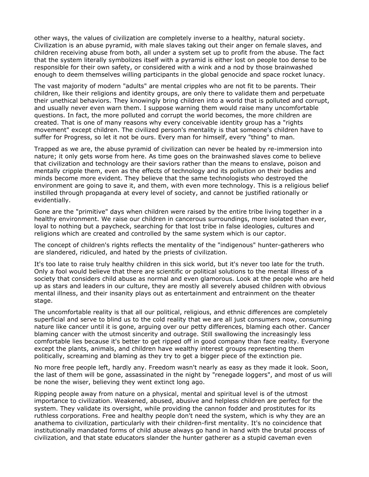other ways, the values of civilization are completely inverse to a healthy, natural society. Civilization is an abuse pyramid, with male slaves taking out their anger on female slaves, and children receiving abuse from both, all under a system set up to profit from the abuse. The fact that the system literally symbolizes itself with a pyramid is either lost on people too dense to be responsible for their own safety, or considered with a wink and a nod by those brainwashed enough to deem themselves willing participants in the global genocide and space rocket lunacy.

The vast majority of modern "adults" are mental cripples who are not fit to be parents. Their children, like their religions and identity groups, are only there to validate them and perpetuate their unethical behaviors. They knowingly bring children into a world that is polluted and corrupt, and usually never even warn them. I suppose warning them would raise many uncomfortable questions. In fact, the more polluted and corrupt the world becomes, the more children are created. That is one of many reasons why every conceivable identity group has a "rights movement" except children. The civilized person's mentality is that someone's children have to suffer for Progress, so let it not be ours. Every man for himself, every "thing" to man.

Trapped as we are, the abuse pyramid of civilization can never be healed by re-immersion into nature; it only gets worse from here. As time goes on the brainwashed slaves come to believe that civilization and technology are their saviors rather than the means to enslave, poison and mentally cripple them, even as the effects of technology and its pollution on their bodies and minds become more evident. They believe that the same technologists who destroyed the environment are going to save it, and them, with even more technology. This is a religious belief instilled through propaganda at every level of society, and cannot be justified rationally or evidentially.

Gone are the "primitive" days when children were raised by the entire tribe living together in a healthy environment. We raise our children in cancerous surroundings, more isolated than ever, loyal to nothing but a paycheck, searching for that lost tribe in false ideologies, cultures and religions which are created and controlled by the same system which is our captor.

The concept of children's rights reflects the mentality of the "indigenous" hunter-gatherers who are slandered, ridiculed, and hated by the priests of civilization.

It's too late to raise truly healthy children in this sick world, but it's never too late for the truth. Only a fool would believe that there are scientific or political solutions to the mental illness of a society that considers child abuse as normal and even glamorous. Look at the people who are held up as stars and leaders in our culture, they are mostly all severely abused children with obvious mental illness, and their insanity plays out as entertainment and entrainment on the theater stage.

The uncomfortable reality is that all our political, religious, and ethnic differences are completely superficial and serve to blind us to the cold reality that we are all just consumers now, consuming nature like cancer until it is gone, arguing over our petty differences, blaming each other. Cancer blaming cancer with the utmost sincerity and outrage. Still swallowing the increasingly less comfortable lies because it's better to get ripped off in good company than face reality. Everyone except the plants, animals, and children have wealthy interest groups representing them politically, screaming and blaming as they try to get a bigger piece of the extinction pie.

No more free people left, hardly any. Freedom wasn't nearly as easy as they made it look. Soon, the last of them will be gone, assassinated in the night by "renegade loggers", and most of us will be none the wiser, believing they went extinct long ago.

Ripping people away from nature on a physical, mental and spiritual level is of the utmost importance to civilization. Weakened, abused, abusive and helpless children are perfect for the system. They validate its oversight, while providing the cannon fodder and prostitutes for its ruthless corporations. Free and healthy people don't need the system, which is why they are an anathema to civilization, particularly with their children-first mentality. It's no coincidence that institutionally mandated forms of child abuse always go hand in hand with the brutal process of civilization, and that state educators slander the hunter gatherer as a stupid caveman even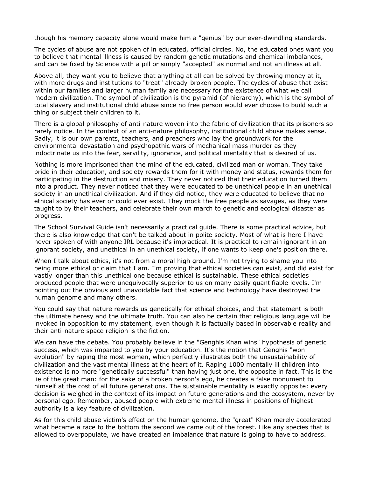though his memory capacity alone would make him a "genius" by our ever-dwindling standards.

The cycles of abuse are not spoken of in educated, official circles. No, the educated ones want you to believe that mental illness is caused by random genetic mutations and chemical imbalances, and can be fixed by Science with a pill or simply "accepted" as normal and not an illness at all.

Above all, they want you to believe that anything at all can be solved by throwing money at it, with more drugs and institutions to "treat" already-broken people. The cycles of abuse that exist within our families and larger human family are necessary for the existence of what we call modern civilization. The symbol of civilization is the pyramid (of hierarchy), which is the symbol of total slavery and institutional child abuse since no free person would ever choose to build such a thing or subject their children to it.

There is a global philosophy of anti-nature woven into the fabric of civilization that its prisoners so rarely notice. In the context of an anti-nature philosophy, institutional child abuse makes sense. Sadly, it is our own parents, teachers, and preachers who lay the groundwork for the environmental devastation and psychopathic wars of mechanical mass murder as they indoctrinate us into the fear, servility, ignorance, and political mentality that is desired of us.

Nothing is more imprisoned than the mind of the educated, civilized man or woman. They take pride in their education, and society rewards them for it with money and status, rewards them for participating in the destruction and misery. They never noticed that their education turned them into a product. They never noticed that they were educated to be unethical people in an unethical society in an unethical civilization. And if they did notice, they were educated to believe that no ethical society has ever or could ever exist. They mock the free people as savages, as they were taught to by their teachers, and celebrate their own march to genetic and ecological disaster as progress.

The School Survival Guide isn't necessarily a practical guide. There is some practical advice, but there is also knowledge that can't be talked about in polite society. Most of what is here I have never spoken of with anyone IRL because it's impractical. It is practical to remain ignorant in an ignorant society, and unethical in an unethical society, if one wants to keep one's position there.

When I talk about ethics, it's not from a moral high ground. I'm not trying to shame you into being more ethical or claim that I am. I'm proving that ethical societies can exist, and did exist for vastly longer than this unethical one because ethical is sustainable. These ethical societies produced people that were unequivocally superior to us on many easily quantifiable levels. I'm pointing out the obvious and unavoidable fact that science and technology have destroyed the human genome and many others.

You could say that nature rewards us genetically for ethical choices, and that statement is both the ultimate heresy and the ultimate truth. You can also be certain that religious language will be invoked in opposition to my statement, even though it is factually based in observable reality and their anti-nature space religion is the fiction.

We can have the debate. You probably believe in the "Genghis Khan wins" hypothesis of genetic success, which was imparted to you by your education. It's the notion that Genghis "won evolution" by raping the most women, which perfectly illustrates both the unsustainability of civilization and the vast mental illness at the heart of it. Raping 1000 mentally ill children into existence is no more "genetically successful" than having just one, the opposite in fact. This is the lie of the great man: for the sake of a broken person's ego, he creates a false monument to himself at the cost of all future generations. The sustainable mentality is exactly opposite: every decision is weighed in the context of its impact on future generations and the ecosystem, never by personal ego. Remember, abused people with extreme mental illness in positions of highest authority is a key feature of civilization.

As for this child abuse victim's effect on the human genome, the "great" Khan merely accelerated what became a race to the bottom the second we came out of the forest. Like any species that is allowed to overpopulate, we have created an imbalance that nature is going to have to address.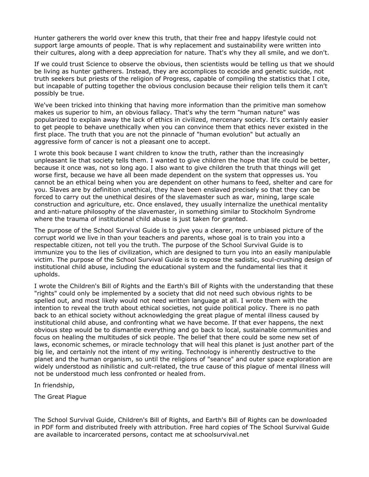Hunter gatherers the world over knew this truth, that their free and happy lifestyle could not support large amounts of people. That is why replacement and sustainability were written into their cultures, along with a deep appreciation for nature. That's why they all smile, and we don't.

If we could trust Science to observe the obvious, then scientists would be telling us that we should be living as hunter gatherers. Instead, they are accomplices to ecocide and genetic suicide, not truth seekers but priests of the religion of Progress, capable of compiling the statistics that I cite, but incapable of putting together the obvious conclusion because their religion tells them it can't possibly be true.

We've been tricked into thinking that having more information than the primitive man somehow makes us superior to him, an obvious fallacy. That's why the term "human nature" was popularized to explain away the lack of ethics in civilized, mercenary society. It's certainly easier to get people to behave unethically when you can convince them that ethics never existed in the first place. The truth that you are not the pinnacle of "human evolution" but actually an aggressive form of cancer is not a pleasant one to accept.

I wrote this book because I want children to know the truth, rather than the increasingly unpleasant lie that society tells them. I wanted to give children the hope that life could be better, because it once was, not so long ago. I also want to give children the truth that things will get worse first, because we have all been made dependent on the system that oppresses us. You cannot be an ethical being when you are dependent on other humans to feed, shelter and care for you. Slaves are by definition unethical, they have been enslaved precisely so that they can be forced to carry out the unethical desires of the slavemaster such as war, mining, large scale construction and agriculture, etc. Once enslaved, they usually internalize the unethical mentality and anti-nature philosophy of the slavemaster, in something similar to Stockholm Syndrome where the trauma of institutional child abuse is just taken for granted.

The purpose of the School Survival Guide is to give you a clearer, more unbiased picture of the corrupt world we live in than your teachers and parents, whose goal is to train you into a respectable citizen, not tell you the truth. The purpose of the School Survival Guide is to immunize you to the lies of civilization, which are designed to turn you into an easily manipulable victim. The purpose of the School Survival Guide is to expose the sadistic, soul-crushing design of institutional child abuse, including the educational system and the fundamental lies that it upholds.

I wrote the Children's Bill of Rights and the Earth's Bill of Rights with the understanding that these "rights" could only be implemented by a society that did not need such obvious rights to be spelled out, and most likely would not need written language at all. I wrote them with the intention to reveal the truth about ethical societies, not guide political policy. There is no path back to an ethical society without acknowledging the great plague of mental illness caused by institutional child abuse, and confronting what we have become. If that ever happens, the next obvious step would be to dismantle everything and go back to local, sustainable communities and focus on healing the multitudes of sick people. The belief that there could be some new set of laws, economic schemes, or miracle technology that will heal this planet is just another part of the big lie, and certainly not the intent of my writing. Technology is inherently destructive to the planet and the human organism, so until the religions of "seance" and outer space exploration are widely understood as nihilistic and cult-related, the true cause of this plague of mental illness will not be understood much less confronted or healed from.

In friendship,

The Great Plague

The School Survival Guide, Children's Bill of Rights, and Earth's Bill of Rights can be downloaded in PDF form and distributed freely with attribution. Free hard copies of The School Survival Guide are available to incarcerated persons, contact me at schoolsurvival.net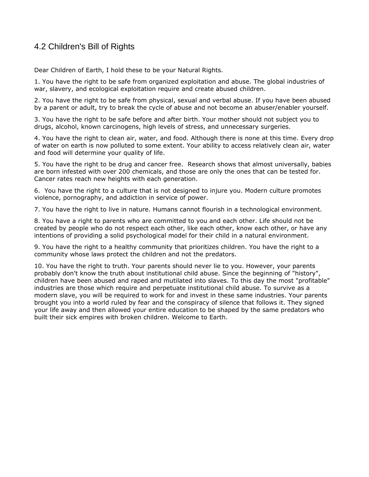## 4.2 Children's Bill of Rights

Dear Children of Earth, I hold these to be your Natural Rights.

1. You have the right to be safe from organized exploitation and abuse. The global industries of war, slavery, and ecological exploitation require and create abused children.

2. You have the right to be safe from physical, sexual and verbal abuse. If you have been abused by a parent or adult, try to break the cycle of abuse and not become an abuser/enabler yourself.

3. You have the right to be safe before and after birth. Your mother should not subject you to drugs, alcohol, known carcinogens, high levels of stress, and unnecessary surgeries.

4. You have the right to clean air, water, and food. Although there is none at this time. Every drop of water on earth is now polluted to some extent. Your ability to access relatively clean air, water and food will determine your quality of life.

5. You have the right to be drug and cancer free. Research shows that almost universally, babies are born infested with over 200 chemicals, and those are only the ones that can be tested for. Cancer rates reach new heights with each generation.

6. You have the right to a culture that is not designed to injure you. Modern culture promotes violence, pornography, and addiction in service of power.

7. You have the right to live in nature. Humans cannot flourish in a technological environment.

8. You have a right to parents who are committed to you and each other. Life should not be created by people who do not respect each other, like each other, know each other, or have any intentions of providing a solid psychological model for their child in a natural environment.

9. You have the right to a healthy community that prioritizes children. You have the right to a community whose laws protect the children and not the predators.

10. You have the right to truth. Your parents should never lie to you. However, your parents probably don't know the truth about institutional child abuse. Since the beginning of "history", children have been abused and raped and mutilated into slaves. To this day the most "profitable" industries are those which require and perpetuate institutional child abuse. To survive as a modern slave, you will be required to work for and invest in these same industries. Your parents brought you into a world ruled by fear and the conspiracy of silence that follows it. They signed your life away and then allowed your entire education to be shaped by the same predators who built their sick empires with broken children. Welcome to Earth.